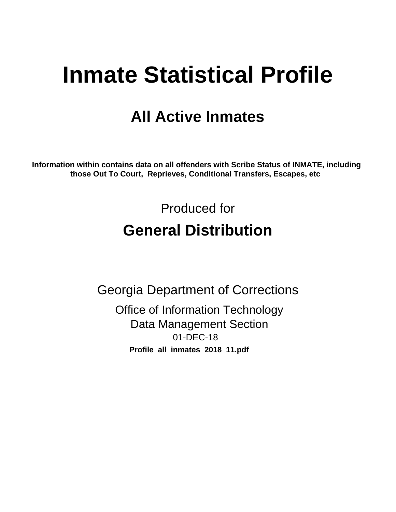# **Inmate Statistical Profile**

## **All Active Inmates**

Information within contains data on all offenders with Scribe Status of INMATE, including those Out To Court, Reprieves, Conditional Transfers, Escapes, etc

> Produced for **General Distribution**

**Georgia Department of Corrections** 

**Office of Information Technology Data Management Section** 01-DEC-18 Profile\_all\_inmates\_2018\_11.pdf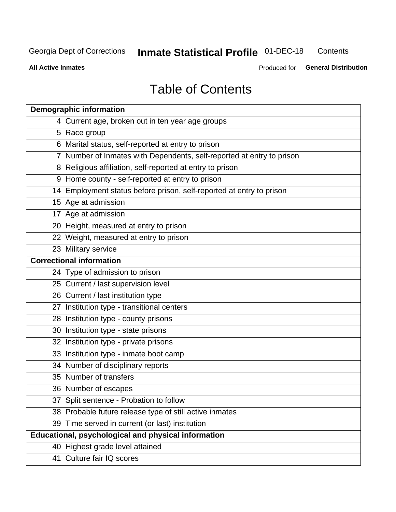#### **Inmate Statistical Profile 01-DEC-18** Contents

**All Active Inmates** 

Produced for General Distribution

## **Table of Contents**

| <b>Demographic information</b>                                        |
|-----------------------------------------------------------------------|
| 4 Current age, broken out in ten year age groups                      |
| 5 Race group                                                          |
| 6 Marital status, self-reported at entry to prison                    |
| 7 Number of Inmates with Dependents, self-reported at entry to prison |
| 8 Religious affiliation, self-reported at entry to prison             |
| 9 Home county - self-reported at entry to prison                      |
| 14 Employment status before prison, self-reported at entry to prison  |
| 15 Age at admission                                                   |
| 17 Age at admission                                                   |
| 20 Height, measured at entry to prison                                |
| 22 Weight, measured at entry to prison                                |
| 23 Military service                                                   |
| <b>Correctional information</b>                                       |
| 24 Type of admission to prison                                        |
| 25 Current / last supervision level                                   |
| 26 Current / last institution type                                    |
| 27 Institution type - transitional centers                            |
| 28 Institution type - county prisons                                  |
| 30 Institution type - state prisons                                   |
| 32 Institution type - private prisons                                 |
| 33 Institution type - inmate boot camp                                |
| 34 Number of disciplinary reports                                     |
| 35 Number of transfers                                                |
| 36 Number of escapes                                                  |
| 37 Split sentence - Probation to follow                               |
| 38 Probable future release type of still active inmates               |
| 39 Time served in current (or last) institution                       |
| <b>Educational, psychological and physical information</b>            |
| 40 Highest grade level attained                                       |
| 41 Culture fair IQ scores                                             |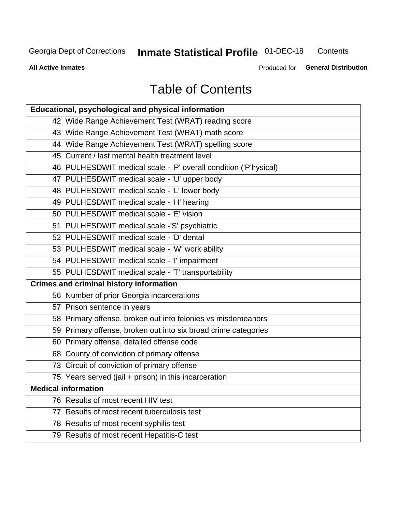#### **Inmate Statistical Profile 01-DEC-18** Contents

**All Active Inmates** 

Produced for General Distribution

## **Table of Contents**

| Educational, psychological and physical information              |
|------------------------------------------------------------------|
| 42 Wide Range Achievement Test (WRAT) reading score              |
| 43 Wide Range Achievement Test (WRAT) math score                 |
| 44 Wide Range Achievement Test (WRAT) spelling score             |
| 45 Current / last mental health treatment level                  |
| 46 PULHESDWIT medical scale - 'P' overall condition ('P'hysical) |
| 47 PULHESDWIT medical scale - 'U' upper body                     |
| 48 PULHESDWIT medical scale - 'L' lower body                     |
| 49 PULHESDWIT medical scale - 'H' hearing                        |
| 50 PULHESDWIT medical scale - 'E' vision                         |
| 51 PULHESDWIT medical scale -'S' psychiatric                     |
| 52 PULHESDWIT medical scale - 'D' dental                         |
| 53 PULHESDWIT medical scale - 'W' work ability                   |
| 54 PULHESDWIT medical scale - 'I' impairment                     |
| 55 PULHESDWIT medical scale - 'T' transportability               |
| <b>Crimes and criminal history information</b>                   |
| 56 Number of prior Georgia incarcerations                        |
| 57 Prison sentence in years                                      |
| 58 Primary offense, broken out into felonies vs misdemeanors     |
| 59 Primary offense, broken out into six broad crime categories   |
| 60 Primary offense, detailed offense code                        |
| 68 County of conviction of primary offense                       |
| 73 Circuit of conviction of primary offense                      |
| 75 Years served (jail + prison) in this incarceration            |
| <b>Medical information</b>                                       |
| 76 Results of most recent HIV test                               |
| 77 Results of most recent tuberculosis test                      |
| 78 Results of most recent syphilis test                          |
| 79 Results of most recent Hepatitis-C test                       |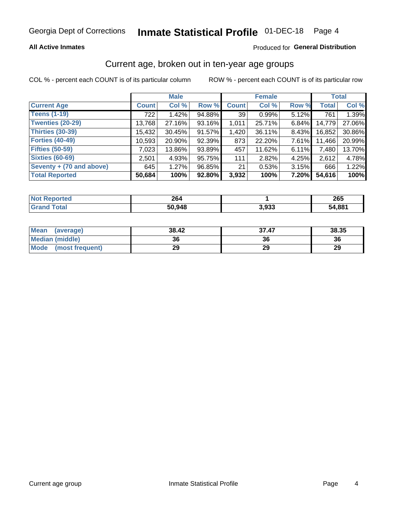## Inmate Statistical Profile 01-DEC-18 Page 4

#### **All Active Inmates**

### Produced for General Distribution

## Current age, broken out in ten-year age groups

COL % - percent each COUNT is of its particular column

|                            |              | <b>Male</b> |        |              | <b>Female</b> |          |              | <b>Total</b> |  |
|----------------------------|--------------|-------------|--------|--------------|---------------|----------|--------------|--------------|--|
| <b>Current Age</b>         | <b>Count</b> | Col %       | Row %  | <b>Count</b> | Col %         | Row %    | <b>Total</b> | Col %        |  |
| <b>Teens (1-19)</b>        | 722          | 1.42%       | 94.88% | 39           | 0.99%         | 5.12%    | 761          | 1.39%        |  |
| <b>Twenties (20-29)</b>    | 13,768       | 27.16%      | 93.16% | 1,011        | 25.71%        | 6.84%    | 14,779       | 27.06%       |  |
| <b>Thirties (30-39)</b>    | 15,432       | 30.45%      | 91.57% | 1,420        | 36.11%        | $8.43\%$ | 16,852       | 30.86%       |  |
| <b>Forties (40-49)</b>     | 10,593       | 20.90%      | 92.39% | 873          | 22.20%        | 7.61%    | 11,466       | 20.99%       |  |
| <b>Fifties (50-59)</b>     | 7,023        | 13.86%      | 93.89% | 457          | 11.62%        | 6.11%    | 7,480        | 13.70%       |  |
| <b>Sixties (60-69)</b>     | 2,501        | 4.93%       | 95.75% | 111          | 2.82%         | 4.25%    | 2,612        | 4.78%        |  |
| Seventy $+$ (70 and above) | 645          | 1.27%       | 96.85% | 21           | 0.53%         | $3.15\%$ | 666          | 1.22%        |  |
| <b>Total Reported</b>      | 50,684       | 100%        | 92.80% | 3,932        | 100%          | 7.20%    | 54,616       | 100%         |  |

| Not I<br><b>Experience</b> | 264    |                | <b>OCE</b><br>60 A |
|----------------------------|--------|----------------|--------------------|
| <b>Total</b>               | 50.948 | ว ดวว<br>ა,ყაა | 54,881             |

| <b>Mean</b><br>(average) | 38.42 | 37.47 | 38.35 |
|--------------------------|-------|-------|-------|
| Median (middle)          | 36    | 36    | 36    |
| Mode<br>(most frequent)  | 29    | 29    | 29    |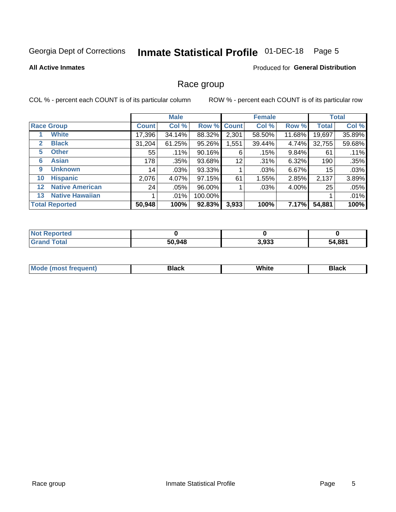#### **Inmate Statistical Profile 01-DEC-18** Page 5

#### **All Active Inmates**

#### **Produced for General Distribution**

### Race group

COL % - percent each COUNT is of its particular column

|                   |                        |              | <b>Male</b> |         |             | <b>Female</b> |        |              | <b>Total</b> |  |
|-------------------|------------------------|--------------|-------------|---------|-------------|---------------|--------|--------------|--------------|--|
|                   | <b>Race Group</b>      | <b>Count</b> | Col %       |         | Row % Count | Col %         | Row %  | <b>Total</b> | Col %        |  |
|                   | <b>White</b>           | 17,396       | 34.14%      | 88.32%  | 2,301       | 58.50%        | 11.68% | 19,697       | 35.89%       |  |
| 2                 | <b>Black</b>           | 31,204       | 61.25%      | 95.26%  | 1,551       | 39.44%        | 4.74%  | 32,755       | 59.68%       |  |
| 5                 | <b>Other</b>           | 55           | .11%        | 90.16%  | 6           | .15%          | 9.84%  | 61           | .11%         |  |
| 6                 | <b>Asian</b>           | 178          | $.35\%$     | 93.68%  | 12          | .31%          | 6.32%  | 190          | .35%         |  |
| 9                 | <b>Unknown</b>         | 14           | $.03\%$     | 93.33%  |             | .03%          | 6.67%  | 15           | .03%         |  |
| 10                | <b>Hispanic</b>        | 2,076        | 4.07%       | 97.15%  | 61          | 1.55%         | 2.85%  | 2,137        | 3.89%        |  |
| $12 \overline{ }$ | <b>Native American</b> | 24           | .05%        | 96.00%  |             | .03%          | 4.00%  | 25           | .05%         |  |
| 13                | <b>Native Hawaiian</b> |              | $.01\%$     | 100.00% |             |               |        |              | .01%         |  |
|                   | <b>Total Reported</b>  | 50,948       | 100%        | 92.83%  | 3,933       | 100%          | 7.17%  | 54,881       | 100%         |  |

| Reported<br><b>NOT</b> |        |       |        |
|------------------------|--------|-------|--------|
| Гоtal<br>'Grand        | 50,948 | 3,933 | 54,881 |

| <b>Mode</b><br>---<br>most frequent) | Black | White | <b>Black</b> |
|--------------------------------------|-------|-------|--------------|
|                                      |       |       |              |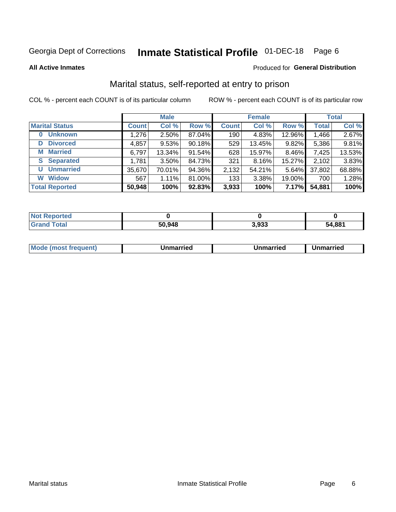#### **Inmate Statistical Profile 01-DEC-18** Page 6

**All Active Inmates** 

### Produced for General Distribution

## Marital status, self-reported at entry to prison

COL % - percent each COUNT is of its particular column

|                            | <b>Male</b>  |          |        |              | <b>Female</b> | <b>Total</b> |              |        |
|----------------------------|--------------|----------|--------|--------------|---------------|--------------|--------------|--------|
| <b>Marital Status</b>      | <b>Count</b> | Col %    | Row %  | <b>Count</b> | Col %         | Row %        | <b>Total</b> | Col %  |
| <b>Unknown</b><br>$\bf{0}$ | 1,276        | $2.50\%$ | 87.04% | 190          | 4.83%         | 12.96%       | 1,466        | 2.67%  |
| <b>Divorced</b><br>D       | 4,857        | 9.53%    | 90.18% | 529          | 13.45%        | 9.82%        | 5,386        | 9.81%  |
| <b>Married</b><br>М        | 6,797        | 13.34%   | 91.54% | 628          | 15.97%        | 8.46%        | 7,425        | 13.53% |
| <b>Separated</b><br>S.     | 1,781        | $3.50\%$ | 84.73% | 321          | 8.16%         | 15.27%       | 2,102        | 3.83%  |
| <b>Unmarried</b><br>U      | 35,670       | 70.01%   | 94.36% | 2,132        | 54.21%        | 5.64%        | 37,802       | 68.88% |
| <b>Widow</b><br>W          | 567          | 1.11%    | 81.00% | 133          | 3.38%         | 19.00%       | 700          | 1.28%  |
| <b>Total Reported</b>      | 50,948       | 100%     | 92.83% | 3,933        | 100%          | 7.17%        | 54,881       | 100%   |

| orted<br>I NOT |        |                 |        |
|----------------|--------|-----------------|--------|
| $\sim$         | 50,948 | 2002<br>. ა.ყაა | 54.881 |

|--|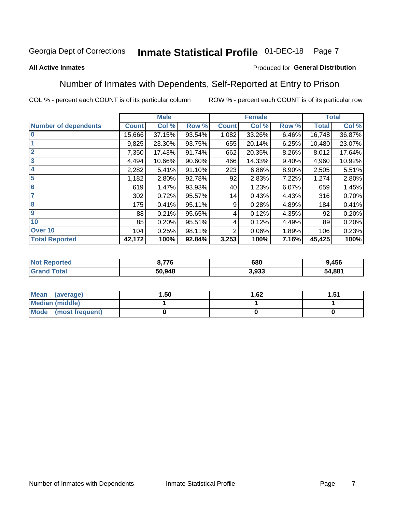#### **Inmate Statistical Profile 01-DEC-18** Page 7

#### **All Active Inmates**

### Produced for General Distribution

## Number of Inmates with Dependents, Self-Reported at Entry to Prison

COL % - percent each COUNT is of its particular column

|                             |              | <b>Male</b> |        |              | <b>Female</b> |       |              | <b>Total</b> |
|-----------------------------|--------------|-------------|--------|--------------|---------------|-------|--------------|--------------|
| <b>Number of dependents</b> | <b>Count</b> | Col %       | Row %  | <b>Count</b> | Col %         | Row % | <b>Total</b> | Col %        |
| l 0                         | 15,666       | 37.15%      | 93.54% | 1,082        | 33.26%        | 6.46% | 16,748       | 36.87%       |
|                             | 9,825        | 23.30%      | 93.75% | 655          | 20.14%        | 6.25% | 10,480       | 23.07%       |
| $\overline{2}$              | 7,350        | 17.43%      | 91.74% | 662          | 20.35%        | 8.26% | 8,012        | 17.64%       |
| $\overline{3}$              | 4,494        | 10.66%      | 90.60% | 466          | 14.33%        | 9.40% | 4,960        | 10.92%       |
| 4                           | 2,282        | 5.41%       | 91.10% | 223          | 6.86%         | 8.90% | 2,505        | 5.51%        |
| 5                           | 1,182        | 2.80%       | 92.78% | 92           | 2.83%         | 7.22% | 1,274        | 2.80%        |
| 6                           | 619          | 1.47%       | 93.93% | 40           | 1.23%         | 6.07% | 659          | 1.45%        |
| 7                           | 302          | 0.72%       | 95.57% | 14           | 0.43%         | 4.43% | 316          | 0.70%        |
| 8                           | 175          | 0.41%       | 95.11% | 9            | 0.28%         | 4.89% | 184          | 0.41%        |
| 9                           | 88           | 0.21%       | 95.65% | 4            | 0.12%         | 4.35% | 92           | 0.20%        |
| 10                          | 85           | 0.20%       | 95.51% | 4            | 0.12%         | 4.49% | 89           | 0.20%        |
| Over 10                     | 104          | 0.25%       | 98.11% | 2            | 0.06%         | 1.89% | 106          | 0.23%        |
| <b>Total Reported</b>       | 42,172       | 100%        | 92.84% | 3,253        | 100%          | 7.16% | 45,425       | 100%         |

| N | 1,776  | 680                 | 9,456  |
|---|--------|---------------------|--------|
|   | 50,948 | <b>022</b><br>3.933 | 54,881 |

| Mean (average)         | 1.50 | 1.62 | 51.، |
|------------------------|------|------|------|
| <b>Median (middle)</b> |      |      |      |
| Mode (most frequent)   |      |      |      |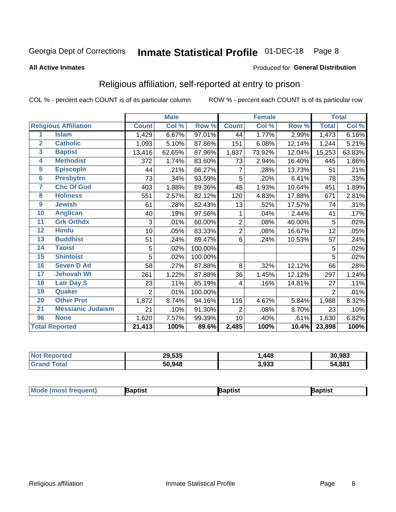#### **Inmate Statistical Profile 01-DEC-18** Page 8

#### **All Active Inmates**

#### Produced for General Distribution

## Religious affiliation, self-reported at entry to prison

COL % - percent each COUNT is of its particular column

|                  |                              |                | <b>Male</b> |         |              | <b>Female</b> |        |              | <b>Total</b> |
|------------------|------------------------------|----------------|-------------|---------|--------------|---------------|--------|--------------|--------------|
|                  | <b>Religious Affiliation</b> | <b>Count</b>   | Col %       | Row %   | <b>Count</b> | Col %         | Row %  | <b>Total</b> | Col %        |
| 1                | <b>Islam</b>                 | 1,429          | 6.67%       | 97.01%  | 44           | 1.77%         | 2.99%  | 1,473        | 6.16%        |
| $\mathbf{2}$     | <b>Catholic</b>              | 1,093          | 5.10%       | 87.86%  | 151          | 6.08%         | 12.14% | 1,244        | 5.21%        |
| $\overline{3}$   | <b>Baptist</b>               | 13,416         | 62.65%      | 87.96%  | 1,837        | 73.92%        | 12.04% | 15,253       | 63.83%       |
| 4                | <b>Methodist</b>             | 372            | 1.74%       | 83.60%  | 73           | 2.94%         | 16.40% | 445          | 1.86%        |
| $\overline{5}$   | <b>EpiscopIn</b>             | 44             | .21%        | 86.27%  | 7            | .28%          | 13.73% | 51           | .21%         |
| $6\phantom{1}6$  | <b>Presbytrn</b>             | 73             | .34%        | 93.59%  | 5            | .20%          | 6.41%  | 78           | .33%         |
| 7                | <b>Chc Of God</b>            | 403            | 1.88%       | 89.36%  | 48           | 1.93%         | 10.64% | 451          | 1.89%        |
| 8                | <b>Holiness</b>              | 551            | 2.57%       | 82.12%  | 120          | 4.83%         | 17.88% | 671          | 2.81%        |
| $\boldsymbol{9}$ | <b>Jewish</b>                | 61             | .28%        | 82.43%  | 13           | .52%          | 17.57% | 74           | .31%         |
| 10               | <b>Anglican</b>              | 40             | .19%        | 97.56%  | 1            | .04%          | 2.44%  | 41           | .17%         |
| 11               | <b>Grk Orthdx</b>            | 3              | .01%        | 60.00%  | 2            | .08%          | 40.00% | 5            | .02%         |
| 12               | <b>Hindu</b>                 | 10             | .05%        | 83.33%  | 2            | .08%          | 16.67% | 12           | .05%         |
| 13               | <b>Buddhist</b>              | 51             | .24%        | 89.47%  | 6            | .24%          | 10.53% | 57           | .24%         |
| 14               | <b>Taoist</b>                | 5              | .02%        | 100.00% |              |               |        | 5            | .02%         |
| 15               | <b>Shintoist</b>             | 5              | .02%        | 100.00% |              |               |        | 5            | .02%         |
| 16               | <b>Seven D Ad</b>            | 58             | .27%        | 87.88%  | 8            | .32%          | 12.12% | 66           | .28%         |
| 17               | <b>Jehovah Wt</b>            | 261            | 1.22%       | 87.88%  | 36           | 1.45%         | 12.12% | 297          | 1.24%        |
| 18               | <b>Latr Day S</b>            | 23             | .11%        | 85.19%  | 4            | .16%          | 14.81% | 27           | .11%         |
| 19               | Quaker                       | $\overline{2}$ | .01%        | 100.00% |              |               |        | 2            | .01%         |
| 20               | <b>Other Prot</b>            | 1,872          | 8.74%       | 94.16%  | 116          | 4.67%         | 5.84%  | 1,988        | 8.32%        |
| 21               | <b>Messianic Judaism</b>     | 21             | .10%        | 91.30%  | 2            | .08%          | 8.70%  | 23           | .10%         |
| 96               | <b>None</b>                  | 1,620          | 7.57%       | 99.39%  | 10           | .40%          | .61%   | 1,630        | 6.82%        |
|                  | <b>Total Reported</b>        | 21,413         | 100%        | 89.6%   | 2,485        | 100%          | 10.4%  | 23,898       | 100%         |

|                                | 29,535 | ,448          | 30.983 |
|--------------------------------|--------|---------------|--------|
| $\mathcal{L}$ of $\mathcal{L}$ | 50,948 | 2 מי<br>ა.ააა | 54,881 |

| Mode (most frequent) | Baptist | aptist | Baptist |
|----------------------|---------|--------|---------|
|----------------------|---------|--------|---------|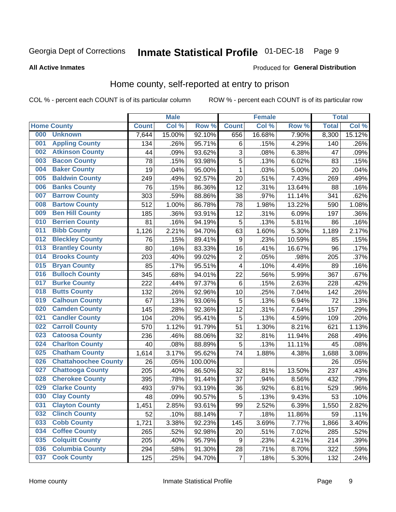## Inmate Statistical Profile 01-DEC-18 Page 9

#### **All Active Inmates**

### **Produced for General Distribution**

## Home county, self-reported at entry to prison

COL % - percent each COUNT is of its particular column

|     |                             |                  | <b>Male</b> |         |                | <b>Female</b> |        | <b>Total</b> |        |
|-----|-----------------------------|------------------|-------------|---------|----------------|---------------|--------|--------------|--------|
|     | <b>Home County</b>          | <b>Count</b>     | Col %       | Row %   | <b>Count</b>   | Col %         | Row %  | <b>Total</b> | Col %  |
| 000 | <b>Unknown</b>              | 7,644            | 15.00%      | 92.10%  | 656            | 16.68%        | 7.90%  | 8,300        | 15.12% |
| 001 | <b>Appling County</b>       | 134              | .26%        | 95.71%  | 6              | .15%          | 4.29%  | 140          | .26%   |
| 002 | <b>Atkinson County</b>      | 44               | .09%        | 93.62%  | 3              | .08%          | 6.38%  | 47           | .09%   |
| 003 | <b>Bacon County</b>         | 78               | .15%        | 93.98%  | 5              | .13%          | 6.02%  | 83           | .15%   |
| 004 | <b>Baker County</b>         | 19               | .04%        | 95.00%  | $\mathbf{1}$   | .03%          | 5.00%  | 20           | .04%   |
| 005 | <b>Baldwin County</b>       | 249              | .49%        | 92.57%  | 20             | .51%          | 7.43%  | 269          | .49%   |
| 006 | <b>Banks County</b>         | 76               | .15%        | 86.36%  | 12             | .31%          | 13.64% | 88           | .16%   |
| 007 | <b>Barrow County</b>        | $\overline{3}03$ | .59%        | 88.86%  | 38             | .97%          | 11.14% | 341          | .62%   |
| 008 | <b>Bartow County</b>        | 512              | 1.00%       | 86.78%  | 78             | 1.98%         | 13.22% | 590          | 1.08%  |
| 009 | <b>Ben Hill County</b>      | 185              | .36%        | 93.91%  | 12             | .31%          | 6.09%  | 197          | .36%   |
| 010 | <b>Berrien County</b>       | 81               | .16%        | 94.19%  | 5              | .13%          | 5.81%  | 86           | .16%   |
| 011 | <b>Bibb County</b>          | 1,126            | 2.21%       | 94.70%  | 63             | 1.60%         | 5.30%  | 1,189        | 2.17%  |
| 012 | <b>Bleckley County</b>      | 76               | .15%        | 89.41%  | 9              | .23%          | 10.59% | 85           | .15%   |
| 013 | <b>Brantley County</b>      | 80               | .16%        | 83.33%  | 16             | .41%          | 16.67% | 96           | .17%   |
| 014 | <b>Brooks County</b>        | 203              | .40%        | 99.02%  | $\overline{c}$ | .05%          | .98%   | 205          | .37%   |
| 015 | <b>Bryan County</b>         | 85               | .17%        | 95.51%  | 4              | .10%          | 4.49%  | 89           | .16%   |
| 016 | <b>Bulloch County</b>       | 345              | .68%        | 94.01%  | 22             | .56%          | 5.99%  | 367          | .67%   |
| 017 | <b>Burke County</b>         | 222              | .44%        | 97.37%  | 6              | .15%          | 2.63%  | 228          | .42%   |
| 018 | <b>Butts County</b>         | 132              | .26%        | 92.96%  | 10             | .25%          | 7.04%  | 142          | .26%   |
| 019 | <b>Calhoun County</b>       | 67               | .13%        | 93.06%  | 5              | .13%          | 6.94%  | 72           | .13%   |
| 020 | <b>Camden County</b>        | 145              | .28%        | 92.36%  | 12             | .31%          | 7.64%  | 157          | .29%   |
| 021 | <b>Candler County</b>       | 104              | .20%        | 95.41%  | 5              | .13%          | 4.59%  | 109          | .20%   |
| 022 | <b>Carroll County</b>       | 570              | 1.12%       | 91.79%  | 51             | 1.30%         | 8.21%  | 621          | 1.13%  |
| 023 | <b>Catoosa County</b>       | 236              | .46%        | 88.06%  | 32             | .81%          | 11.94% | 268          | .49%   |
| 024 | <b>Charlton County</b>      | 40               | .08%        | 88.89%  | 5              | .13%          | 11.11% | 45           | .08%   |
| 025 | <b>Chatham County</b>       | 1,614            | 3.17%       | 95.62%  | 74             | 1.88%         | 4.38%  | 1,688        | 3.08%  |
| 026 | <b>Chattahoochee County</b> | 26               | .05%        | 100.00% |                |               |        | 26           | .05%   |
| 027 | <b>Chattooga County</b>     | 205              | .40%        | 86.50%  | 32             | .81%          | 13.50% | 237          | .43%   |
| 028 | <b>Cherokee County</b>      | 395              | .78%        | 91.44%  | 37             | .94%          | 8.56%  | 432          | .79%   |
| 029 | <b>Clarke County</b>        | 493              | .97%        | 93.19%  | 36             | .92%          | 6.81%  | 529          | .96%   |
| 030 | <b>Clay County</b>          | 48               | .09%        | 90.57%  | 5              | .13%          | 9.43%  | 53           | .10%   |
| 031 | <b>Clayton County</b>       | 1,451            | 2.85%       | 93.61%  | 99             | 2.52%         | 6.39%  | 1,550        | 2.82%  |
| 032 | <b>Clinch County</b>        | 52               | .10%        | 88.14%  | $\overline{7}$ | .18%          | 11.86% | 59           | .11%   |
| 033 | <b>Cobb County</b>          | 1,721            | 3.38%       | 92.23%  | 145            | 3.69%         | 7.77%  | 1,866        | 3.40%  |
| 034 | <b>Coffee County</b>        | 265              | .52%        | 92.98%  | 20             | .51%          | 7.02%  | 285          | .52%   |
| 035 | <b>Colquitt County</b>      | 205              | .40%        | 95.79%  | 9              | .23%          | 4.21%  | 214          | .39%   |
| 036 | <b>Columbia County</b>      | 294              | .58%        | 91.30%  | 28             | .71%          | 8.70%  | 322          | .59%   |
| 037 | <b>Cook County</b>          | 125              | .25%        | 94.70%  | $\overline{7}$ | .18%          | 5.30%  | 132          | .24%   |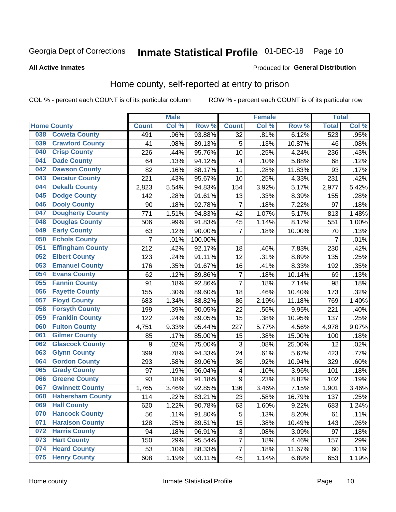## Inmate Statistical Profile 01-DEC-18 Page 10

#### **All Active Inmates**

### **Produced for General Distribution**

### Home county, self-reported at entry to prison

COL % - percent each COUNT is of its particular column

|     |                         |                | <b>Male</b> |         |                         | <b>Female</b> |        | <b>Total</b>     |       |
|-----|-------------------------|----------------|-------------|---------|-------------------------|---------------|--------|------------------|-------|
|     | <b>Home County</b>      | <b>Count</b>   | Col%        | Row %   | <b>Count</b>            | Col %         | Row %  | <b>Total</b>     | Col % |
| 038 | <b>Coweta County</b>    | 491            | .96%        | 93.88%  | $\overline{32}$         | .81%          | 6.12%  | $\overline{523}$ | .95%  |
| 039 | <b>Crawford County</b>  | 41             | .08%        | 89.13%  | 5                       | .13%          | 10.87% | 46               | .08%  |
| 040 | <b>Crisp County</b>     | 226            | .44%        | 95.76%  | 10                      | .25%          | 4.24%  | 236              | .43%  |
| 041 | <b>Dade County</b>      | 64             | .13%        | 94.12%  | 4                       | .10%          | 5.88%  | 68               | .12%  |
| 042 | <b>Dawson County</b>    | 82             | .16%        | 88.17%  | 11                      | .28%          | 11.83% | 93               | .17%  |
| 043 | <b>Decatur County</b>   | 221            | .43%        | 95.67%  | 10                      | .25%          | 4.33%  | 231              | .42%  |
| 044 | <b>Dekalb County</b>    | 2,823          | 5.54%       | 94.83%  | 154                     | 3.92%         | 5.17%  | 2,977            | 5.42% |
| 045 | <b>Dodge County</b>     | 142            | .28%        | 91.61%  | 13                      | .33%          | 8.39%  | 155              | .28%  |
| 046 | <b>Dooly County</b>     | 90             | .18%        | 92.78%  | $\overline{7}$          | .18%          | 7.22%  | 97               | .18%  |
| 047 | <b>Dougherty County</b> | 771            | 1.51%       | 94.83%  | 42                      | 1.07%         | 5.17%  | 813              | 1.48% |
| 048 | <b>Douglas County</b>   | 506            | .99%        | 91.83%  | 45                      | 1.14%         | 8.17%  | 551              | 1.00% |
| 049 | <b>Early County</b>     | 63             | .12%        | 90.00%  | $\overline{7}$          | .18%          | 10.00% | 70               | .13%  |
| 050 | <b>Echols County</b>    | $\overline{7}$ | .01%        | 100.00% |                         |               |        | $\overline{7}$   | .01%  |
| 051 | <b>Effingham County</b> | 212            | .42%        | 92.17%  | 18                      | .46%          | 7.83%  | 230              | .42%  |
| 052 | <b>Elbert County</b>    | 123            | .24%        | 91.11%  | 12                      | .31%          | 8.89%  | 135              | .25%  |
| 053 | <b>Emanuel County</b>   | 176            | .35%        | 91.67%  | 16                      | .41%          | 8.33%  | 192              | .35%  |
| 054 | <b>Evans County</b>     | 62             | .12%        | 89.86%  | $\overline{\mathbf{7}}$ | .18%          | 10.14% | 69               | .13%  |
| 055 | <b>Fannin County</b>    | 91             | .18%        | 92.86%  | $\overline{7}$          | .18%          | 7.14%  | 98               | .18%  |
| 056 | <b>Fayette County</b>   | 155            | .30%        | 89.60%  | 18                      | .46%          | 10.40% | 173              | .32%  |
| 057 | <b>Floyd County</b>     | 683            | 1.34%       | 88.82%  | 86                      | 2.19%         | 11.18% | 769              | 1.40% |
| 058 | <b>Forsyth County</b>   | 199            | .39%        | 90.05%  | 22                      | .56%          | 9.95%  | 221              | .40%  |
| 059 | <b>Franklin County</b>  | 122            | .24%        | 89.05%  | 15                      | .38%          | 10.95% | 137              | .25%  |
| 060 | <b>Fulton County</b>    | 4,751          | 9.33%       | 95.44%  | 227                     | 5.77%         | 4.56%  | 4,978            | 9.07% |
| 061 | <b>Gilmer County</b>    | 85             | .17%        | 85.00%  | 15                      | .38%          | 15.00% | 100              | .18%  |
| 062 | <b>Glascock County</b>  | 9              | .02%        | 75.00%  | 3                       | .08%          | 25.00% | 12               | .02%  |
| 063 | <b>Glynn County</b>     | 399            | .78%        | 94.33%  | 24                      | .61%          | 5.67%  | 423              | .77%  |
| 064 | <b>Gordon County</b>    | 293            | .58%        | 89.06%  | 36                      | .92%          | 10.94% | 329              | .60%  |
| 065 | <b>Grady County</b>     | 97             | .19%        | 96.04%  | 4                       | .10%          | 3.96%  | 101              | .18%  |
| 066 | <b>Greene County</b>    | 93             | .18%        | 91.18%  | 9                       | .23%          | 8.82%  | 102              | .19%  |
| 067 | <b>Gwinnett County</b>  | 1,765          | 3.46%       | 92.85%  | 136                     | 3.46%         | 7.15%  | 1,901            | 3.46% |
| 068 | <b>Habersham County</b> | 114            | .22%        | 83.21%  | 23                      | .58%          | 16.79% | 137              | .25%  |
| 069 | <b>Hall County</b>      | 620            | 1.22%       | 90.78%  | 63                      | 1.60%         | 9.22%  | 683              | 1.24% |
| 070 | <b>Hancock County</b>   | 56             | .11%        | 91.80%  | 5                       | .13%          | 8.20%  | 61               | .11%  |
| 071 | <b>Haralson County</b>  | 128            | .25%        | 89.51%  | 15                      | .38%          | 10.49% | 143              | .26%  |
| 072 | <b>Harris County</b>    | 94             | .18%        | 96.91%  | 3                       | .08%          | 3.09%  | 97               | .18%  |
| 073 | <b>Hart County</b>      | 150            | .29%        | 95.54%  | $\overline{\mathbf{7}}$ | .18%          | 4.46%  | 157              | .29%  |
| 074 | <b>Heard County</b>     | 53             | .10%        | 88.33%  | $\overline{7}$          | .18%          | 11.67% | 60               | .11%  |
| 075 | <b>Henry County</b>     | 608            | 1.19%       | 93.11%  | 45                      | 1.14%         | 6.89%  | 653              | 1.19% |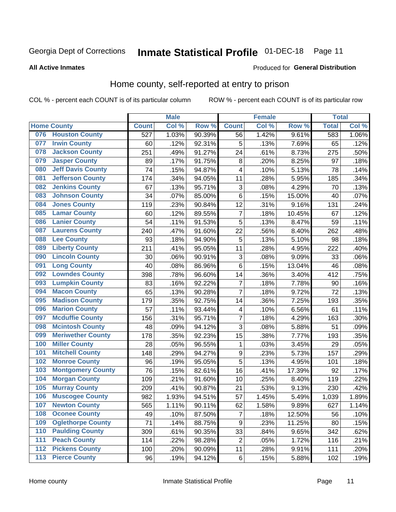## Inmate Statistical Profile 01-DEC-18 Page 11

**All Active Inmates** 

#### Produced for General Distribution

### Home county, self-reported at entry to prison

COL % - percent each COUNT is of its particular column

|     |                          |              | <b>Male</b> |                  |                         | <b>Female</b> |        | <b>Total</b> |       |
|-----|--------------------------|--------------|-------------|------------------|-------------------------|---------------|--------|--------------|-------|
|     | <b>Home County</b>       | <b>Count</b> | Col %       | Row <sup>%</sup> | <b>Count</b>            | Col %         | Row %  | <b>Total</b> | Col % |
|     | 076 Houston County       | 527          | 1.03%       | 90.39%           | 56                      | 1.42%         | 9.61%  | 583          | 1.06% |
| 077 | <b>Irwin County</b>      | 60           | .12%        | 92.31%           | 5                       | .13%          | 7.69%  | 65           | .12%  |
| 078 | <b>Jackson County</b>    | 251          | .49%        | 91.27%           | 24                      | .61%          | 8.73%  | 275          | .50%  |
| 079 | <b>Jasper County</b>     | 89           | .17%        | 91.75%           | 8                       | .20%          | 8.25%  | 97           | .18%  |
| 080 | <b>Jeff Davis County</b> | 74           | .15%        | 94.87%           | $\overline{\mathbf{4}}$ | .10%          | 5.13%  | 78           | .14%  |
| 081 | <b>Jefferson County</b>  | 174          | .34%        | 94.05%           | 11                      | .28%          | 5.95%  | 185          | .34%  |
| 082 | <b>Jenkins County</b>    | 67           | .13%        | 95.71%           | 3                       | .08%          | 4.29%  | 70           | .13%  |
| 083 | <b>Johnson County</b>    | 34           | .07%        | 85.00%           | $\,6$                   | .15%          | 15.00% | 40           | .07%  |
| 084 | <b>Jones County</b>      | 119          | .23%        | 90.84%           | 12                      | .31%          | 9.16%  | 131          | .24%  |
| 085 | <b>Lamar County</b>      | 60           | .12%        | 89.55%           | $\overline{7}$          | .18%          | 10.45% | 67           | .12%  |
| 086 | <b>Lanier County</b>     | 54           | .11%        | 91.53%           | 5                       | .13%          | 8.47%  | 59           | .11%  |
| 087 | <b>Laurens County</b>    | 240          | .47%        | 91.60%           | 22                      | .56%          | 8.40%  | 262          | .48%  |
| 088 | <b>Lee County</b>        | 93           | .18%        | 94.90%           | 5                       | .13%          | 5.10%  | 98           | .18%  |
| 089 | <b>Liberty County</b>    | 211          | .41%        | 95.05%           | 11                      | .28%          | 4.95%  | 222          | .40%  |
| 090 | <b>Lincoln County</b>    | 30           | .06%        | 90.91%           | 3                       | .08%          | 9.09%  | 33           | .06%  |
| 091 | <b>Long County</b>       | 40           | .08%        | 86.96%           | $\,6$                   | .15%          | 13.04% | 46           | .08%  |
| 092 | <b>Lowndes County</b>    | 398          | .78%        | 96.60%           | 14                      | .36%          | 3.40%  | 412          | .75%  |
| 093 | <b>Lumpkin County</b>    | 83           | .16%        | 92.22%           | $\overline{7}$          | .18%          | 7.78%  | 90           | .16%  |
| 094 | <b>Macon County</b>      | 65           | .13%        | 90.28%           | $\overline{7}$          | .18%          | 9.72%  | 72           | .13%  |
| 095 | <b>Madison County</b>    | 179          | .35%        | 92.75%           | 14                      | .36%          | 7.25%  | 193          | .35%  |
| 096 | <b>Marion County</b>     | 57           | .11%        | 93.44%           | $\overline{\mathbf{4}}$ | .10%          | 6.56%  | 61           | .11%  |
| 097 | <b>Mcduffie County</b>   | 156          | .31%        | 95.71%           | $\overline{7}$          | .18%          | 4.29%  | 163          | .30%  |
| 098 | <b>Mcintosh County</b>   | 48           | .09%        | 94.12%           | 3                       | .08%          | 5.88%  | 51           | .09%  |
| 099 | <b>Meriwether County</b> | 178          | .35%        | 92.23%           | 15                      | .38%          | 7.77%  | 193          | .35%  |
| 100 | <b>Miller County</b>     | 28           | .05%        | 96.55%           | 1                       | .03%          | 3.45%  | 29           | .05%  |
| 101 | <b>Mitchell County</b>   | 148          | .29%        | 94.27%           | $\boldsymbol{9}$        | .23%          | 5.73%  | 157          | .29%  |
| 102 | <b>Monroe County</b>     | 96           | .19%        | 95.05%           | $\overline{5}$          | .13%          | 4.95%  | 101          | .18%  |
| 103 | <b>Montgomery County</b> | 76           | .15%        | 82.61%           | 16                      | .41%          | 17.39% | 92           | .17%  |
| 104 | <b>Morgan County</b>     | 109          | .21%        | 91.60%           | 10                      | .25%          | 8.40%  | 119          | .22%  |
| 105 | <b>Murray County</b>     | 209          | .41%        | 90.87%           | 21                      | .53%          | 9.13%  | 230          | .42%  |
| 106 | <b>Muscogee County</b>   | 982          | 1.93%       | 94.51%           | 57                      | 1.45%         | 5.49%  | 1,039        | 1.89% |
| 107 | <b>Newton County</b>     | 565          | 1.11%       | 90.11%           | 62                      | 1.58%         | 9.89%  | 627          | 1.14% |
| 108 | <b>Oconee County</b>     | 49           | .10%        | 87.50%           | 7                       | .18%          | 12.50% | 56           | .10%  |
| 109 | <b>Oglethorpe County</b> | 71           | .14%        | 88.75%           | $\boldsymbol{9}$        | .23%          | 11.25% | 80           | .15%  |
| 110 | <b>Paulding County</b>   | 309          | .61%        | 90.35%           | 33                      | .84%          | 9.65%  | 342          | .62%  |
| 111 | <b>Peach County</b>      | 114          | .22%        | 98.28%           | $\overline{2}$          | .05%          | 1.72%  | 116          | .21%  |
| 112 | <b>Pickens County</b>    | 100          | .20%        | 90.09%           | 11                      | .28%          | 9.91%  | 111          | .20%  |
| 113 | <b>Pierce County</b>     | 96           | .19%        | 94.12%           | $\,6$                   | .15%          | 5.88%  | 102          | .19%  |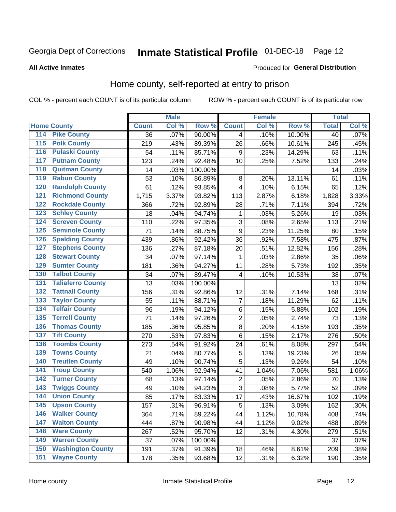#### **Inmate Statistical Profile 01-DEC-18** Page 12

#### **All Active Inmates**

#### Produced for General Distribution

## Home county, self-reported at entry to prison

COL % - percent each COUNT is of its particular column

|                  |                          |              | <b>Male</b> |                  |                         | <b>Female</b> |        | <b>Total</b> |       |
|------------------|--------------------------|--------------|-------------|------------------|-------------------------|---------------|--------|--------------|-------|
|                  | <b>Home County</b>       | <b>Count</b> | Col %       | Row <sup>%</sup> | <b>Count</b>            | Col %         | Row %  | <b>Total</b> | Col % |
| 114              | <b>Pike County</b>       | 36           | .07%        | 90.00%           | 4                       | .10%          | 10.00% | 40           | .07%  |
| 115              | <b>Polk County</b>       | 219          | .43%        | 89.39%           | 26                      | .66%          | 10.61% | 245          | .45%  |
| 116              | <b>Pulaski County</b>    | 54           | .11%        | 85.71%           | $\boldsymbol{9}$        | .23%          | 14.29% | 63           | .11%  |
| 117              | <b>Putnam County</b>     | 123          | .24%        | 92.48%           | 10                      | .25%          | 7.52%  | 133          | .24%  |
| 118              | <b>Quitman County</b>    | 14           | .03%        | 100.00%          |                         |               |        | 14           | .03%  |
| 119              | <b>Rabun County</b>      | 53           | .10%        | 86.89%           | $\bf 8$                 | .20%          | 13.11% | 61           | .11%  |
| 120              | <b>Randolph County</b>   | 61           | .12%        | 93.85%           | $\overline{\mathbf{4}}$ | .10%          | 6.15%  | 65           | .12%  |
| 121              | <b>Richmond County</b>   | 1,715        | 3.37%       | 93.82%           | 113                     | 2.87%         | 6.18%  | 1,828        | 3.33% |
| 122              | <b>Rockdale County</b>   | 366          | .72%        | 92.89%           | 28                      | .71%          | 7.11%  | 394          | .72%  |
| 123              | <b>Schley County</b>     | 18           | .04%        | 94.74%           | 1                       | .03%          | 5.26%  | 19           | .03%  |
| 124              | <b>Screven County</b>    | 110          | .22%        | 97.35%           | $\mathbf{3}$            | .08%          | 2.65%  | 113          | .21%  |
| 125              | <b>Seminole County</b>   | 71           | .14%        | 88.75%           | 9                       | .23%          | 11.25% | 80           | .15%  |
| 126              | <b>Spalding County</b>   | 439          | .86%        | 92.42%           | 36                      | .92%          | 7.58%  | 475          | .87%  |
| 127              | <b>Stephens County</b>   | 136          | .27%        | 87.18%           | 20                      | .51%          | 12.82% | 156          | .28%  |
| 128              | <b>Stewart County</b>    | 34           | .07%        | 97.14%           | $\mathbf{1}$            | .03%          | 2.86%  | 35           | .06%  |
| 129              | <b>Sumter County</b>     | 181          | .36%        | 94.27%           | 11                      | .28%          | 5.73%  | 192          | .35%  |
| 130              | <b>Talbot County</b>     | 34           | .07%        | 89.47%           | 4                       | .10%          | 10.53% | 38           | .07%  |
| 131              | <b>Taliaferro County</b> | 13           | .03%        | 100.00%          |                         |               |        | 13           | .02%  |
| 132              | <b>Tattnall County</b>   | 156          | .31%        | 92.86%           | 12                      | .31%          | 7.14%  | 168          | .31%  |
| 133              | <b>Taylor County</b>     | 55           | .11%        | 88.71%           | 7                       | .18%          | 11.29% | 62           | .11%  |
| 134              | <b>Telfair County</b>    | 96           | .19%        | 94.12%           | $\,6$                   | .15%          | 5.88%  | 102          | .19%  |
| 135              | <b>Terrell County</b>    | 71           | .14%        | 97.26%           | $\overline{c}$          | .05%          | 2.74%  | 73           | .13%  |
| 136              | <b>Thomas County</b>     | 185          | .36%        | 95.85%           | $\bf 8$                 | .20%          | 4.15%  | 193          | .35%  |
| 137              | <b>Tift County</b>       | 270          | .53%        | 97.83%           | 6                       | .15%          | 2.17%  | 276          | .50%  |
| 138              | <b>Toombs County</b>     | 273          | .54%        | 91.92%           | 24                      | .61%          | 8.08%  | 297          | .54%  |
| 139              | <b>Towns County</b>      | 21           | .04%        | 80.77%           | 5                       | .13%          | 19.23% | 26           | .05%  |
| 140              | <b>Treutlen County</b>   | 49           | .10%        | 90.74%           | 5                       | .13%          | 9.26%  | 54           | .10%  |
| 141              | <b>Troup County</b>      | 540          | 1.06%       | 92.94%           | 41                      | 1.04%         | 7.06%  | 581          | 1.06% |
| $\overline{142}$ | <b>Turner County</b>     | 68           | .13%        | 97.14%           | 2                       | .05%          | 2.86%  | 70           | .13%  |
| 143              | <b>Twiggs County</b>     | 49           | .10%        | 94.23%           | 3                       | .08%          | 5.77%  | 52           | .09%  |
| 144              | <b>Union County</b>      | 85           | .17%        | 83.33%           | 17                      | .43%          | 16.67% | 102          | .19%  |
| 145              | <b>Upson County</b>      | 157          | .31%        | 96.91%           | 5                       | .13%          | 3.09%  | 162          | .30%  |
| 146              | <b>Walker County</b>     | 364          | .71%        | 89.22%           | 44                      | 1.12%         | 10.78% | 408          | .74%  |
| 147              | <b>Walton County</b>     | 444          | .87%        | 90.98%           | 44                      | 1.12%         | 9.02%  | 488          | .89%  |
| 148              | <b>Ware County</b>       | 267          | .52%        | 95.70%           | 12                      | .31%          | 4.30%  | 279          | .51%  |
| 149              | <b>Warren County</b>     | 37           | .07%        | 100.00%          |                         |               |        | 37           | .07%  |
| 150              | <b>Washington County</b> | 191          | .37%        | 91.39%           | 18                      | .46%          | 8.61%  | 209          | .38%  |
| 151              | <b>Wayne County</b>      | 178          | .35%        | 93.68%           | 12                      | .31%          | 6.32%  | 190          | .35%  |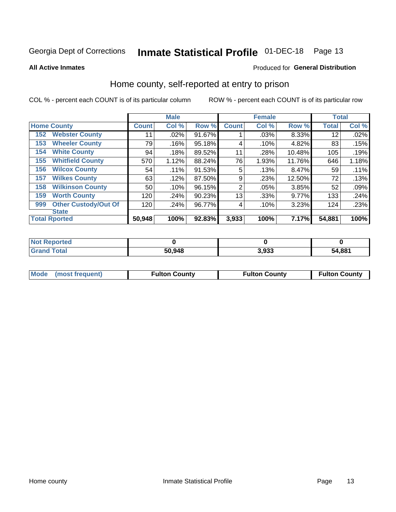## Inmate Statistical Profile 01-DEC-18 Page 13

**All Active Inmates** 

### Produced for General Distribution

### Home county, self-reported at entry to prison

COL % - percent each COUNT is of its particular column

|     |                             |                 | <b>Male</b> |        |                | <b>Female</b> |        | <b>Total</b> |       |
|-----|-----------------------------|-----------------|-------------|--------|----------------|---------------|--------|--------------|-------|
|     | <b>Home County</b>          | <b>Count</b>    | Col %       | Row %  | <b>Count</b>   | Col %         | Row %  | <b>Total</b> | Col % |
| 152 | <b>Webster County</b>       | 11              | .02%        | 91.67% |                | .03%          | 8.33%  | 12           | .02%  |
| 153 | <b>Wheeler County</b>       | 79              | .16%        | 95.18% | 4              | .10%          | 4.82%  | 83           | .15%  |
| 154 | <b>White County</b>         | 94              | .18%        | 89.52% | 11             | .28%          | 10.48% | 105          | .19%  |
| 155 | <b>Whitfield County</b>     | 570             | 1.12%       | 88.24% | 76             | 1.93%         | 11.76% | 646          | 1.18% |
| 156 | <b>Wilcox County</b>        | 54              | .11%        | 91.53% | 5              | .13%          | 8.47%  | 59           | .11%  |
| 157 | <b>Wilkes County</b>        | 63              | .12%        | 87.50% | 9              | .23%          | 12.50% | 72           | .13%  |
| 158 | <b>Wilkinson County</b>     | 50 <sup>°</sup> | .10%        | 96.15% | $\overline{2}$ | .05%          | 3.85%  | 52           | .09%  |
| 159 | <b>Worth County</b>         | 120             | .24%        | 90.23% | 13             | .33%          | 9.77%  | 133          | .24%  |
| 999 | <b>Other Custody/Out Of</b> | 120             | .24%        | 96.77% | 4              | .10%          | 3.23%  | 124          | .23%  |
|     | <b>State</b>                |                 |             |        |                |               |        |              |       |
|     | <b>Total Rported</b>        | 50,948          | 100%        | 92.83% | 3,933          | 100%          | 7.17%  | 54,881       | 100%  |

| <b>Not</b><br><b>Reported</b> |        |       |        |
|-------------------------------|--------|-------|--------|
| <b>Total</b>                  | 50,948 | 3.933 | 54,881 |

| Mode (most frequent) | <b>Fulton County</b> | <b>Fulton County</b> | <b>Fulton County</b> |
|----------------------|----------------------|----------------------|----------------------|
|                      |                      |                      |                      |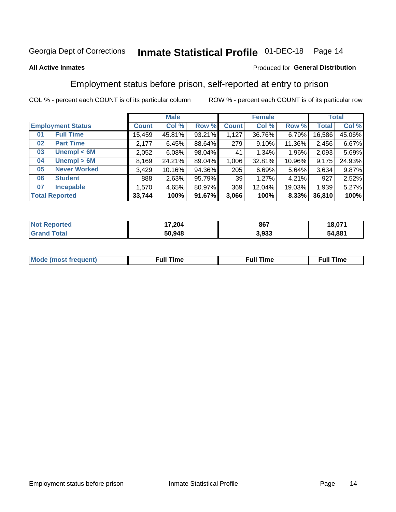#### **Inmate Statistical Profile 01-DEC-18** Page 14

#### **All Active Inmates**

#### Produced for General Distribution

## Employment status before prison, self-reported at entry to prison

COL % - percent each COUNT is of its particular column

|                           |         | <b>Male</b> |        |              | <b>Female</b> |        |        | <b>Total</b> |
|---------------------------|---------|-------------|--------|--------------|---------------|--------|--------|--------------|
| <b>Employment Status</b>  | Count l | Col %       | Row %  | <b>Count</b> | Col %         | Row %  | Total  | Col %        |
| <b>Full Time</b><br>01    | 15,459  | 45.81%      | 93.21% | .127         | 36.76%        | 6.79%  | 16,586 | 45.06%       |
| <b>Part Time</b><br>02    | 2,177   | 6.45%       | 88.64% | 279          | 9.10%         | 11.36% | 2,456  | 6.67%        |
| Unempl $<$ 6M<br>03       | 2,052   | 6.08%       | 98.04% | 41           | 1.34%         | 1.96%  | 2,093  | 5.69%        |
| Unempl > 6M<br>04         | 8,169   | 24.21%      | 89.04% | 1,006        | 32.81%        | 10.96% | 9,175  | 24.93%       |
| <b>Never Worked</b><br>05 | 3,429   | 10.16%      | 94.36% | 205          | 6.69%         | 5.64%  | 3,634  | 9.87%        |
| <b>Student</b><br>06      | 888     | 2.63%       | 95.79% | 39           | 1.27%         | 4.21%  | 927    | 2.52%        |
| <b>Incapable</b><br>07    | 1,570   | 4.65%       | 80.97% | 369          | 12.04%        | 19.03% | 1,939  | 5.27%        |
| <b>Total Reported</b>     | 33,744  | 100%        | 91.67% | 3,066        | 100%          | 8.33%  | 36,810 | 100%         |

| orteo<br>NO.   | 17,204 | 867   | <b>074</b><br>18.07 |
|----------------|--------|-------|---------------------|
| $\sim$<br>Gran | 50.948 | 3,933 | 54,881              |

| Mc | ----<br>me<br>ш | nc<br>. |
|----|-----------------|---------|
|    |                 |         |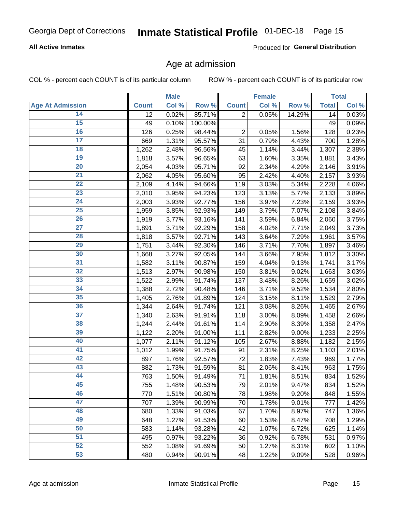## Inmate Statistical Profile 01-DEC-18 Page 15

### **All Active Inmates**

Produced for General Distribution

### Age at admission

COL % - percent each COUNT is of its particular column

|                         |              | <b>Male</b> |           |                | <b>Female</b> |        |              | <b>Total</b> |
|-------------------------|--------------|-------------|-----------|----------------|---------------|--------|--------------|--------------|
| <b>Age At Admission</b> | <b>Count</b> | Col %       | Row %     | <b>Count</b>   | Col %         | Row %  | <b>Total</b> | Col %        |
| 14                      | 12           | 0.02%       | 85.71%    | $\overline{2}$ | 0.05%         | 14.29% | 14           | 0.03%        |
| $\overline{15}$         | 49           | 0.10%       | 100.00%   |                |               |        | 49           | 0.09%        |
| 16                      | 126          | 0.25%       | 98.44%    | 2              | 0.05%         | 1.56%  | 128          | 0.23%        |
| 17                      | 669          | 1.31%       | 95.57%    | 31             | 0.79%         | 4.43%  | 700          | 1.28%        |
| 18                      | 1,262        | 2.48%       | 96.56%    | 45             | 1.14%         | 3.44%  | 1,307        | 2.38%        |
| 19                      | 1,818        | 3.57%       | 96.65%    | 63             | 1.60%         | 3.35%  | 1,881        | 3.43%        |
| 20                      | 2,054        | 4.03%       | 95.71%    | 92             | 2.34%         | 4.29%  | 2,146        | 3.91%        |
| 21                      | 2,062        | 4.05%       | 95.60%    | 95             | 2.42%         | 4.40%  | 2,157        | 3.93%        |
| $\overline{22}$         | 2,109        | 4.14%       | 94.66%    | 119            | 3.03%         | 5.34%  | 2,228        | 4.06%        |
| 23                      | 2,010        | 3.95%       | 94.23%    | 123            | 3.13%         | 5.77%  | 2,133        | 3.89%        |
| 24                      | 2,003        | 3.93%       | 92.77%    | 156            | 3.97%         | 7.23%  | 2,159        | 3.93%        |
| 25                      | 1,959        | 3.85%       | 92.93%    | 149            | 3.79%         | 7.07%  | 2,108        | 3.84%        |
| 26                      | 1,919        | 3.77%       | 93.16%    | 141            | 3.59%         | 6.84%  | 2,060        | 3.75%        |
| $\overline{27}$         | 1,891        | 3.71%       | 92.29%    | 158            | 4.02%         | 7.71%  | 2,049        | 3.73%        |
| 28                      | 1,818        | 3.57%       | $92.71\%$ | 143            | 3.64%         | 7.29%  | 1,961        | 3.57%        |
| 29                      | 1,751        | 3.44%       | 92.30%    | 146            | 3.71%         | 7.70%  | 1,897        | 3.46%        |
| 30                      | 1,668        | 3.27%       | 92.05%    | 144            | 3.66%         | 7.95%  | 1,812        | 3.30%        |
| 31                      | 1,582        | 3.11%       | 90.87%    | 159            | 4.04%         | 9.13%  | 1,741        | 3.17%        |
| 32                      | 1,513        | 2.97%       | 90.98%    | 150            | 3.81%         | 9.02%  | 1,663        | 3.03%        |
| 33                      | 1,522        | 2.99%       | 91.74%    | 137            | 3.48%         | 8.26%  | 1,659        | 3.02%        |
| 34                      | 1,388        | 2.72%       | 90.48%    | 146            | 3.71%         | 9.52%  | 1,534        | 2.80%        |
| 35                      | 1,405        | 2.76%       | 91.89%    | 124            | 3.15%         | 8.11%  | 1,529        | 2.79%        |
| 36                      | 1,344        | 2.64%       | 91.74%    | 121            | 3.08%         | 8.26%  | 1,465        | 2.67%        |
| 37                      | 1,340        | 2.63%       | 91.91%    | 118            | 3.00%         | 8.09%  | 1,458        | 2.66%        |
| 38                      | 1,244        | 2.44%       | 91.61%    | 114            | 2.90%         | 8.39%  | 1,358        | 2.47%        |
| 39                      | 1,122        | 2.20%       | 91.00%    | 111            | 2.82%         | 9.00%  | 1,233        | 2.25%        |
| 40                      | 1,077        | 2.11%       | 91.12%    | 105            | 2.67%         | 8.88%  | 1,182        | 2.15%        |
| 41                      | 1,012        | 1.99%       | 91.75%    | 91             | 2.31%         | 8.25%  | 1,103        | 2.01%        |
| 42                      | 897          | 1.76%       | 92.57%    | 72             | 1.83%         | 7.43%  | 969          | 1.77%        |
| 43                      | 882          | 1.73%       | 91.59%    | 81             | 2.06%         | 8.41%  | 963          | 1.75%        |
| 44                      | 763          | 1.50%       | 91.49%    | 71             | 1.81%         | 8.51%  | 834          | 1.52%        |
| 45                      | 755          | 1.48%       | 90.53%    | 79             | 2.01%         | 9.47%  | 834          | 1.52%        |
| 46                      | 770          | 1.51%       | 90.80%    | 78             | 1.98%         | 9.20%  | 848          | 1.55%        |
| 47                      | 707          | 1.39%       | 90.99%    | 70             | 1.78%         | 9.01%  | 777          | 1.42%        |
| 48                      | 680          | 1.33%       | 91.03%    | 67             | 1.70%         | 8.97%  | 747          | 1.36%        |
| 49                      | 648          | 1.27%       | 91.53%    | 60             | 1.53%         | 8.47%  | 708          | 1.29%        |
| 50                      | 583          | 1.14%       | 93.28%    | 42             | 1.07%         | 6.72%  | 625          | 1.14%        |
| 51                      | 495          | 0.97%       | 93.22%    | 36             | 0.92%         | 6.78%  | 531          | 0.97%        |
| 52                      | 552          | 1.08%       | 91.69%    | 50             | 1.27%         | 8.31%  | 602          | 1.10%        |
| 53                      | 480          | 0.94%       | 90.91%    | 48             | 1.22%         | 9.09%  | 528          | 0.96%        |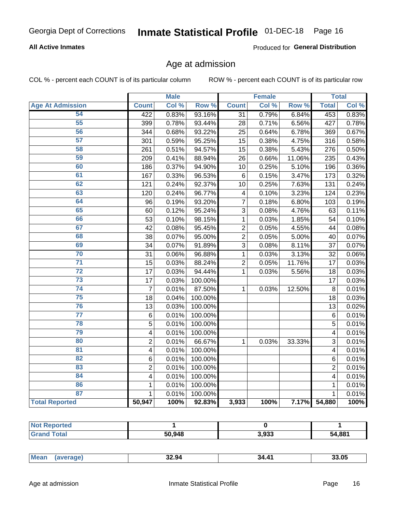## Inmate Statistical Profile 01-DEC-18 Page 16

### **All Active Inmates**

Produced for General Distribution

### Age at admission

COL % - percent each COUNT is of its particular column

|                         |                         | <b>Male</b> |         |                 | <b>Female</b> |        |                | <b>Total</b> |
|-------------------------|-------------------------|-------------|---------|-----------------|---------------|--------|----------------|--------------|
| <b>Age At Admission</b> | <b>Count</b>            | Col %       | Row %   | <b>Count</b>    | Col %         | Row %  | <b>Total</b>   | Col %        |
| 54                      | 422                     | 0.83%       | 93.16%  | 31              | 0.79%         | 6.84%  | 453            | 0.83%        |
| 55                      | 399                     | 0.78%       | 93.44%  | 28              | 0.71%         | 6.56%  | 427            | 0.78%        |
| 56                      | 344                     | 0.68%       | 93.22%  | 25              | 0.64%         | 6.78%  | 369            | 0.67%        |
| $\overline{57}$         | 301                     | 0.59%       | 95.25%  | 15              | 0.38%         | 4.75%  | 316            | 0.58%        |
| 58                      | 261                     | 0.51%       | 94.57%  | 15              | 0.38%         | 5.43%  | 276            | 0.50%        |
| 59                      | 209                     | 0.41%       | 88.94%  | 26              | 0.66%         | 11.06% | 235            | 0.43%        |
| 60                      | 186                     | 0.37%       | 94.90%  | 10              | 0.25%         | 5.10%  | 196            | 0.36%        |
| 61                      | 167                     | 0.33%       | 96.53%  | $6\phantom{1}6$ | 0.15%         | 3.47%  | 173            | 0.32%        |
| 62                      | 121                     | 0.24%       | 92.37%  | 10              | 0.25%         | 7.63%  | 131            | 0.24%        |
| 63                      | 120                     | 0.24%       | 96.77%  | 4               | 0.10%         | 3.23%  | 124            | 0.23%        |
| 64                      | 96                      | 0.19%       | 93.20%  | $\overline{7}$  | 0.18%         | 6.80%  | 103            | 0.19%        |
| 65                      | 60                      | 0.12%       | 95.24%  | 3               | 0.08%         | 4.76%  | 63             | 0.11%        |
| 66                      | 53                      | 0.10%       | 98.15%  | $\mathbf 1$     | 0.03%         | 1.85%  | 54             | 0.10%        |
| 67                      | 42                      | 0.08%       | 95.45%  | $\overline{2}$  | 0.05%         | 4.55%  | 44             | 0.08%        |
| 68                      | 38                      | 0.07%       | 95.00%  | $\overline{2}$  | 0.05%         | 5.00%  | 40             | 0.07%        |
| 69                      | 34                      | 0.07%       | 91.89%  | 3               | 0.08%         | 8.11%  | 37             | 0.07%        |
| 70                      | 31                      | 0.06%       | 96.88%  | 1               | 0.03%         | 3.13%  | 32             | 0.06%        |
| $\overline{71}$         | 15                      | 0.03%       | 88.24%  | $\overline{2}$  | 0.05%         | 11.76% | 17             | 0.03%        |
| $\overline{72}$         | 17                      | 0.03%       | 94.44%  | 1               | 0.03%         | 5.56%  | 18             | 0.03%        |
| 73                      | 17                      | 0.03%       | 100.00% |                 |               |        | 17             | 0.03%        |
| 74                      | $\overline{7}$          | 0.01%       | 87.50%  | $\mathbf{1}$    | 0.03%         | 12.50% | 8              | 0.01%        |
| 75                      | 18                      | 0.04%       | 100.00% |                 |               |        | 18             | 0.03%        |
| 76                      | 13                      | 0.03%       | 100.00% |                 |               |        | 13             | 0.02%        |
| $\overline{77}$         | 6                       | 0.01%       | 100.00% |                 |               |        | 6              | 0.01%        |
| 78                      | $\overline{5}$          | 0.01%       | 100.00% |                 |               |        | $\overline{5}$ | 0.01%        |
| 79                      | $\overline{\mathbf{4}}$ | 0.01%       | 100.00% |                 |               |        | 4              | 0.01%        |
| 80                      | $\overline{2}$          | 0.01%       | 66.67%  | 1               | 0.03%         | 33.33% | 3              | 0.01%        |
| $\overline{81}$         | $\overline{\mathbf{4}}$ | 0.01%       | 100.00% |                 |               |        | 4              | 0.01%        |
| 82                      | 6                       | 0.01%       | 100.00% |                 |               |        | 6              | 0.01%        |
| 83                      | $\overline{c}$          | 0.01%       | 100.00% |                 |               |        | $\overline{2}$ | 0.01%        |
| 84                      | $\overline{\mathbf{4}}$ | 0.01%       | 100.00% |                 |               |        | 4              | 0.01%        |
| 86                      | 1                       | 0.01%       | 100.00% |                 |               |        | 1              | 0.01%        |
| 87                      | $\mathbf{1}$            | 0.01%       | 100.00% |                 |               |        | $\mathbf{1}$   | 0.01%        |
| <b>Total Reported</b>   | 50,947                  | 100%        | 92.83%  | 3,933           | 100%          | 7.17%  | 54,880         | 100%         |

| тес |        |                |        |
|-----|--------|----------------|--------|
|     | 50,948 | ว ดวว<br>ა.ააა | 54.881 |

| 3.05<br>32.Y4<br>____ |
|-----------------------|
|-----------------------|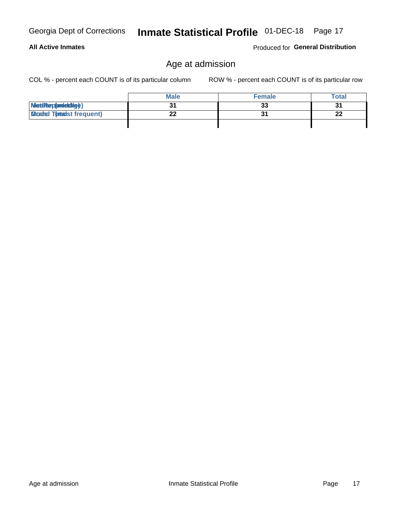Georgia Dept of Corrections **All Active Inmates** 

### Produced for General Distribution

## Age at admission

COL % - percent each COUNT is of its particular column

|                                  | <b>Male</b> | <b>Female</b> | <b>Total</b> |
|----------------------------------|-------------|---------------|--------------|
| MetiRarp(awieldig)               |             | 33            | 3.           |
| <b>Micaded Totadst frequent)</b> |             | 31            | ົາງ          |
|                                  |             |               |              |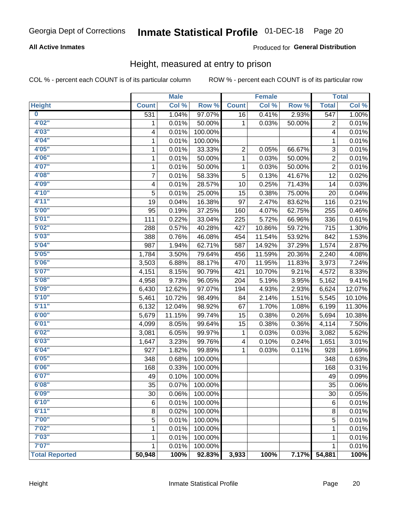## Inmate Statistical Profile 01-DEC-18 Page 20

### **All Active Inmates**

### Produced for General Distribution

### Height, measured at entry to prison

COL % - percent each COUNT is of its particular column

|                         |              | <b>Male</b> |         |              | <b>Female</b> |        |                           | <b>Total</b> |
|-------------------------|--------------|-------------|---------|--------------|---------------|--------|---------------------------|--------------|
| <b>Height</b>           | <b>Count</b> | Col %       | Row %   | <b>Count</b> | Col %         | Row %  | <b>Total</b>              | Col %        |
| $\overline{\mathbf{0}}$ | 531          | 1.04%       | 97.07%  | 16           | 0.41%         | 2.93%  | $\overline{547}$          | 1.00%        |
| 4'02''                  | 1            | 0.01%       | 50.00%  | 1            | 0.03%         | 50.00% | $\overline{2}$            | 0.01%        |
| 4'03''                  | 4            | 0.01%       | 100.00% |              |               |        | 4                         | 0.01%        |
| 4'04"                   | 1            | 0.01%       | 100.00% |              |               |        | 1                         | 0.01%        |
| 4'05"                   | 1            | 0.01%       | 33.33%  | 2            | 0.05%         | 66.67% | $\ensuremath{\mathsf{3}}$ | 0.01%        |
| 4'06"                   | 1            | 0.01%       | 50.00%  | $\mathbf{1}$ | 0.03%         | 50.00% | $\boldsymbol{2}$          | 0.01%        |
| 4'07"                   | 1            | 0.01%       | 50.00%  | 1            | 0.03%         | 50.00% | $\overline{c}$            | 0.01%        |
| 4'08"                   | 7            | 0.01%       | 58.33%  | 5            | 0.13%         | 41.67% | 12                        | 0.02%        |
| 4'09"                   | 4            | 0.01%       | 28.57%  | 10           | 0.25%         | 71.43% | 14                        | 0.03%        |
| 4'10''                  | 5            | 0.01%       | 25.00%  | 15           | 0.38%         | 75.00% | 20                        | 0.04%        |
| 4'11''                  | 19           | 0.04%       | 16.38%  | 97           | 2.47%         | 83.62% | 116                       | 0.21%        |
| 5'00''                  | 95           | 0.19%       | 37.25%  | 160          | 4.07%         | 62.75% | 255                       | 0.46%        |
| 5'01"                   | 111          | 0.22%       | 33.04%  | 225          | 5.72%         | 66.96% | 336                       | 0.61%        |
| 5'02"                   | 288          | 0.57%       | 40.28%  | 427          | 10.86%        | 59.72% | 715                       | 1.30%        |
| 5'03''                  | 388          | 0.76%       | 46.08%  | 454          | 11.54%        | 53.92% | 842                       | 1.53%        |
| 5'04"                   | 987          | 1.94%       | 62.71%  | 587          | 14.92%        | 37.29% | 1,574                     | 2.87%        |
| 5'05"                   | 1,784        | 3.50%       | 79.64%  | 456          | 11.59%        | 20.36% | 2,240                     | 4.08%        |
| 5'06''                  | 3,503        | 6.88%       | 88.17%  | 470          | 11.95%        | 11.83% | 3,973                     | 7.24%        |
| 5'07"                   | 4,151        | 8.15%       | 90.79%  | 421          | 10.70%        | 9.21%  | 4,572                     | 8.33%        |
| 5'08''                  | 4,958        | 9.73%       | 96.05%  | 204          | 5.19%         | 3.95%  | 5,162                     | 9.41%        |
| 5'09''                  | 6,430        | 12.62%      | 97.07%  | 194          | 4.93%         | 2.93%  | 6,624                     | 12.07%       |
| 5'10''                  | 5,461        | 10.72%      | 98.49%  | 84           | 2.14%         | 1.51%  | 5,545                     | 10.10%       |
| 5'11''                  | 6,132        | 12.04%      | 98.92%  | 67           | 1.70%         | 1.08%  | 6,199                     | 11.30%       |
| 6'00''                  | 5,679        | 11.15%      | 99.74%  | 15           | 0.38%         | 0.26%  | 5,694                     | 10.38%       |
| 6'01''                  | 4,099        | 8.05%       | 99.64%  | 15           | 0.38%         | 0.36%  | 4,114                     | 7.50%        |
| 6'02"                   | 3,081        | 6.05%       | 99.97%  | 1            | 0.03%         | 0.03%  | 3,082                     | 5.62%        |
| 6'03''                  | 1,647        | 3.23%       | 99.76%  | 4            | 0.10%         | 0.24%  | 1,651                     | 3.01%        |
| 6'04"                   | 927          | 1.82%       | 99.89%  | 1            | 0.03%         | 0.11%  | 928                       | 1.69%        |
| 6'05"                   | 348          | 0.68%       | 100.00% |              |               |        | 348                       | 0.63%        |
| 6'06''                  | 168          | 0.33%       | 100.00% |              |               |        | 168                       | 0.31%        |
| 6'07''                  | 49           | 0.10%       | 100.00% |              |               |        | 49                        | 0.09%        |
| 6'08''                  | 35           | $0.07\%$    | 100.00% |              |               |        | 35                        | 0.06%        |
| 6'09''                  | 30           | 0.06%       | 100.00% |              |               |        | 30                        | 0.05%        |
| 6'10''                  | 6            | 0.01%       | 100.00% |              |               |        | 6                         | 0.01%        |
| 6'11''                  | 8            | 0.02%       | 100.00% |              |               |        | 8                         | 0.01%        |
| 7'00"                   | 5            | 0.01%       | 100.00% |              |               |        | 5                         | 0.01%        |
| 7'02"                   | 1            | 0.01%       | 100.00% |              |               |        | 1                         | 0.01%        |
| 7'03''                  | 1            | 0.01%       | 100.00% |              |               |        | 1                         | 0.01%        |
| 7'07''                  | 1            | 0.01%       | 100.00% |              |               |        | 1                         | 0.01%        |
| <b>Total Reported</b>   | 50,948       | 100%        | 92.83%  | 3,933        | 100%          | 7.17%  | 54,881                    | 100%         |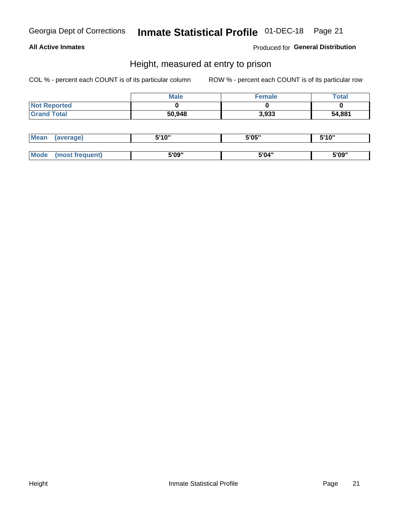## Inmate Statistical Profile 01-DEC-18 Page 21

#### **All Active Inmates**

Produced for General Distribution

### Height, measured at entry to prison

COL % - percent each COUNT is of its particular column

|                     | <b>Male</b> | Female | Total  |
|---------------------|-------------|--------|--------|
| <b>Not Reported</b> |             |        |        |
| <b>Grand Total</b>  | 50,948      | 3,933  | 54,881 |

| <b>Mean</b> | erage) | 5'10" | 5'05" | <b>CIA AIL</b><br>. . |
|-------------|--------|-------|-------|-----------------------|
|             |        |       |       |                       |
| <b>Mode</b> |        | 5'09" | 5'04" | 5'09"                 |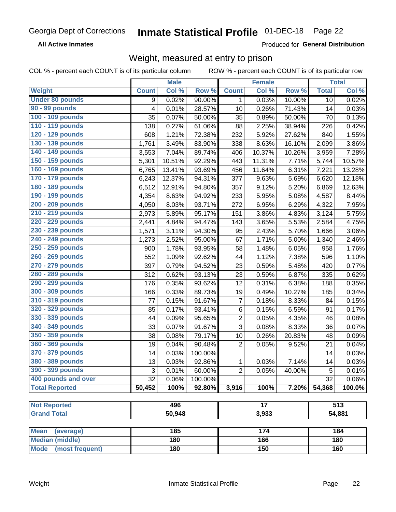#### Inmate Statistical Profile 01-DEC-18 Page 22

**All Active Inmates** 

Produced for General Distribution

## Weight, measured at entry to prison

COL % - percent each COUNT is of its particular column

|                                           |              | <b>Male</b> |         | <b>Female</b>   |        |                  | <b>Total</b>               |        |  |
|-------------------------------------------|--------------|-------------|---------|-----------------|--------|------------------|----------------------------|--------|--|
| Weight                                    | <b>Count</b> | Col %       | Row %   | <b>Count</b>    | Col %  | Row <sup>%</sup> | <b>Total</b>               | Col %  |  |
| <b>Under 80 pounds</b>                    | 9            | 0.02%       | 90.00%  | $\mathbf{1}$    | 0.03%  | 10.00%           | 10                         | 0.02%  |  |
| 90 - 99 pounds                            | 4            | 0.01%       | 28.57%  | 10              | 0.26%  | 71.43%           | 14                         | 0.03%  |  |
| 100 - 109 pounds                          | 35           | 0.07%       | 50.00%  | 35              | 0.89%  | 50.00%           | 70                         | 0.13%  |  |
| 110 - 119 pounds                          | 138          | 0.27%       | 61.06%  | 88              | 2.25%  | 38.94%           | 226                        | 0.42%  |  |
| 120 - 129 pounds                          | 608          | 1.21%       | 72.38%  | 232             | 5.92%  | 27.62%           | 840                        | 1.55%  |  |
| 130 - 139 pounds                          | 1,761        | 3.49%       | 83.90%  | 338             | 8.63%  | 16.10%           | 2,099                      | 3.86%  |  |
| 140 - 149 pounds                          | 3,553        | 7.04%       | 89.74%  | 406             | 10.37% | 10.26%           | 3,959                      | 7.28%  |  |
| 150 - 159 pounds                          | 5,301        | 10.51%      | 92.29%  | 443             | 11.31% | 7.71%            | 5,744                      | 10.57% |  |
| 160 - 169 pounds                          | 6,765        | 13.41%      | 93.69%  | 456             | 11.64% | 6.31%            | 7,221                      | 13.28% |  |
| 170 - 179 pounds                          | 6,243        | 12.37%      | 94.31%  | 377             | 9.63%  | 5.69%            | 6,620                      | 12.18% |  |
| 180 - 189 pounds                          | 6,512        | 12.91%      | 94.80%  | 357             | 9.12%  | 5.20%            | 6,869                      | 12.63% |  |
| 190 - 199 pounds                          | 4,354        | 8.63%       | 94.92%  | 233             | 5.95%  | 5.08%            | 4,587                      | 8.44%  |  |
| 200 - 209 pounds                          | 4,050        | 8.03%       | 93.71%  | 272             | 6.95%  | 6.29%            | 4,322                      | 7.95%  |  |
| 210 - 219 pounds                          | 2,973        | 5.89%       | 95.17%  | 151             | 3.86%  | 4.83%            | 3,124                      | 5.75%  |  |
| 220 - 229 pounds                          | 2,441        | 4.84%       | 94.47%  | 143             | 3.65%  | 5.53%            | 2,584                      | 4.75%  |  |
| 230 - 239 pounds                          | 1,571        | 3.11%       | 94.30%  | 95              | 2.43%  | 5.70%            | 1,666                      | 3.06%  |  |
| 240 - 249 pounds                          | 1,273        | 2.52%       | 95.00%  | 67              | 1.71%  | 5.00%            | 1,340                      | 2.46%  |  |
| 250 - 259 pounds                          | 900          | 1.78%       | 93.95%  | 58              | 1.48%  | 6.05%            | 958                        | 1.76%  |  |
| 260 - 269 pounds                          | 552          | 1.09%       | 92.62%  | 44              | 1.12%  | 7.38%            | 596                        | 1.10%  |  |
| 270 - 279 pounds                          | 397          | 0.79%       | 94.52%  | 23              | 0.59%  | 5.48%            | 420                        | 0.77%  |  |
| 280 - 289 pounds                          | 312          | 0.62%       | 93.13%  | 23              | 0.59%  | 6.87%            | 335                        | 0.62%  |  |
| 290 - 299 pounds                          | 176          | 0.35%       | 93.62%  | 12              | 0.31%  | 6.38%            | 188                        | 0.35%  |  |
| 300 - 309 pounds                          | 166          | 0.33%       | 89.73%  | 19              | 0.49%  | 10.27%           | 185                        | 0.34%  |  |
| 310 - 319 pounds                          | 77           | 0.15%       | 91.67%  | $\overline{7}$  | 0.18%  | 8.33%            | 84                         | 0.15%  |  |
| 320 - 329 pounds                          | 85           | 0.17%       | 93.41%  | 6               | 0.15%  | 6.59%            | 91                         | 0.17%  |  |
| 330 - 339 pounds                          | 44           | 0.09%       | 95.65%  | 2               | 0.05%  | 4.35%            | 46                         | 0.08%  |  |
| 340 - 349 pounds                          | 33           | 0.07%       | 91.67%  | 3               | 0.08%  | 8.33%            | 36                         | 0.07%  |  |
| 350 - 359 pounds                          | 38           | 0.08%       | 79.17%  | 10              | 0.26%  | 20.83%           | 48                         | 0.09%  |  |
| 360 - 369 pounds                          | 19           | 0.04%       | 90.48%  | $\overline{2}$  | 0.05%  | 9.52%            | 21                         | 0.04%  |  |
| 370 - 379 pounds                          | 14           | 0.03%       | 100.00% |                 |        |                  | 14                         | 0.03%  |  |
| 380 - 389 pounds                          | 13           | 0.03%       | 92.86%  | 1               | 0.03%  | 7.14%            | 14                         | 0.03%  |  |
| 390 - 399 pounds                          | 3            | 0.01%       | 60.00%  | $\overline{2}$  | 0.05%  | 40.00%           | 5                          | 0.01%  |  |
| 400 pounds and over                       | 32           | 0.06%       | 100.00% |                 |        |                  | 32                         | 0.06%  |  |
| <b>Total Reported</b>                     | 50,452       | 100%        | 92.80%  | 3,916           | 100%   | 7.20%            | 54,368                     | 100.0% |  |
|                                           |              | 496         |         |                 |        |                  |                            |        |  |
| <b>Not Reported</b><br><b>Grand Total</b> |              | 50,948      |         | $\overline{17}$ |        |                  | $\overline{513}$<br>54,881 |        |  |
|                                           |              |             |         | 3,933           |        |                  |                            |        |  |
| <b>Mean</b><br>(average)                  |              | 185         |         |                 | 174    |                  |                            | 184    |  |
| <b>Median (middle)</b>                    |              | 180         |         |                 | 166    |                  |                            | 180    |  |
| <b>Mode</b><br>(most frequent)            |              | 180         |         |                 | 150    |                  | 160                        |        |  |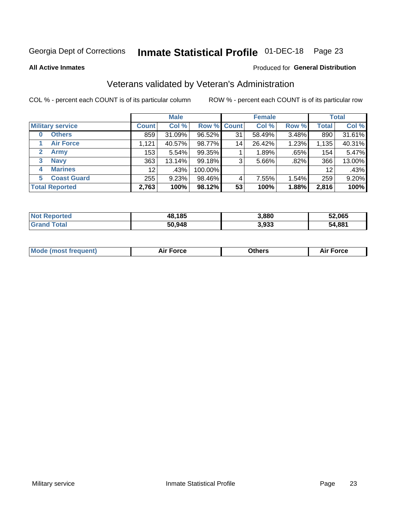## Inmate Statistical Profile 01-DEC-18 Page 23

**All Active Inmates** 

#### Produced for General Distribution

## Veterans validated by Veteran's Administration

COL % - percent each COUNT is of its particular column

|                             |                 | <b>Male</b> |         |                    | <b>Female</b> |          |              | <b>Total</b> |
|-----------------------------|-----------------|-------------|---------|--------------------|---------------|----------|--------------|--------------|
| <b>Military service</b>     | <b>Count</b>    | Col %       |         | <b>Row % Count</b> | Col %         | Row %    | <b>Total</b> | Col %        |
| <b>Others</b><br>0          | 859             | 31.09%      | 96.52%  | 31                 | 58.49%        | 3.48%    | 890          | 31.61%       |
| <b>Air Force</b>            | 1,121           | 40.57%      | 98.77%  | 14                 | 26.42%        | 1.23%    | 1,135        | 40.31%       |
| <b>Army</b><br>$\mathbf{2}$ | 153             | 5.54%       | 99.35%  |                    | 1.89%         | .65%     | 154          | 5.47%        |
| <b>Navy</b><br>3            | 363             | 13.14%      | 99.18%  | 3                  | 5.66%         | .82%     | 366          | 13.00%       |
| <b>Marines</b><br>4         | 12 <sup>2</sup> | .43%        | 100.00% |                    |               |          | 12           | .43%         |
| <b>Coast Guard</b><br>5.    | 255             | 9.23%       | 98.46%  | 4                  | 7.55%         | $1.54\%$ | 259          | 9.20%        |
| <b>Total Reported</b>       | 2,763           | 100%        | 98.12%  | 53                 | 100%          | 1.88%    | 2,816        | 100%         |

| <b>ported</b><br><b>Not</b> | 48,185 | 3,880 | 52,065 |
|-----------------------------|--------|-------|--------|
| <b>Total</b>                | 50,948 | 3,933 | 54,881 |

|  |  | <b>Mode (most frequent)</b> | <b>Force</b><br>Aır | วthers | orce |
|--|--|-----------------------------|---------------------|--------|------|
|--|--|-----------------------------|---------------------|--------|------|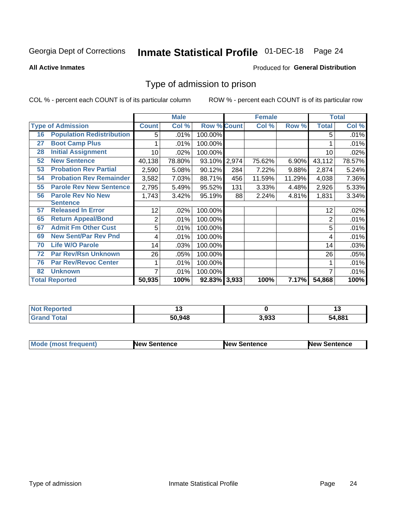## Inmate Statistical Profile 01-DEC-18 Page 24

**All Active Inmates** 

#### Produced for General Distribution

## Type of admission to prison

COL % - percent each COUNT is of its particular column

|    |                                  |              | <b>Male</b> |                    |     | <b>Female</b> |        |              | <b>Total</b> |
|----|----------------------------------|--------------|-------------|--------------------|-----|---------------|--------|--------------|--------------|
|    | <b>Type of Admission</b>         | <b>Count</b> | Col %       | <b>Row % Count</b> |     | Col %         | Row %  | <b>Total</b> | Col %        |
| 16 | <b>Population Redistribution</b> | 5            | .01%        | 100.00%            |     |               |        | 5            | .01%         |
| 27 | <b>Boot Camp Plus</b>            |              | .01%        | 100.00%            |     |               |        |              | .01%         |
| 28 | <b>Initial Assignment</b>        | 10           | .02%        | 100.00%            |     |               |        | 10           | .02%         |
| 52 | <b>New Sentence</b>              | 40,138       | 78.80%      | 93.10% 2,974       |     | 75.62%        | 6.90%  | 43,112       | 78.57%       |
| 53 | <b>Probation Rev Partial</b>     | 2,590        | 5.08%       | 90.12%             | 284 | 7.22%         | 9.88%  | 2,874        | 5.24%        |
| 54 | <b>Probation Rev Remainder</b>   | 3,582        | 7.03%       | 88.71%             | 456 | 11.59%        | 11.29% | 4,038        | 7.36%        |
| 55 | <b>Parole Rev New Sentence</b>   | 2,795        | 5.49%       | 95.52%             | 131 | 3.33%         | 4.48%  | 2,926        | 5.33%        |
| 56 | <b>Parole Rev No New</b>         | 1,743        | 3.42%       | 95.19%             | 88  | 2.24%         | 4.81%  | 1,831        | 3.34%        |
|    | <b>Sentence</b>                  |              |             |                    |     |               |        |              |              |
| 57 | <b>Released In Error</b>         | 12           | .02%        | 100.00%            |     |               |        | 12           | .02%         |
| 65 | <b>Return Appeal/Bond</b>        | 2            | .01%        | 100.00%            |     |               |        | 2            | .01%         |
| 67 | <b>Admit Fm Other Cust</b>       | 5            | .01%        | 100.00%            |     |               |        | 5            | .01%         |
| 69 | <b>New Sent/Par Rev Pnd</b>      | 4            | .01%        | 100.00%            |     |               |        | 4            | .01%         |
| 70 | <b>Life W/O Parole</b>           | 14           | .03%        | 100.00%            |     |               |        | 14           | .03%         |
| 72 | <b>Par Rev/Rsn Unknown</b>       | 26           | .05%        | 100.00%            |     |               |        | 26           | .05%         |
| 76 | <b>Par Rev/Revoc Center</b>      |              | .01%        | 100.00%            |     |               |        |              | .01%         |
| 82 | <b>Unknown</b>                   |              | .01%        | 100.00%            |     |               |        | 7            | .01%         |
|    | <b>Total Reported</b>            | 50,935       | 100%        | 92.83% 3,933       |     | 100%          | 7.17%  | 54,868       | 100%         |

| <b>Not Reported</b>    |        |       | '      |
|------------------------|--------|-------|--------|
| <b>Total</b><br>'Grand | 50,948 | 3,933 | 54,881 |

| <b>Mode (most frequent)</b> | <b>New Sentence</b> | <b>New Sentence</b> | <b>New Sentence</b> |
|-----------------------------|---------------------|---------------------|---------------------|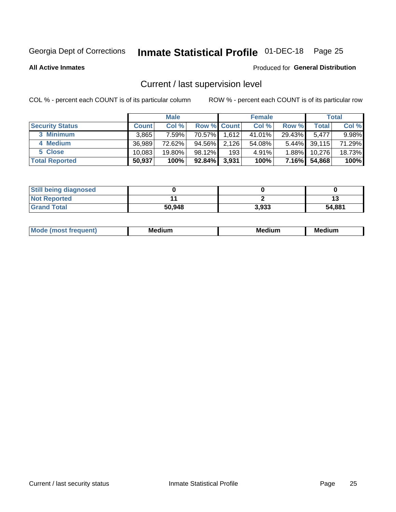## Inmate Statistical Profile 01-DEC-18 Page 25

**All Active Inmates** 

#### Produced for General Distribution

## Current / last supervision level

COL % - percent each COUNT is of its particular column

|                        |              | <b>Male</b> |             |       | <b>Female</b> |          |        | <b>Total</b> |
|------------------------|--------------|-------------|-------------|-------|---------------|----------|--------|--------------|
| <b>Security Status</b> | <b>Count</b> | Col %       | Row % Count |       | Col %         | Row %    | Total  | Col %        |
| 3 Minimum              | 3,865        | 7.59%l      | 70.57%      | 1,612 | 41.01%        | 29.43%   | 5,477  | 9.98%        |
| 4 Medium               | 36.989       | 72.62%      | 94.56%      | 2,126 | 54.08%        | $5.44\%$ | 39,115 | 71.29%       |
| 5 Close                | 10,083       | 19.80%      | 98.12%      | 193   | 4.91%         | 1.88%    | 10,276 | 18.73%       |
| <b>Total Reported</b>  | 50,937       | 100%        | 92.84%      | 3,931 | 100%          | $7.16\%$ | 54,868 | 100%         |

| <b>Still being diagnosed</b> |        |       |        |
|------------------------------|--------|-------|--------|
| <b>Not Reported</b>          |        |       |        |
| <b>Grand Total</b>           | 50,948 | 3,933 | 54,881 |

| M | M | . . |
|---|---|-----|
|   |   |     |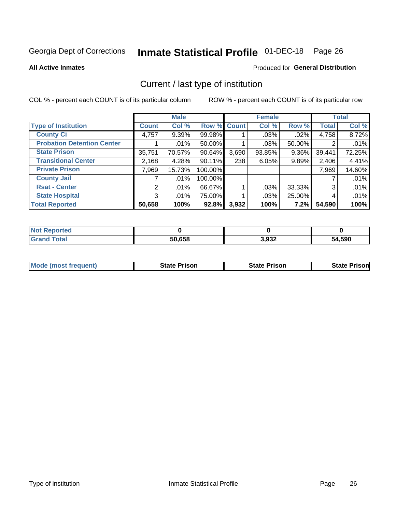## Inmate Statistical Profile 01-DEC-18 Page 26

**All Active Inmates** 

#### Produced for General Distribution

## Current / last type of institution

COL % - percent each COUNT is of its particular column

|                                   |                | <b>Male</b> |             |       | <b>Female</b> |        |              | <b>Total</b> |
|-----------------------------------|----------------|-------------|-------------|-------|---------------|--------|--------------|--------------|
| <b>Type of Institution</b>        | <b>Count</b>   | Col %       | Row % Count |       | Col %         | Row %  | <b>Total</b> | Col %        |
| <b>County Ci</b>                  | 4,757          | $9.39\%$    | 99.98%      |       | $.03\%$       | .02%   | 4,758        | 8.72%        |
| <b>Probation Detention Center</b> |                | .01%        | 50.00%      |       | .03%          | 50.00% |              | .01%         |
| <b>State Prison</b>               | 35,751         | 70.57%      | $90.64\%$   | 3,690 | 93.85%        | 9.36%  | 39,441       | 72.25%       |
| <b>Transitional Center</b>        | 2,168          | 4.28%       | 90.11%      | 238   | 6.05%         | 9.89%  | 2,406        | 4.41%        |
| <b>Private Prison</b>             | 7,969          | 15.73%      | 100.00%     |       |               |        | 7,969        | 14.60%       |
| <b>County Jail</b>                |                | .01%        | 100.00%     |       |               |        |              | .01%         |
| <b>Rsat - Center</b>              | $\overline{2}$ | .01%        | 66.67%      |       | .03%          | 33.33% | 3            | .01%         |
| <b>State Hospital</b>             | 3 <sup>1</sup> | $.01\%$     | 75.00%      |       | .03%          | 25.00% | 4            | .01%         |
| <b>Total Reported</b>             | 50,658         | 100%        | 92.8%       | 3,932 | 100%          | 7.2%   | 54,590       | 100%         |

| <b>Not</b><br>Reported |        |       |        |
|------------------------|--------|-------|--------|
| Total                  | 50,658 | 3,932 | 54,590 |

| <b>Mode (most frequent)</b> | <b>State Prison</b> | <b>State Prison</b> | <b>State Prisonl</b> |
|-----------------------------|---------------------|---------------------|----------------------|
|                             |                     |                     |                      |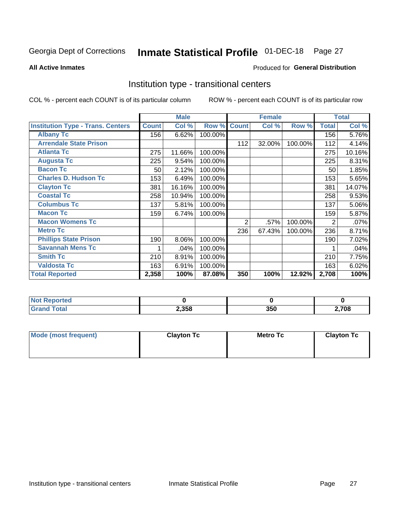## Inmate Statistical Profile 01-DEC-18 Page 27

#### **All Active Inmates**

### **Produced for General Distribution**

### Institution type - transitional centers

COL % - percent each COUNT is of its particular column

|                                          |              | <b>Male</b> |         |                | <b>Female</b> |         |              | <b>Total</b> |
|------------------------------------------|--------------|-------------|---------|----------------|---------------|---------|--------------|--------------|
| <b>Institution Type - Trans. Centers</b> | <b>Count</b> | Col %       | Row %   | <b>Count</b>   | Col %         | Row %   | <b>Total</b> | Col %        |
| <b>Albany Tc</b>                         | 156          | 6.62%       | 100.00% |                |               |         | 156          | 5.76%        |
| <b>Arrendale State Prison</b>            |              |             |         | 112            | 32.00%        | 100.00% | 112          | 4.14%        |
| <b>Atlanta Tc</b>                        | 275          | 11.66%      | 100.00% |                |               |         | 275          | 10.16%       |
| <b>Augusta Tc</b>                        | 225          | 9.54%       | 100.00% |                |               |         | 225          | 8.31%        |
| <b>Bacon Tc</b>                          | 50           | 2.12%       | 100.00% |                |               |         | 50           | 1.85%        |
| <b>Charles D. Hudson Tc</b>              | 153          | 6.49%       | 100.00% |                |               |         | 153          | 5.65%        |
| <b>Clayton Tc</b>                        | 381          | 16.16%      | 100.00% |                |               |         | 381          | 14.07%       |
| <b>Coastal Tc</b>                        | 258          | 10.94%      | 100.00% |                |               |         | 258          | 9.53%        |
| <b>Columbus Tc</b>                       | 137          | 5.81%       | 100.00% |                |               |         | 137          | 5.06%        |
| <b>Macon Tc</b>                          | 159          | 6.74%       | 100.00% |                |               |         | 159          | 5.87%        |
| <b>Macon Womens Tc</b>                   |              |             |         | $\overline{2}$ | .57%          | 100.00% | 2            | .07%         |
| <b>Metro Tc</b>                          |              |             |         | 236            | 67.43%        | 100.00% | 236          | 8.71%        |
| <b>Phillips State Prison</b>             | 190          | 8.06%       | 100.00% |                |               |         | 190          | 7.02%        |
| <b>Savannah Mens Tc</b>                  | 1            | .04%        | 100.00% |                |               |         |              | .04%         |
| <b>Smith Tc</b>                          | 210          | 8.91%       | 100.00% |                |               |         | 210          | 7.75%        |
| <b>Valdosta Tc</b>                       | 163          | 6.91%       | 100.00% |                |               |         | 163          | 6.02%        |
| <b>Total Reported</b>                    | 2,358        | 100%        | 87.08%  | 350            | 100%          | 12.92%  | 2,708        | 100%         |

| Reported |       |     |      |
|----------|-------|-----|------|
| Total    | 2,358 | 350 | ,708 |

| Mode (most frequent) | <b>Clayton Tc</b> | Metro Tc | <b>Clayton Tc</b> |
|----------------------|-------------------|----------|-------------------|
|                      |                   |          |                   |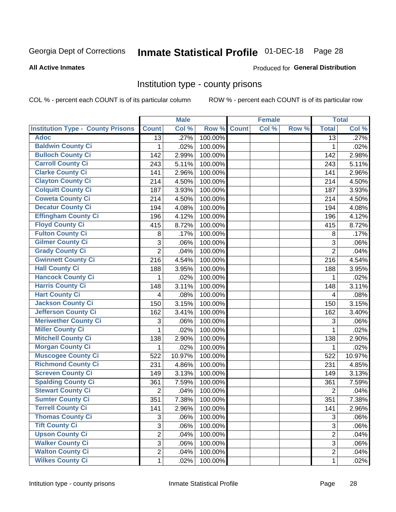## Inmate Statistical Profile 01-DEC-18 Page 28

#### **All Active Inmates**

#### Produced for General Distribution

### Institution type - county prisons

COL % - percent each COUNT is of its particular column

|                                          |                 | <b>Male</b> |         |              | <b>Female</b> |       |                 | <b>Total</b> |
|------------------------------------------|-----------------|-------------|---------|--------------|---------------|-------|-----------------|--------------|
| <b>Institution Type - County Prisons</b> | <b>Count</b>    | Col %       | Row %   | <b>Count</b> | Col %         | Row % | <b>Total</b>    | Col %        |
| <b>Adoc</b>                              | $\overline{13}$ | .27%        | 100.00% |              |               |       | $\overline{13}$ | .27%         |
| <b>Baldwin County Ci</b>                 | 1               | .02%        | 100.00% |              |               |       | 1               | .02%         |
| <b>Bulloch County Ci</b>                 | 142             | 2.99%       | 100.00% |              |               |       | 142             | 2.98%        |
| <b>Carroll County Ci</b>                 | 243             | 5.11%       | 100.00% |              |               |       | 243             | 5.11%        |
| <b>Clarke County Ci</b>                  | 141             | 2.96%       | 100.00% |              |               |       | 141             | 2.96%        |
| <b>Clayton County Ci</b>                 | 214             | 4.50%       | 100.00% |              |               |       | 214             | 4.50%        |
| <b>Colquitt County Ci</b>                | 187             | 3.93%       | 100.00% |              |               |       | 187             | 3.93%        |
| <b>Coweta County Ci</b>                  | 214             | 4.50%       | 100.00% |              |               |       | 214             | 4.50%        |
| <b>Decatur County Ci</b>                 | 194             | 4.08%       | 100.00% |              |               |       | 194             | 4.08%        |
| <b>Effingham County Ci</b>               | 196             | 4.12%       | 100.00% |              |               |       | 196             | 4.12%        |
| <b>Floyd County Ci</b>                   | 415             | 8.72%       | 100.00% |              |               |       | 415             | 8.72%        |
| <b>Fulton County Ci</b>                  | 8               | .17%        | 100.00% |              |               |       | $\,8\,$         | .17%         |
| <b>Gilmer County Ci</b>                  | 3               | .06%        | 100.00% |              |               |       | 3               | .06%         |
| <b>Grady County Ci</b>                   | $\overline{2}$  | .04%        | 100.00% |              |               |       | $\overline{2}$  | .04%         |
| <b>Gwinnett County Ci</b>                | 216             | 4.54%       | 100.00% |              |               |       | 216             | 4.54%        |
| <b>Hall County Ci</b>                    | 188             | 3.95%       | 100.00% |              |               |       | 188             | 3.95%        |
| <b>Hancock County Ci</b>                 | 1               | .02%        | 100.00% |              |               |       | 1               | .02%         |
| <b>Harris County Ci</b>                  | 148             | 3.11%       | 100.00% |              |               |       | 148             | 3.11%        |
| <b>Hart County Ci</b>                    | 4               | .08%        | 100.00% |              |               |       | 4               | .08%         |
| <b>Jackson County Ci</b>                 | 150             | 3.15%       | 100.00% |              |               |       | 150             | 3.15%        |
| <b>Jefferson County Ci</b>               | 162             | 3.41%       | 100.00% |              |               |       | 162             | 3.40%        |
| <b>Meriwether County Ci</b>              | 3               | .06%        | 100.00% |              |               |       | 3               | .06%         |
| <b>Miller County Ci</b>                  | 1               | .02%        | 100.00% |              |               |       | 1               | .02%         |
| <b>Mitchell County Ci</b>                | 138             | 2.90%       | 100.00% |              |               |       | 138             | 2.90%        |
| <b>Morgan County Ci</b>                  | 1               | .02%        | 100.00% |              |               |       | 1               | .02%         |
| <b>Muscogee County Ci</b>                | 522             | 10.97%      | 100.00% |              |               |       | 522             | 10.97%       |
| <b>Richmond County Ci</b>                | 231             | 4.86%       | 100.00% |              |               |       | 231             | 4.85%        |
| <b>Screven County Ci</b>                 | 149             | 3.13%       | 100.00% |              |               |       | 149             | 3.13%        |
| <b>Spalding County Ci</b>                | 361             | 7.59%       | 100.00% |              |               |       | 361             | 7.59%        |
| <b>Stewart County Ci</b>                 | $\overline{2}$  | .04%        | 100.00% |              |               |       | $\overline{2}$  | .04%         |
| <b>Sumter County Ci</b>                  | 351             | 7.38%       | 100.00% |              |               |       | 351             | 7.38%        |
| <b>Terrell County Ci</b>                 | 141             | 2.96%       | 100.00% |              |               |       | 141             | 2.96%        |
| <b>Thomas County Ci</b>                  | 3               | .06%        | 100.00% |              |               |       | 3               | .06%         |
| <b>Tift County Ci</b>                    | 3               | .06%        | 100.00% |              |               |       | 3               | .06%         |
| <b>Upson County Ci</b>                   | $\overline{2}$  | .04%        | 100.00% |              |               |       | $\overline{2}$  | .04%         |
| <b>Walker County Ci</b>                  | 3               | .06%        | 100.00% |              |               |       | 3               | .06%         |
| <b>Walton County Ci</b>                  | $\overline{2}$  | .04%        | 100.00% |              |               |       | $\overline{2}$  | .04%         |
| <b>Wilkes County Ci</b>                  | 1               | .02%        | 100.00% |              |               |       | $\mathbf{1}$    | .02%         |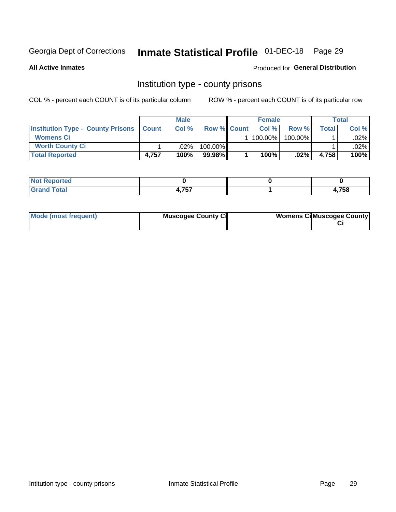## Inmate Statistical Profile 01-DEC-18 Page 29

**All Active Inmates** 

### **Produced for General Distribution**

### Institution type - county prisons

COL % - percent each COUNT is of its particular column

|                                                    |       | <b>Male</b> |                    | <b>Female</b> |            |       | <b>Total</b> |
|----------------------------------------------------|-------|-------------|--------------------|---------------|------------|-------|--------------|
| <b>Institution Type - County Prisons   Count  </b> |       | Col %       | <b>Row % Count</b> | Col%          | Row %      | Total | Col %        |
| <b>Womens Ci</b>                                   |       |             |                    | $ 100.00\% $  | $100.00\%$ |       | $.02\%$      |
| <b>Worth County Ci</b>                             |       | $.02\%$     | 100.00%            |               |            |       | .02% l       |
| <b>Total Reported</b>                              | 4.757 | 100%        | $99.98\%$          | 100%          | $.02\%$    | 4.758 | 100%         |

| Reported<br>$\sim$ |            |       |
|--------------------|------------|-------|
| Гоtal              | フェフ<br>. . | 1,758 |

| Mode (most frequent) | <b>Muscogee County Ci</b> | <b>Womens Cil Muscogee County</b> |  |
|----------------------|---------------------------|-----------------------------------|--|
|----------------------|---------------------------|-----------------------------------|--|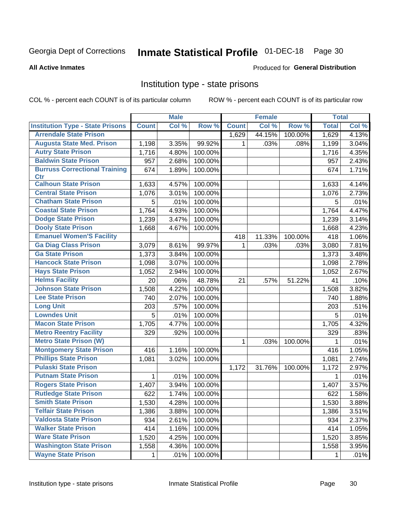## Inmate Statistical Profile 01-DEC-18 Page 30

#### **All Active Inmates**

#### Produced for General Distribution

## Institution type - state prisons

COL % - percent each COUNT is of its particular column

|                                         |              | <b>Male</b> |         |              | <b>Female</b> |         | <b>Total</b> |       |
|-----------------------------------------|--------------|-------------|---------|--------------|---------------|---------|--------------|-------|
| <b>Institution Type - State Prisons</b> | <b>Count</b> | Col %       | Row %   | <b>Count</b> | Col %         | Row %   | <b>Total</b> | Col % |
| <b>Arrendale State Prison</b>           |              |             |         | 1,629        | 44.15%        | 100.00% | 1,629        | 4.13% |
| <b>Augusta State Med. Prison</b>        | 1,198        | 3.35%       | 99.92%  | 1            | .03%          | .08%    | 1,199        | 3.04% |
| <b>Autry State Prison</b>               | 1,716        | 4.80%       | 100.00% |              |               |         | 1,716        | 4.35% |
| <b>Baldwin State Prison</b>             | 957          | 2.68%       | 100.00% |              |               |         | 957          | 2.43% |
| <b>Burruss Correctional Training</b>    | 674          | 1.89%       | 100.00% |              |               |         | 674          | 1.71% |
| <b>Ctr</b>                              |              |             |         |              |               |         |              |       |
| <b>Calhoun State Prison</b>             | 1,633        | 4.57%       | 100.00% |              |               |         | 1,633        | 4.14% |
| <b>Central State Prison</b>             | 1,076        | 3.01%       | 100.00% |              |               |         | 1,076        | 2.73% |
| <b>Chatham State Prison</b>             | 5            | .01%        | 100.00% |              |               |         | 5            | .01%  |
| <b>Coastal State Prison</b>             | 1,764        | 4.93%       | 100.00% |              |               |         | 1,764        | 4.47% |
| <b>Dodge State Prison</b>               | 1,239        | 3.47%       | 100.00% |              |               |         | 1,239        | 3.14% |
| <b>Dooly State Prison</b>               | 1,668        | 4.67%       | 100.00% |              |               |         | 1,668        | 4.23% |
| <b>Emanuel Women'S Facility</b>         |              |             |         | 418          | 11.33%        | 100.00% | 418          | 1.06% |
| <b>Ga Diag Class Prison</b>             | 3,079        | 8.61%       | 99.97%  | 1            | .03%          | .03%    | 3,080        | 7.81% |
| <b>Ga State Prison</b>                  | 1,373        | 3.84%       | 100.00% |              |               |         | 1,373        | 3.48% |
| <b>Hancock State Prison</b>             | 1,098        | 3.07%       | 100.00% |              |               |         | 1,098        | 2.78% |
| <b>Hays State Prison</b>                | 1,052        | 2.94%       | 100.00% |              |               |         | 1,052        | 2.67% |
| <b>Helms Facility</b>                   | 20           | .06%        | 48.78%  | 21           | .57%          | 51.22%  | 41           | .10%  |
| <b>Johnson State Prison</b>             | 1,508        | 4.22%       | 100.00% |              |               |         | 1,508        | 3.82% |
| <b>Lee State Prison</b>                 | 740          | 2.07%       | 100.00% |              |               |         | 740          | 1.88% |
| <b>Long Unit</b>                        | 203          | .57%        | 100.00% |              |               |         | 203          | .51%  |
| <b>Lowndes Unit</b>                     | 5            | .01%        | 100.00% |              |               |         | 5            | .01%  |
| <b>Macon State Prison</b>               | 1,705        | 4.77%       | 100.00% |              |               |         | 1,705        | 4.32% |
| <b>Metro Reentry Facility</b>           | 329          | .92%        | 100.00% |              |               |         | 329          | .83%  |
| <b>Metro State Prison (W)</b>           |              |             |         | $\mathbf 1$  | .03%          | 100.00% | 1            | .01%  |
| <b>Montgomery State Prison</b>          | 416          | 1.16%       | 100.00% |              |               |         | 416          | 1.05% |
| <b>Phillips State Prison</b>            | 1,081        | 3.02%       | 100.00% |              |               |         | 1,081        | 2.74% |
| <b>Pulaski State Prison</b>             |              |             |         | 1,172        | 31.76%        | 100.00% | 1,172        | 2.97% |
| <b>Putnam State Prison</b>              | $\mathbf{1}$ | .01%        | 100.00% |              |               |         | 1            | .01%  |
| <b>Rogers State Prison</b>              | 1,407        | 3.94%       | 100.00% |              |               |         | 1,407        | 3.57% |
| <b>Rutledge State Prison</b>            | 622          | 1.74%       | 100.00% |              |               |         | 622          | 1.58% |
| <b>Smith State Prison</b>               | 1,530        | 4.28%       | 100.00% |              |               |         | 1,530        | 3.88% |
| <b>Telfair State Prison</b>             | 1,386        | 3.88%       | 100.00% |              |               |         | 1,386        | 3.51% |
| <b>Valdosta State Prison</b>            | 934          | 2.61%       | 100.00% |              |               |         | 934          | 2.37% |
| <b>Walker State Prison</b>              | 414          | 1.16%       | 100.00% |              |               |         | 414          | 1.05% |
| <b>Ware State Prison</b>                | 1,520        | 4.25%       | 100.00% |              |               |         | 1,520        | 3.85% |
| <b>Washington State Prison</b>          | 1,558        | 4.36%       | 100.00% |              |               |         | 1,558        | 3.95% |
| <b>Wayne State Prison</b>               | $\mathbf{1}$ | .01%        | 100.00% |              |               |         | 1            | .01%  |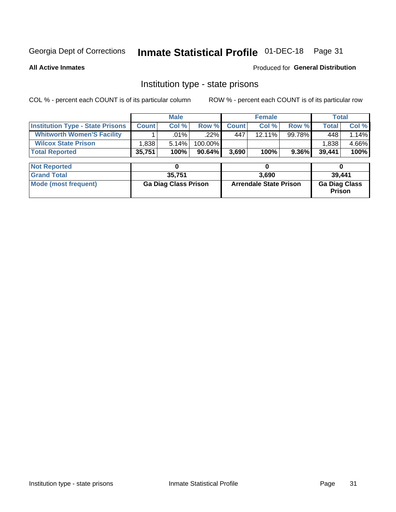## Inmate Statistical Profile 01-DEC-18 Page 31

**All Active Inmates** 

Produced for General Distribution

### Institution type - state prisons

COL % - percent each COUNT is of its particular column ROW % - percent each COUNT is of its particular row

|                                         |                             | <b>Male</b> |                               | <b>Female</b> |           |                                       | <b>Total</b> |       |
|-----------------------------------------|-----------------------------|-------------|-------------------------------|---------------|-----------|---------------------------------------|--------------|-------|
| <b>Institution Type - State Prisons</b> | <b>Count</b>                | Col %       | Row %                         | <b>Count</b>  | Col %     | Row %                                 | <b>Total</b> | Col % |
| <b>Whitworth Women'S Facility</b>       |                             | $.01\%$     | .22%                          | 447           | $12.11\%$ | 99.78%                                | 448          | 1.14% |
| <b>Wilcox State Prison</b>              | 1,838                       | 5.14%       | 100.00%                       |               |           |                                       | 1,838        | 4.66% |
| <b>Total Reported</b>                   | 35,751                      | 100%        | 90.64%                        | 3,690         | 100%      | 9.36%                                 | 39,441       | 100%  |
|                                         |                             |             |                               |               |           |                                       |              |       |
| <b>Not Reported</b>                     |                             | 0           |                               |               | 0         |                                       | 0            |       |
| <b>Grand Total</b>                      |                             | 35,751      |                               | 3,690         |           |                                       | 39,441       |       |
| <b>Mode (most frequent)</b>             | <b>Ga Diag Class Prison</b> |             | <b>Arrendale State Prison</b> |               |           | <b>Ga Diag Class</b><br><b>Prison</b> |              |       |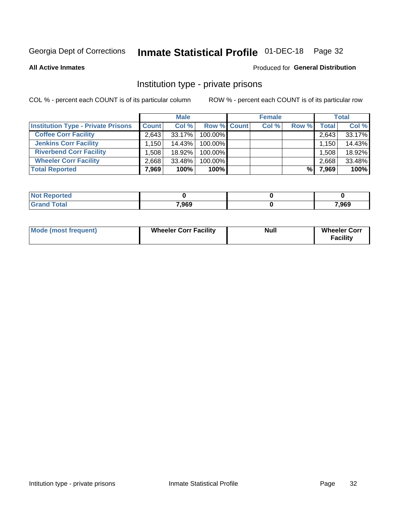## Inmate Statistical Profile 01-DEC-18 Page 32

**All Active Inmates** 

#### Produced for General Distribution

## Institution type - private prisons

COL % - percent each COUNT is of its particular column

|                                           |              | <b>Male</b> |                    | <b>Female</b> |       |       | <b>Total</b> |
|-------------------------------------------|--------------|-------------|--------------------|---------------|-------|-------|--------------|
| <b>Institution Type - Private Prisons</b> | <b>Count</b> | Col %       | <b>Row % Count</b> | Col %         | Row % | Total | Col %        |
| <b>Coffee Corr Facility</b>               | 2.643        | 33.17%      | 100.00%            |               |       | 2,643 | 33.17%       |
| <b>Jenkins Corr Facility</b>              | $.150+$      | 14.43%      | 100.00%            |               |       | 1,150 | 14.43%       |
| <b>Riverbend Corr Facility</b>            | .508         | 18.92%      | 100.00%            |               |       | 1,508 | 18.92%       |
| <b>Wheeler Corr Facility</b>              | 2,668        | 33.48%      | 100.00%            |               |       | 2,668 | 33.48%       |
| <b>Total Reported</b>                     | 7,969        | 100%        | $100\%$            |               | %     | 7,969 | 100%         |

| <b>Not Reported</b> |       |       |
|---------------------|-------|-------|
| <b>Total</b>        | 7,969 | 7,969 |

| <b>Mode (most frequent)</b> | <b>Wheeler Corr Facility</b> | <b>Null</b> | <b>Wheeler Corr</b><br><b>Facility</b> |
|-----------------------------|------------------------------|-------------|----------------------------------------|
|-----------------------------|------------------------------|-------------|----------------------------------------|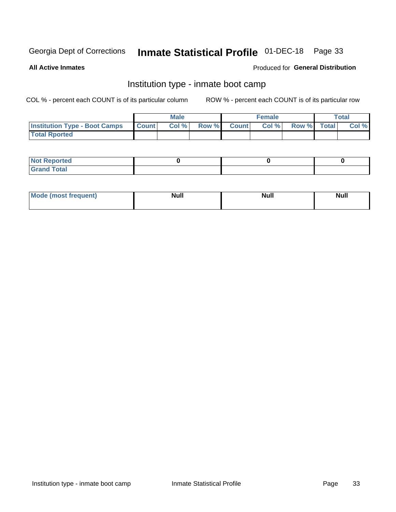## Inmate Statistical Profile 01-DEC-18 Page 33

**All Active Inmates** 

#### Produced for General Distribution

## Institution type - inmate boot camp

COL % - percent each COUNT is of its particular column

|                                            | <b>Male</b> |                    | <b>Female</b> |             | <b>Total</b> |
|--------------------------------------------|-------------|--------------------|---------------|-------------|--------------|
| <b>Institution Type - Boot Camps Count</b> | Col%        | <b>Row % Count</b> | Col%          | Row % Total | Col %        |
| <b>Total Rported</b>                       |             |                    |               |             |              |

| <b>Not Reported</b>            |  |  |
|--------------------------------|--|--|
| <b>Total</b><br>C <sub>r</sub> |  |  |

| Mod<br>uamo | Nul.<br>$- - - - - -$ | <b>Null</b> | . .<br>uu.<br>------ |
|-------------|-----------------------|-------------|----------------------|
|             |                       |             |                      |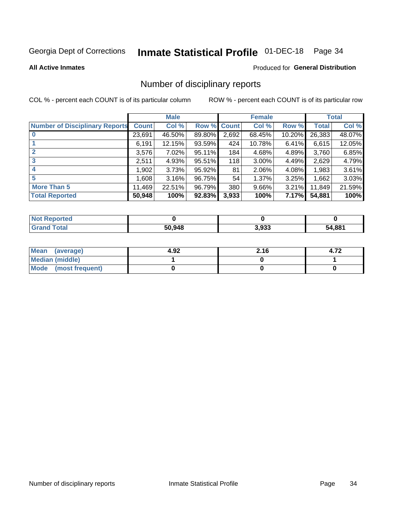## Inmate Statistical Profile 01-DEC-18 Page 34

#### **All Active Inmates**

### Produced for General Distribution

## Number of disciplinary reports

COL % - percent each COUNT is of its particular column

|                                       |              | <b>Male</b> |        |              | <b>Female</b> |        |              | <b>Total</b> |
|---------------------------------------|--------------|-------------|--------|--------------|---------------|--------|--------------|--------------|
| <b>Number of Disciplinary Reports</b> | <b>Count</b> | Col %       | Row %  | <b>Count</b> | Col %         | Row %  | <b>Total</b> | Col %        |
| $\bf{0}$                              | 23,691       | 46.50%      | 89.80% | 2,692        | 68.45%        | 10.20% | 26,383       | 48.07%       |
|                                       | 6,191        | 12.15%      | 93.59% | 424          | 10.78%        | 6.41%  | 6,615        | 12.05%       |
| $\mathbf{2}$                          | 3,576        | 7.02%       | 95.11% | 184          | 4.68%         | 4.89%  | 3,760        | 6.85%        |
| 3                                     | 2,511        | 4.93%       | 95.51% | 118          | $3.00\%$      | 4.49%  | 2,629        | 4.79%        |
| 4                                     | 902, 1       | 3.73%       | 95.92% | 81           | 2.06%         | 4.08%  | 1,983        | 3.61%        |
| 5                                     | 1,608        | 3.16%       | 96.75% | 54           | 1.37%         | 3.25%  | 1,662        | 3.03%        |
| <b>More Than 5</b>                    | 11,469       | 22.51%      | 96.79% | 380          | $9.66\%$      | 3.21%  | 11,849       | 21.59%       |
| <b>Total Reported</b>                 | 50,948       | 100%        | 92.83% | 3,933        | 100%          | 7.17%  | 54,881       | 100%         |

| <b>Not Reported</b> |        |       |        |
|---------------------|--------|-------|--------|
| <b>Total</b>        | 50,948 | 3,933 | 54,881 |

| Mean (average)       | 4.92 | 2.16 | 4.72 |
|----------------------|------|------|------|
| Median (middle)      |      |      |      |
| Mode (most frequent) |      |      |      |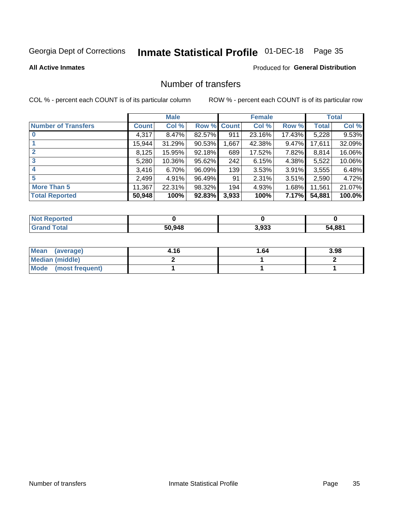## Inmate Statistical Profile 01-DEC-18 Page 35

#### **All Active Inmates**

### **Produced for General Distribution**

## Number of transfers

COL % - percent each COUNT is of its particular column

|                            |         | <b>Male</b> |             |       | <b>Female</b> |          |        | <b>Total</b> |
|----------------------------|---------|-------------|-------------|-------|---------------|----------|--------|--------------|
| <b>Number of Transfers</b> | Count l | Col %       | Row % Count |       | Col %         | Row %    | Total  | Col %        |
| $\bf{0}$                   | 4,317   | $8.47\%$    | 82.57%      | 911   | 23.16%        | 17.43%   | 5,228  | 9.53%        |
|                            | 15,944  | 31.29%      | 90.53%      | .667  | 42.38%        | $9.47\%$ | 17,611 | 32.09%       |
| $\mathbf{2}$               | 8,125   | 15.95%      | 92.18%      | 689   | 17.52%        | 7.82%    | 8,814  | 16.06%       |
| 3                          | 5,280   | 10.36%      | 95.62%      | 242   | 6.15%         | 4.38%    | 5,522  | 10.06%       |
| $\boldsymbol{4}$           | 3,416   | 6.70%       | 96.09%      | 139   | 3.53%         | $3.91\%$ | 3,555  | 6.48%        |
| 5                          | 2,499   | 4.91%       | 96.49%      | 91    | 2.31%         | 3.51%    | 2,590  | 4.72%        |
| <b>More Than 5</b>         | 11,367  | 22.31%      | 98.32%      | 194   | 4.93%         | 1.68%    | 11,561 | 21.07%       |
| <b>Total Reported</b>      | 50,948  | 100%        | 92.83%      | 3,933 | 100%          | 7.17%    | 54,881 | 100.0%       |

| <b>Not Reported</b> |        |       |        |
|---------------------|--------|-------|--------|
| <b>Total</b>        | 50,948 | 3,933 | 54,881 |

| Mean (average)         | 4.16 | 1.64 | 3.98 |
|------------------------|------|------|------|
| <b>Median (middle)</b> |      |      |      |
| Mode (most frequent)   |      |      |      |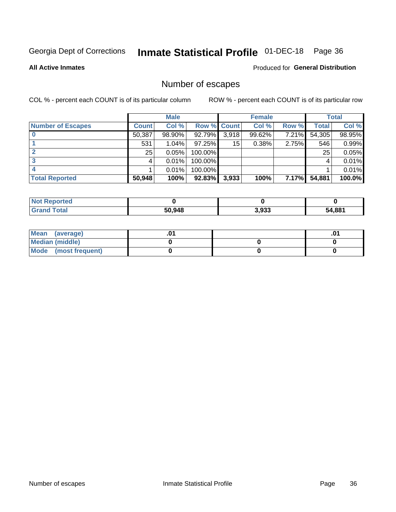## Inmate Statistical Profile 01-DEC-18 Page 36

**All Active Inmates** 

### **Produced for General Distribution**

## Number of escapes

COL % - percent each COUNT is of its particular column

|                          |              | <b>Male</b> |             |       | <b>Female</b> |              |        | <b>Total</b> |
|--------------------------|--------------|-------------|-------------|-------|---------------|--------------|--------|--------------|
| <b>Number of Escapes</b> | <b>Count</b> | Col %       | Row % Count |       | Col %         | Row %        | Total  | Col %        |
|                          | 50,387       | 98.90%      | 92.79%      | 3,918 | 99.62%        | 7.21%        | 54,305 | 98.95%       |
|                          | 531          | 1.04%       | 97.25%      | 15    | 0.38%         | 2.75%        | 546    | 0.99%        |
|                          | 25           | 0.05%       | 100.00%     |       |               |              | 25     | 0.05%        |
|                          |              | 0.01%       | 100.00%     |       |               |              |        | 0.01%        |
|                          |              | 0.01%       | 100.00%     |       |               |              |        | 0.01%        |
| <b>Total Reported</b>    | 50,948       | 100%        | $92.83\%$   | 3,933 | 100%          | <b>7.17%</b> | 54,881 | 100.0%       |

| <b>Not Reported</b> |        |       |        |
|---------------------|--------|-------|--------|
| <b>Grand Total</b>  | 50.948 | 3.933 | 54,881 |

| Mean<br>(average)    |  | .0 |
|----------------------|--|----|
| Median (middle)      |  |    |
| Mode (most frequent) |  |    |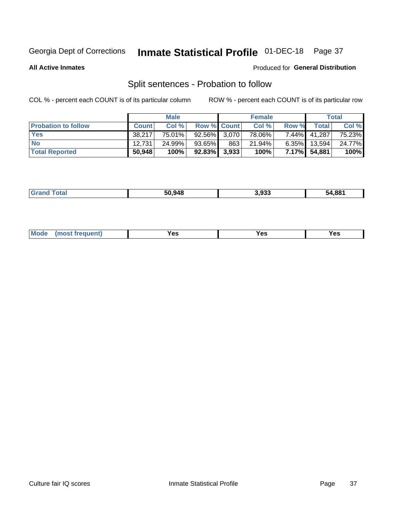## Inmate Statistical Profile 01-DEC-18 Page 37

**All Active Inmates** 

#### Produced for General Distribution

## Split sentences - Probation to follow

COL % - percent each COUNT is of its particular column

|                            |              | <b>Male</b> |                    |     | <b>Female</b> |          |              | <b>Total</b> |
|----------------------------|--------------|-------------|--------------------|-----|---------------|----------|--------------|--------------|
| <b>Probation to follow</b> | <b>Count</b> | Col%        | <b>Row % Count</b> |     | Col %         | Row %    | Total        | Col %        |
| <b>Yes</b>                 | 38.217       | 75.01%      | $92.56\%$ 3.070    |     | 78.06%        |          | 7.44% 41,287 | 75.23%       |
| <b>No</b>                  | 12.731       | 24.99%      | 93.65%             | 863 | 21.94%        | $6.35\%$ | 13.594       | 24.77%       |
| <b>Total Reported</b>      | 50,948       | 100%        | $92.83\%$ 3,933    |     | 100%          | $7.17\%$ | 54,881       | 100%         |

| 50.948 | 3.933 | 54,881 |
|--------|-------|--------|
|        |       |        |

| <b>Mode</b><br>reauent)<br>Yes<br>v.c<br>0٥<br>.<br>. .<br>$\sim$ |
|-------------------------------------------------------------------|
|-------------------------------------------------------------------|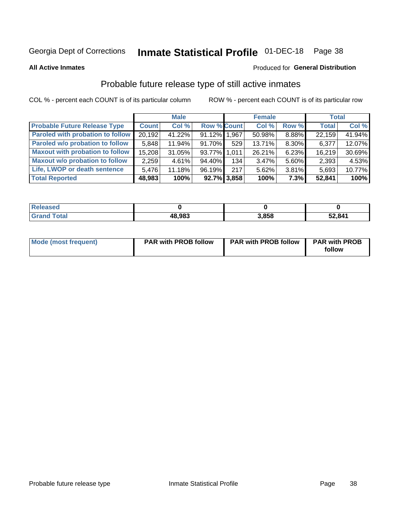## Inmate Statistical Profile 01-DEC-18 Page 38

**All Active Inmates** 

#### Produced for General Distribution

## Probable future release type of still active inmates

COL % - percent each COUNT is of its particular column

|                                         |              | <b>Male</b> |                    |                | <b>Female</b> |       | <b>Total</b> |        |
|-----------------------------------------|--------------|-------------|--------------------|----------------|---------------|-------|--------------|--------|
| <b>Probable Future Release Type</b>     | <b>Count</b> | Col %       | <b>Row % Count</b> |                | Col %         | Row % | <b>Total</b> | Col %  |
| <b>Paroled with probation to follow</b> | 20,192       | 41.22%      | 91.12% 1.967       |                | 50.98%        | 8.88% | 22,159       | 41.94% |
| Paroled w/o probation to follow         | 5,848        | 11.94%      | 91.70%             | 529            | 13.71%        | 8.30% | 6,377        | 12.07% |
| <b>Maxout with probation to follow</b>  | 15,208       | 31.05%      | 93.77% 1,011       |                | 26.21%        | 6.23% | 16,219       | 30.69% |
| <b>Maxout w/o probation to follow</b>   | 2,259        | 4.61%       | 94.40%             | 134            | 3.47%         | 5.60% | 2,393        | 4.53%  |
| Life, LWOP or death sentence            | 5.476        | 11.18%      | 96.19%             | 217            | 5.62%         | 3.81% | 5,693        | 10.77% |
| <b>Total Reported</b>                   | 48,983       | 100%        |                    | $92.7\%$ 3,858 | 100%          | 7.3%  | 52,841       | 100%   |

| алы                   |        |       |        |
|-----------------------|--------|-------|--------|
| $f \wedge f \wedge f$ | 48,983 | 3.858 | 52,841 |

| <b>Mode (most frequent)</b> | <b>PAR with PROB follow</b> | <b>PAR with PROB follow</b> | <b>PAR with PROB</b> |
|-----------------------------|-----------------------------|-----------------------------|----------------------|
|                             |                             |                             | follow               |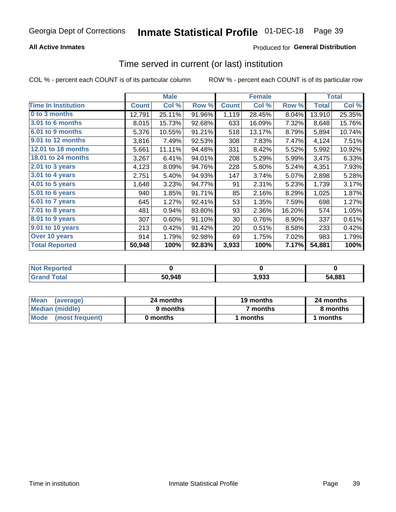### **All Active Inmates**

## Produced for General Distribution

# Time served in current (or last) institution

COL % - percent each COUNT is of its particular column

|                            |              | <b>Male</b> |        |              | <b>Female</b> |        |              | <b>Total</b> |
|----------------------------|--------------|-------------|--------|--------------|---------------|--------|--------------|--------------|
| <b>Time In Institution</b> | <b>Count</b> | Col %       | Row %  | <b>Count</b> | Col %         | Row %  | <b>Total</b> | Col %        |
| 0 to 3 months              | 12,791       | 25.11%      | 91.96% | 1,119        | 28.45%        | 8.04%  | 13,910       | 25.35%       |
| <b>3.01 to 6 months</b>    | 8,015        | 15.73%      | 92.68% | 633          | 16.09%        | 7.32%  | 8,648        | 15.76%       |
| 6.01 to 9 months           | 5,376        | 10.55%      | 91.21% | 518          | 13.17%        | 8.79%  | 5,894        | 10.74%       |
| 9.01 to 12 months          | 3,816        | 7.49%       | 92.53% | 308          | 7.83%         | 7.47%  | 4,124        | 7.51%        |
| <b>12.01 to 18 months</b>  | 5,661        | 11.11%      | 94.48% | 331          | 8.42%         | 5.52%  | 5,992        | 10.92%       |
| <b>18.01 to 24 months</b>  | 3,267        | 6.41%       | 94.01% | 208          | 5.29%         | 5.99%  | 3,475        | 6.33%        |
| 2.01 to 3 years            | 4,123        | 8.09%       | 94.76% | 228          | 5.80%         | 5.24%  | 4,351        | 7.93%        |
| $3.01$ to 4 years          | 2,751        | 5.40%       | 94.93% | 147          | 3.74%         | 5.07%  | 2,898        | 5.28%        |
| 4.01 to 5 years            | 1,648        | 3.23%       | 94.77% | 91           | 2.31%         | 5.23%  | 1,739        | 3.17%        |
| 5.01 to 6 years            | 940          | 1.85%       | 91.71% | 85           | 2.16%         | 8.29%  | 1,025        | 1.87%        |
| 6.01 to 7 years            | 645          | 1.27%       | 92.41% | 53           | 1.35%         | 7.59%  | 698          | 1.27%        |
| $7.01$ to 8 years          | 481          | 0.94%       | 83.80% | 93           | 2.36%         | 16.20% | 574          | 1.05%        |
| $8.01$ to 9 years          | 307          | 0.60%       | 91.10% | 30           | 0.76%         | 8.90%  | 337          | 0.61%        |
| 9.01 to 10 years           | 213          | 0.42%       | 91.42% | 20           | 0.51%         | 8.58%  | 233          | 0.42%        |
| Over 10 years              | 914          | 1.79%       | 92.98% | 69           | 1.75%         | 7.02%  | 983          | 1.79%        |
| <b>Total Reported</b>      | 50,948       | 100%        | 92.83% | 3,933        | 100%          | 7.17%  | 54,881       | 100%         |

| <b>rteo</b><br>I NOT I |        |       |        |
|------------------------|--------|-------|--------|
|                        | 50,948 | 3.933 | 54.881 |

| <b>Mean</b><br>(average) | 24 months | 19 months | 24 months |
|--------------------------|-----------|-----------|-----------|
| Median (middle)          | 9 months  | 7 months  | 8 months  |
| Mode (most frequent)     | 0 months  | months    | 1 months  |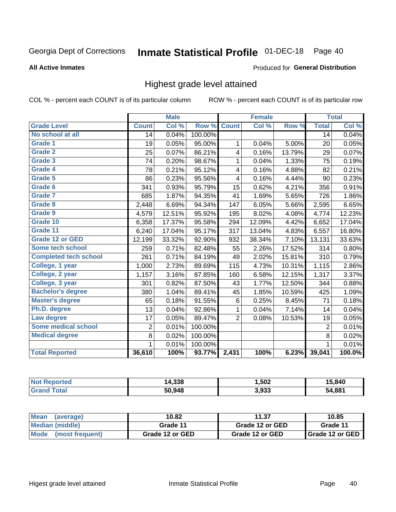#### Inmate Statistical Profile 01-DEC-18 Page 40

#### **All Active Inmates**

#### Produced for General Distribution

## Highest grade level attained

COL % - percent each COUNT is of its particular column

|                              |                 | <b>Male</b> |         |                | <b>Female</b> |        |                 | <b>Total</b> |
|------------------------------|-----------------|-------------|---------|----------------|---------------|--------|-----------------|--------------|
| <b>Grade Level</b>           | <b>Count</b>    | Col %       | Row %   | <b>Count</b>   | Col %         | Row %  | <b>Total</b>    | Col %        |
| No school at all             | $\overline{14}$ | 0.04%       | 100.00% |                |               |        | $\overline{14}$ | 0.04%        |
| <b>Grade 1</b>               | 19              | 0.05%       | 95.00%  | 1              | 0.04%         | 5.00%  | 20              | 0.05%        |
| <b>Grade 2</b>               | 25              | 0.07%       | 86.21%  | 4              | 0.16%         | 13.79% | 29              | 0.07%        |
| Grade 3                      | 74              | 0.20%       | 98.67%  | 1              | 0.04%         | 1.33%  | 75              | 0.19%        |
| Grade 4                      | 78              | 0.21%       | 95.12%  | 4              | 0.16%         | 4.88%  | 82              | 0.21%        |
| Grade 5                      | 86              | 0.23%       | 95.56%  | 4              | 0.16%         | 4.44%  | 90              | 0.23%        |
| Grade 6                      | 341             | 0.93%       | 95.79%  | 15             | 0.62%         | 4.21%  | 356             | 0.91%        |
| <b>Grade 7</b>               | 685             | 1.87%       | 94.35%  | 41             | 1.69%         | 5.65%  | 726             | 1.86%        |
| Grade 8                      | 2,448           | 6.69%       | 94.34%  | 147            | 6.05%         | 5.66%  | 2,595           | 6.65%        |
| Grade 9                      | 4,579           | 12.51%      | 95.92%  | 195            | 8.02%         | 4.08%  | 4,774           | 12.23%       |
| Grade 10                     | 6,358           | 17.37%      | 95.58%  | 294            | 12.09%        | 4.42%  | 6,652           | 17.04%       |
| Grade 11                     | 6,240           | 17.04%      | 95.17%  | 317            | 13.04%        | 4.83%  | 6,557           | 16.80%       |
| <b>Grade 12 or GED</b>       | 12,199          | 33.32%      | 92.90%  | 932            | 38.34%        | 7.10%  | 13,131          | 33.63%       |
| <b>Some tech school</b>      | 259             | 0.71%       | 82.48%  | 55             | 2.26%         | 17.52% | 314             | 0.80%        |
| <b>Completed tech school</b> | 261             | 0.71%       | 84.19%  | 49             | 2.02%         | 15.81% | 310             | 0.79%        |
| College, 1 year              | 1,000           | 2.73%       | 89.69%  | 115            | 4.73%         | 10.31% | 1,115           | 2.86%        |
| College, 2 year              | 1,157           | 3.16%       | 87.85%  | 160            | 6.58%         | 12.15% | 1,317           | 3.37%        |
| College, 3 year              | 301             | 0.82%       | 87.50%  | 43             | 1.77%         | 12.50% | 344             | 0.88%        |
| <b>Bachelor's degree</b>     | 380             | 1.04%       | 89.41%  | 45             | 1.85%         | 10.59% | 425             | 1.09%        |
| <b>Master's degree</b>       | 65              | 0.18%       | 91.55%  | $\,6$          | 0.25%         | 8.45%  | 71              | 0.18%        |
| Ph.D. degree                 | 13              | 0.04%       | 92.86%  | 1              | 0.04%         | 7.14%  | 14              | 0.04%        |
| Law degree                   | 17              | 0.05%       | 89.47%  | $\overline{2}$ | 0.08%         | 10.53% | 19              | 0.05%        |
| <b>Some medical school</b>   | $\overline{2}$  | 0.01%       | 100.00% |                |               |        | $\overline{2}$  | 0.01%        |
| <b>Medical degree</b>        | 8               | 0.02%       | 100.00% |                |               |        | 8               | 0.02%        |
|                              | 1.              | 0.01%       | 100.00% |                |               |        | 1               | 0.01%        |
| <b>Total Reported</b>        | 36,610          | 100%        | 93.77%  | 2,431          | 100%          | 6.23%  | 39,041          | 100.0%       |

| 14,338 | 502. ا | 5,840      |
|--------|--------|------------|
| 50.948 | 3.933  | .881<br>54 |

| Mean<br>(average)    | 10.82           | 11.37           | 10.85           |  |
|----------------------|-----------------|-----------------|-----------------|--|
| Median (middle)      | Grade 11        | Grade 12 or GED | Grade 11        |  |
| Mode (most frequent) | Grade 12 or GED | Grade 12 or GED | Grade 12 or GED |  |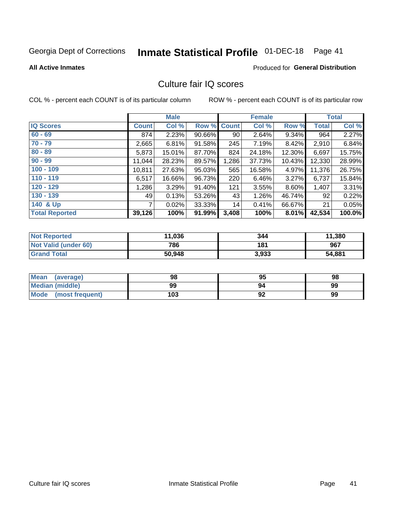# Inmate Statistical Profile 01-DEC-18 Page 41

#### **All Active Inmates**

### **Produced for General Distribution**

## Culture fair IQ scores

COL % - percent each COUNT is of its particular column

|                       |              | <b>Male</b> |             |       | <b>Female</b> |          |              | <b>Total</b> |
|-----------------------|--------------|-------------|-------------|-------|---------------|----------|--------------|--------------|
| <b>IQ Scores</b>      | <b>Count</b> | Col %       | Row % Count |       | Col %         | Row %    | <b>Total</b> | Col %        |
| $60 - 69$             | 874          | 2.23%       | 90.66%      | 90    | 2.64%         | $9.34\%$ | 964          | 2.27%        |
| $70 - 79$             | 2,665        | 6.81%       | 91.58%      | 245   | 7.19%         | 8.42%    | 2,910        | 6.84%        |
| $80 - 89$             | 5,873        | 15.01%      | 87.70%      | 824   | 24.18%        | 12.30%   | 6,697        | 15.75%       |
| $90 - 99$             | 11,044       | 28.23%      | 89.57%      | 1,286 | 37.73%        | 10.43%   | 12,330       | 28.99%       |
| $100 - 109$           | 10,811       | 27.63%      | 95.03%      | 565   | 16.58%        | 4.97%    | 11,376       | 26.75%       |
| $110 - 119$           | 6,517        | 16.66%      | 96.73%      | 220   | 6.46%         | 3.27%    | 6,737        | 15.84%       |
| $120 - 129$           | 1,286        | 3.29%       | 91.40%      | 121   | 3.55%         | 8.60%    | 1,407        | 3.31%        |
| $130 - 139$           | 49           | 0.13%       | 53.26%      | 43    | 1.26%         | 46.74%   | 92           | 0.22%        |
| 140 & Up              | 7            | 0.02%       | 33.33%      | 14    | 0.41%         | 66.67%   | 21           | 0.05%        |
| <b>Total Reported</b> | 39,126       | 100%        | 91.99%      | 3,408 | 100%          | $8.01\%$ | 42,534       | 100.0%       |

| <b>Not Reported</b>         | 11,036 | 344   | 11,380 |
|-----------------------------|--------|-------|--------|
| <b>Not Valid (under 60)</b> | 786    | 181   | 967    |
| <b>Grand Total</b>          | 50,948 | 3,933 | 54,881 |

| <b>Mean</b><br>(average) | 98  | 95 | 98 |
|--------------------------|-----|----|----|
| <b>Median (middle)</b>   | 99  | 94 | 99 |
| Mode<br>(most frequent)  | 103 | 92 | 99 |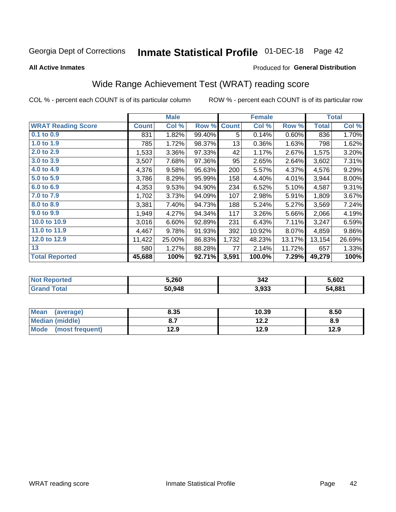#### **Inmate Statistical Profile 01-DEC-18** Page 42

#### **All Active Inmates**

#### Produced for General Distribution

# Wide Range Achievement Test (WRAT) reading score

COL % - percent each COUNT is of its particular column

|                           |              | <b>Male</b> |        |              | <b>Female</b> |        |              | <b>Total</b> |
|---------------------------|--------------|-------------|--------|--------------|---------------|--------|--------------|--------------|
| <b>WRAT Reading Score</b> | <b>Count</b> | Col %       | Row %  | <b>Count</b> | Col %         | Row %  | <b>Total</b> | Col %        |
| 0.1 to 0.9                | 831          | 1.82%       | 99.40% | 5            | 0.14%         | 0.60%  | 836          | 1.70%        |
| 1.0 to 1.9                | 785          | 1.72%       | 98.37% | 13           | 0.36%         | 1.63%  | 798          | 1.62%        |
| 2.0 to 2.9                | 1,533        | 3.36%       | 97.33% | 42           | 1.17%         | 2.67%  | 1,575        | 3.20%        |
| 3.0 to 3.9                | 3,507        | 7.68%       | 97.36% | 95           | 2.65%         | 2.64%  | 3,602        | 7.31%        |
| 4.0 to 4.9                | 4,376        | 9.58%       | 95.63% | 200          | 5.57%         | 4.37%  | 4,576        | 9.29%        |
| 5.0 to 5.9                | 3,786        | 8.29%       | 95.99% | 158          | 4.40%         | 4.01%  | 3,944        | 8.00%        |
| 6.0 to 6.9                | 4,353        | 9.53%       | 94.90% | 234          | 6.52%         | 5.10%  | 4,587        | 9.31%        |
| 7.0 to 7.9                | 1,702        | 3.73%       | 94.09% | 107          | 2.98%         | 5.91%  | 1,809        | 3.67%        |
| 8.0 to 8.9                | 3,381        | 7.40%       | 94.73% | 188          | 5.24%         | 5.27%  | 3,569        | 7.24%        |
| 9.0 to 9.9                | 1,949        | 4.27%       | 94.34% | 117          | 3.26%         | 5.66%  | 2,066        | 4.19%        |
| 10.0 to 10.9              | 3,016        | 6.60%       | 92.89% | 231          | 6.43%         | 7.11%  | 3,247        | 6.59%        |
| 11.0 to 11.9              | 4,467        | 9.78%       | 91.93% | 392          | 10.92%        | 8.07%  | 4,859        | 9.86%        |
| 12.0 to 12.9              | 11,422       | 25.00%      | 86.83% | 1,732        | 48.23%        | 13.17% | 13,154       | 26.69%       |
| 13                        | 580          | 1.27%       | 88.28% | 77           | 2.14%         | 11.72% | 657          | 1.33%        |
| <b>Total Reported</b>     | 45,688       | 100%        | 92.71% | 3,591        | 100.0%        | 7.29%  | 49,279       | 100%         |

| 'Tet.<br>NO | 5,260  | 342   | 5,602  |
|-------------|--------|-------|--------|
|             | 50.948 | 3,933 | 54.881 |

| <b>Mean</b><br>(average) | 8.35 | 10.39 | 8.50 |
|--------------------------|------|-------|------|
| Median (middle)          |      | 12.2  | 8.9  |
| Mode<br>(most frequent)  | 12.9 | 12.9  | 12.9 |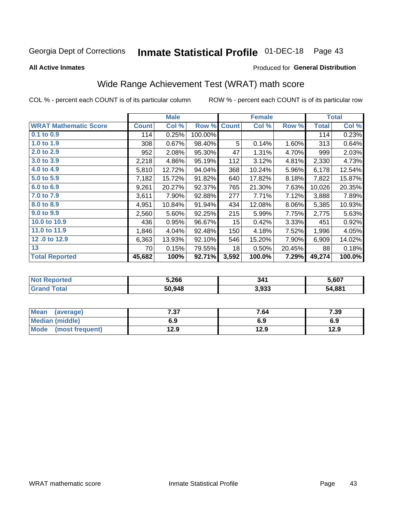#### **Inmate Statistical Profile 01-DEC-18** Page 43

**All Active Inmates** 

#### Produced for General Distribution

# Wide Range Achievement Test (WRAT) math score

COL % - percent each COUNT is of its particular column

|                              |              | <b>Male</b> |         |                  | <b>Female</b> |        |              | <b>Total</b> |
|------------------------------|--------------|-------------|---------|------------------|---------------|--------|--------------|--------------|
| <b>WRAT Mathematic Score</b> | <b>Count</b> | Col %       | Row %   | <b>Count</b>     | Col %         | Row %  | <b>Total</b> | Col %        |
| 0.1 to 0.9                   | 114          | 0.25%       | 100.00% |                  |               |        | 114          | 0.23%        |
| 1.0 to 1.9                   | 308          | 0.67%       | 98.40%  | 5                | 0.14%         | 1.60%  | 313          | 0.64%        |
| 2.0 to 2.9                   | 952          | 2.08%       | 95.30%  | 47               | 1.31%         | 4.70%  | 999          | 2.03%        |
| 3.0 to 3.9                   | 2,218        | 4.86%       | 95.19%  | 112              | 3.12%         | 4.81%  | 2,330        | 4.73%        |
| 4.0 to 4.9                   | 5,810        | 12.72%      | 94.04%  | 368              | 10.24%        | 5.96%  | 6,178        | 12.54%       |
| 5.0 to 5.9                   | 7,182        | 15.72%      | 91.82%  | 640              | 17.82%        | 8.18%  | 7,822        | 15.87%       |
| 6.0 to 6.9                   | 9,261        | 20.27%      | 92.37%  | 765              | 21.30%        | 7.63%  | 10,026       | 20.35%       |
| 7.0 to 7.9                   | 3,611        | 7.90%       | 92.88%  | 277              | 7.71%         | 7.12%  | 3,888        | 7.89%        |
| 8.0 to 8.9                   | 4,951        | 10.84%      | 91.94%  | 434              | 12.08%        | 8.06%  | 5,385        | 10.93%       |
| 9.0 to 9.9                   | 2,560        | 5.60%       | 92.25%  | 215              | 5.99%         | 7.75%  | 2,775        | 5.63%        |
| 10.0 to 10.9                 | 436          | 0.95%       | 96.67%  | 15 <sub>15</sub> | 0.42%         | 3.33%  | 451          | 0.92%        |
| 11.0 to 11.9                 | 1,846        | 4.04%       | 92.48%  | 150              | 4.18%         | 7.52%  | 1,996        | 4.05%        |
| 12.0 to 12.9                 | 6,363        | 13.93%      | 92.10%  | 546              | 15.20%        | 7.90%  | 6,909        | 14.02%       |
| 13                           | 70           | 0.15%       | 79.55%  | 18               | 0.50%         | 20.45% | 88           | 0.18%        |
| <b>Total Reported</b>        | 45,682       | 100%        | 92.71%  | 3,592            | 100.0%        | 7.29%  | 49,274       | 100.0%       |

| Reported<br>Not I | 266.د  | 341   | 5,607  |
|-------------------|--------|-------|--------|
| Гоtal<br>'Grand   | 50,948 | 3,933 | 54,881 |

| Mean<br>(average)       | 7 27<br>، ن | 7.64 | 7.39 |
|-------------------------|-------------|------|------|
| Median (middle)         | 6.9         | 6.9  | 6.9  |
| Mode<br>(most frequent) | 12.9        | 12.9 | 12.9 |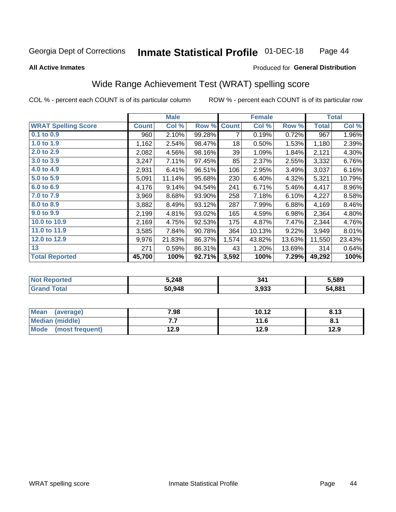#### **Inmate Statistical Profile 01-DEC-18** Page 44

**All Active Inmates** 

#### Produced for General Distribution

# Wide Range Achievement Test (WRAT) spelling score

COL % - percent each COUNT is of its particular column

|                            |              | <b>Male</b> |        |              | <b>Female</b> |        |              | <b>Total</b> |
|----------------------------|--------------|-------------|--------|--------------|---------------|--------|--------------|--------------|
| <b>WRAT Spelling Score</b> | <b>Count</b> | Col %       | Row %  | <b>Count</b> | Col %         | Row %  | <b>Total</b> | Col %        |
| $0.1$ to $0.9$             | 960          | 2.10%       | 99.28% | 7            | 0.19%         | 0.72%  | 967          | 1.96%        |
| 1.0 to 1.9                 | 1,162        | 2.54%       | 98.47% | 18           | 0.50%         | 1.53%  | 1,180        | 2.39%        |
| 2.0 to 2.9                 | 2,082        | 4.56%       | 98.16% | 39           | 1.09%         | 1.84%  | 2,121        | 4.30%        |
| 3.0 to 3.9                 | 3,247        | 7.11%       | 97.45% | 85           | 2.37%         | 2.55%  | 3,332        | 6.76%        |
| 4.0 to 4.9                 | 2,931        | 6.41%       | 96.51% | 106          | 2.95%         | 3.49%  | 3,037        | 6.16%        |
| 5.0 to 5.9                 | 5,091        | 11.14%      | 95.68% | 230          | 6.40%         | 4.32%  | 5,321        | 10.79%       |
| 6.0 to 6.9                 | 4,176        | 9.14%       | 94.54% | 241          | 6.71%         | 5.46%  | 4,417        | 8.96%        |
| 7.0 to 7.9                 | 3,969        | 8.68%       | 93.90% | 258          | 7.18%         | 6.10%  | 4,227        | 8.58%        |
| 8.0 to 8.9                 | 3,882        | 8.49%       | 93.12% | 287          | 7.99%         | 6.88%  | 4,169        | 8.46%        |
| 9.0 to 9.9                 | 2,199        | 4.81%       | 93.02% | 165          | 4.59%         | 6.98%  | 2,364        | 4.80%        |
| 10.0 to 10.9               | 2,169        | 4.75%       | 92.53% | 175          | 4.87%         | 7.47%  | 2,344        | 4.76%        |
| 11.0 to 11.9               | 3,585        | 7.84%       | 90.78% | 364          | 10.13%        | 9.22%  | 3,949        | 8.01%        |
| 12.0 to 12.9               | 9,976        | 21.83%      | 86.37% | 1,574        | 43.82%        | 13.63% | 11,550       | 23.43%       |
| 13                         | 271          | 0.59%       | 86.31% | 43           | 1.20%         | 13.69% | 314          | 0.64%        |
| <b>Total Reported</b>      | 45,700       | 100%        | 92.71% | 3,592        | 100%          | 7.29%  | 49,292       | 100%         |

| "TAL<br>NO | 5,248  | 341   | 5,589  |
|------------|--------|-------|--------|
|            | 50.948 | 3,933 | 54.881 |

| Mean<br>(average)    | 7.98 | 10.12 | 8.13          |
|----------------------|------|-------|---------------|
| Median (middle)      | .    | 11.6  | $O_{\bullet}$ |
| Mode (most frequent) | 12.9 | 12.9  | 12.9          |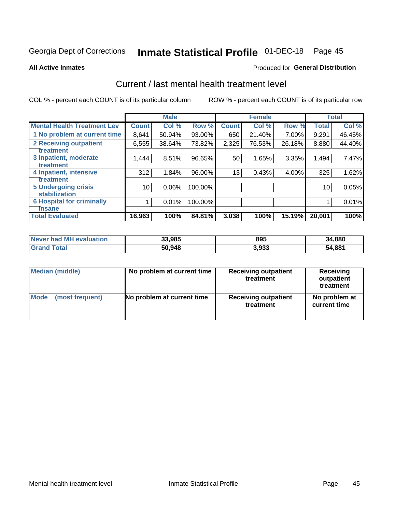# Inmate Statistical Profile 01-DEC-18 Page 45

**All Active Inmates** 

### **Produced for General Distribution**

## Current / last mental health treatment level

COL % - percent each COUNT is of its particular column

|                                    |              | <b>Male</b> |         |              | <b>Female</b> |          |              | <b>Total</b> |
|------------------------------------|--------------|-------------|---------|--------------|---------------|----------|--------------|--------------|
| <b>Mental Health Treatment Lev</b> | <b>Count</b> | Col %       | Row %   | <b>Count</b> | Col %         | Row %    | <b>Total</b> | Col %        |
| 1 No problem at current time       | 8,641        | 50.94%      | 93.00%  | 650          | 21.40%        | 7.00%    | 9,291        | 46.45%       |
| 2 Receiving outpatient             | 6,555        | 38.64%      | 73.82%  | 2,325        | 76.53%        | 26.18%   | 8,880        | 44.40%       |
| <b>Treatment</b>                   |              |             |         |              |               |          |              |              |
| 3 Inpatient, moderate              | 1,444        | 8.51%       | 96.65%  | 50           | 1.65%         | 3.35%    | 1,494        | 7.47%        |
| <b>Treatment</b>                   |              |             |         |              |               |          |              |              |
| 4 Inpatient, intensive             | 312          | 1.84%       | 96.00%  | 13           | 0.43%         | $4.00\%$ | 325          | 1.62%        |
| Treatment                          |              |             |         |              |               |          |              |              |
| <b>5 Undergoing crisis</b>         | 10           | 0.06%       | 100.00% |              |               |          | 10           | 0.05%        |
| <b>stabilization</b>               |              |             |         |              |               |          |              |              |
| <b>6 Hospital for criminally</b>   |              | 0.01%       | 100.00% |              |               |          |              | 0.01%        |
| <b>Tinsane</b>                     |              |             |         |              |               |          |              |              |
| <b>Total Evaluated</b>             | 16,963       | 100%        | 84.81%  | 3,038        | 100%          | 15.19%   | 20,001       | 100%         |

| <b>Never had MH evaluation</b> | 33,985 | 895   | 34,880 |
|--------------------------------|--------|-------|--------|
| ™otal                          | 50,948 | 3.933 | 54,881 |

| Median (middle) | No problem at current time | <b>Receiving outpatient</b><br>treatment | <b>Receiving</b><br>outpatient<br>treatment |
|-----------------|----------------------------|------------------------------------------|---------------------------------------------|
| <b>Mode</b>     | No problem at current time | <b>Receiving outpatient</b>              | No problem at                               |
| (most frequent) |                            | treatment                                | current time                                |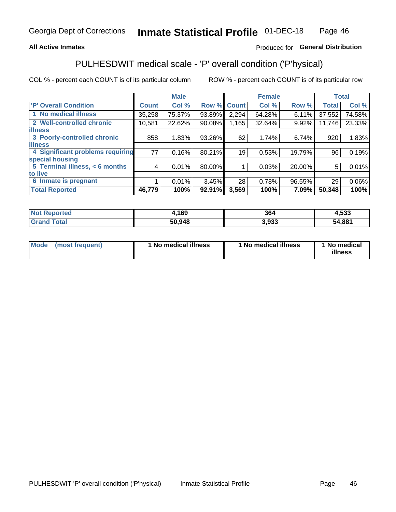### **All Active Inmates**

### Produced for General Distribution

# PULHESDWIT medical scale - 'P' overall condition ('P'hysical)

COL % - percent each COUNT is of its particular column

|                                  |              | <b>Male</b> |        |              | <b>Female</b> |        |              | <b>Total</b> |
|----------------------------------|--------------|-------------|--------|--------------|---------------|--------|--------------|--------------|
| 'P' Overall Condition            | <b>Count</b> | Col %       | Row %  | <b>Count</b> | Col %         | Row %  | <b>Total</b> | Col %        |
| 1 No medical illness             | 35,258       | 75.37%      | 93.89% | 2,294        | 64.28%        | 6.11%  | 37,552       | 74.58%       |
| 2 Well-controlled chronic        | 10,581       | 22.62%      | 90.08% | 1,165        | 32.64%        | 9.92%  | 11,746       | 23.33%       |
| <b>lillness</b>                  |              |             |        |              |               |        |              |              |
| 3 Poorly-controlled chronic      | 858          | 1.83%       | 93.26% | 62           | 1.74%         | 6.74%  | 920          | 1.83%        |
| <b>illness</b>                   |              |             |        |              |               |        |              |              |
| 4 Significant problems requiring | 77           | 0.16%       | 80.21% | 19           | 0.53%         | 19.79% | 96           | 0.19%        |
| special housing                  |              |             |        |              |               |        |              |              |
| 5 Terminal illness, < 6 months   | 4            | 0.01%       | 80.00% |              | 0.03%         | 20.00% | 5            | 0.01%        |
| to live                          |              |             |        |              |               |        |              |              |
| 6 Inmate is pregnant             |              | 0.01%       | 3.45%  | 28           | 0.78%         | 96.55% | 29           | $0.06\%$     |
| <b>Total Reported</b>            | 46,779       | 100%        | 92.91% | 3,569        | 100%          | 7.09%  | 50,348       | 100%         |

| тес | ,169          | 364  | <b>FOO</b><br>I.JJJ |
|-----|---------------|------|---------------------|
|     | 30 A 40<br>лд | .933 | 54.881              |

| Mode | (most frequent) | 1 No medical illness | 1 No medical illness | 1 No medical<br>illness |
|------|-----------------|----------------------|----------------------|-------------------------|
|------|-----------------|----------------------|----------------------|-------------------------|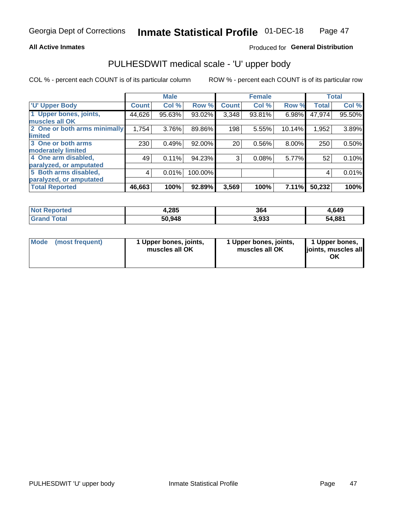### **All Active Inmates**

### Produced for General Distribution

# PULHESDWIT medical scale - 'U' upper body

COL % - percent each COUNT is of its particular column

|                              |              | <b>Male</b> |         |              | <b>Female</b> |        |              | <b>Total</b> |
|------------------------------|--------------|-------------|---------|--------------|---------------|--------|--------------|--------------|
| <b>U' Upper Body</b>         | <b>Count</b> | Col %       | Row %   | <b>Count</b> | Col %         | Row %  | <b>Total</b> | Col %        |
| 1 Upper bones, joints,       | 44,626       | 95.63%      | 93.02%  | 3,348        | 93.81%        | 6.98%  | 47,974       | 95.50%       |
| muscles all OK               |              |             |         |              |               |        |              |              |
| 2 One or both arms minimally | 1,754        | 3.76%       | 89.86%  | 198          | 5.55%         | 10.14% | 1,952        | 3.89%        |
| limited                      |              |             |         |              |               |        |              |              |
| 3 One or both arms           | 230          | 0.49%       | 92.00%  | 20           | 0.56%         | 8.00%  | 250          | 0.50%        |
| <b>moderately limited</b>    |              |             |         |              |               |        |              |              |
| 4 One arm disabled,          | 49           | 0.11%       | 94.23%  | 3            | 0.08%         | 5.77%  | 52           | 0.10%        |
| paralyzed, or amputated      |              |             |         |              |               |        |              |              |
| 5 Both arms disabled,        | 4            | 0.01%       | 100.00% |              |               |        | 4            | 0.01%        |
| paralyzed, or amputated      |              |             |         |              |               |        |              |              |
| <b>Total Reported</b>        | 46,663       | 100%        | 92.89%  | 3,569        | 100%          | 7.11%  | 50,232       | 100%         |

| <b>Not Reported</b>     | 4,285  | 364   | 4,649  |
|-------------------------|--------|-------|--------|
| <b>Total</b><br>' Grand | 50,948 | 3,933 | 54,881 |

| Mode<br>(most frequent) | 1 Upper bones, joints,<br>muscles all OK | 1 Upper bones, joints,<br>muscles all OK | 1 Upper bones,<br>joints, muscles all<br>ΟK |
|-------------------------|------------------------------------------|------------------------------------------|---------------------------------------------|
|-------------------------|------------------------------------------|------------------------------------------|---------------------------------------------|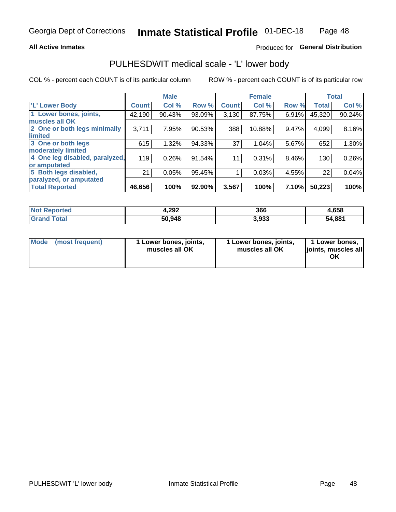### **All Active Inmates**

## Produced for General Distribution

## PULHESDWIT medical scale - 'L' lower body

COL % - percent each COUNT is of its particular column

|                                |              | <b>Male</b> |           |              | <b>Female</b> |       |              | <b>Total</b> |
|--------------------------------|--------------|-------------|-----------|--------------|---------------|-------|--------------|--------------|
| 'L' Lower Body                 | <b>Count</b> | Col %       | Row %     | <b>Count</b> | Col %         | Row % | <b>Total</b> | Col %        |
| 1 Lower bones, joints,         | 42,190       | 90.43%      | 93.09%    | 3,130        | 87.75%        | 6.91% | 45,320       | 90.24%       |
| muscles all OK                 |              |             |           |              |               |       |              |              |
| 2 One or both legs minimally   | 3,711        | 7.95%       | $90.53\%$ | 388          | 10.88%        | 9.47% | 4,099        | 8.16%        |
| limited                        |              |             |           |              |               |       |              |              |
| 3 One or both legs             | 615          | 1.32%       | 94.33%    | 37           | 1.04%         | 5.67% | 652          | 1.30%        |
| moderately limited             |              |             |           |              |               |       |              |              |
| 4 One leg disabled, paralyzed, | 119          | 0.26%       | 91.54%    | 11           | 0.31%         | 8.46% | 130          | 0.26%        |
| or amputated                   |              |             |           |              |               |       |              |              |
| 5 Both legs disabled,          | 21           | 0.05%       | 95.45%    |              | 0.03%         | 4.55% | 22           | 0.04%        |
| paralyzed, or amputated        |              |             |           |              |               |       |              |              |
| <b>Total Reported</b>          | 46,656       | 100%        | 92.90%    | 3,567        | 100%          | 7.10% | 50,223       | 100%         |

| <b>Not Reported</b> | 4,292  | 366   | 4,658  |
|---------------------|--------|-------|--------|
| <b>Grand Total</b>  | 50,948 | 3.933 | 54,881 |

|  | Mode (most frequent) | 1 Lower bones, joints,<br>muscles all OK | 1 Lower bones, joints,<br>muscles all OK | 1 Lower bones,<br>joints, muscles all<br>ΟK |
|--|----------------------|------------------------------------------|------------------------------------------|---------------------------------------------|
|--|----------------------|------------------------------------------|------------------------------------------|---------------------------------------------|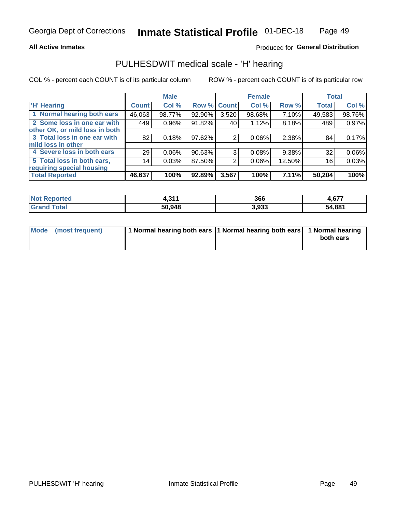#### **All Active Inmates**

### Produced for General Distribution

## PULHESDWIT medical scale - 'H' hearing

COL % - percent each COUNT is of its particular column

|                                |                    | <b>Male</b> |        |             | <b>Female</b> |              | <b>Total</b> |        |
|--------------------------------|--------------------|-------------|--------|-------------|---------------|--------------|--------------|--------|
| <b>H' Hearing</b>              | Count <sup>1</sup> | Col %       |        | Row % Count | Col %         | Row %        | <b>Total</b> | Col %  |
| 1 Normal hearing both ears     | 46,063             | 98.77%      | 92.90% | 3,520       | 98.68%        | 7.10%        | 49,583       | 98.76% |
| 2 Some loss in one ear with    | 449                | 0.96%       | 91.82% | 40          | 1.12%         | 8.18%        | 489          | 0.97%  |
| other OK, or mild loss in both |                    |             |        |             |               |              |              |        |
| 3 Total loss in one ear with   | 82                 | 0.18%       | 97.62% | 2           | 0.06%         | 2.38%        | 84           | 0.17%  |
| mild loss in other             |                    |             |        |             |               |              |              |        |
| 4 Severe loss in both ears     | 29                 | 0.06%       | 90.63% | 3           | $0.08\%$      | 9.38%        | 32           | 0.06%  |
| 5 Total loss in both ears,     | 14                 | 0.03%       | 87.50% | 2           | 0.06%         | 12.50%       | 16           | 0.03%  |
| requiring special housing      |                    |             |        |             |               |              |              |        |
| <b>Total Reported</b>          | 46,637             | 100%        | 92.89% | 3,567       | 100%          | <b>7.11%</b> | 50,204       | 100%   |

| <b>Not</b><br><b>ported</b> | 24/<br>−… | 366   | $4,67^{7}$ |
|-----------------------------|-----------|-------|------------|
| Total                       | 50,948    | 3,933 | 54,881     |

| Mode (most frequent) | 1 Normal hearing both ears 11 Normal hearing both ears 1 Normal hearing | both ears |
|----------------------|-------------------------------------------------------------------------|-----------|
|                      |                                                                         |           |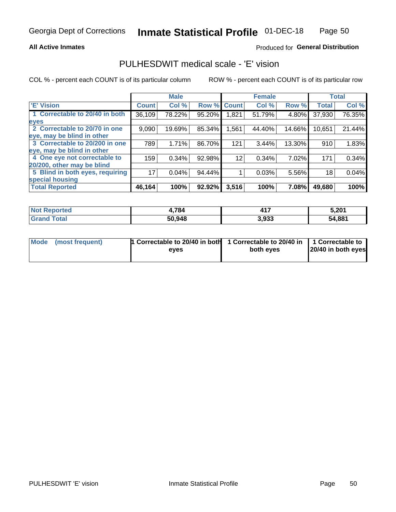### **All Active Inmates**

### Produced for General Distribution

## PULHESDWIT medical scale - 'E' vision

COL % - percent each COUNT is of its particular column

|                                 |              | <b>Male</b> |        |              | <b>Female</b> |        |              | <b>Total</b> |
|---------------------------------|--------------|-------------|--------|--------------|---------------|--------|--------------|--------------|
| <b>E' Vision</b>                | <b>Count</b> | Col %       | Row %  | <b>Count</b> | Col %         | Row %  | <b>Total</b> | Col %        |
| 1 Correctable to 20/40 in both  | 36,109       | 78.22%      | 95.20% | .821         | 51.79%        | 4.80%  | 37,930       | 76.35%       |
| eyes                            |              |             |        |              |               |        |              |              |
| 2 Correctable to 20/70 in one   | 9,090        | 19.69%      | 85.34% | 1,561        | 44.40%        | 14.66% | 10,651       | 21.44%       |
| eye, may be blind in other      |              |             |        |              |               |        |              |              |
| 3 Correctable to 20/200 in one  | 789          | 1.71%       | 86.70% | 121          | 3.44%         | 13.30% | 910          | 1.83%        |
| eye, may be blind in other      |              |             |        |              |               |        |              |              |
| 4 One eye not correctable to    | 159          | 0.34%       | 92.98% | 12           | 0.34%         | 7.02%  | 171          | 0.34%        |
| 20/200, other may be blind      |              |             |        |              |               |        |              |              |
| 5 Blind in both eyes, requiring | 17           | 0.04%       | 94.44% |              | 0.03%         | 5.56%  | 18           | 0.04%        |
| special housing                 |              |             |        |              |               |        |              |              |
| <b>Total Reported</b>           | 46,164       | 100%        | 92.92% | 3,516        | 100%          | 7.08%  | 49,680       | 100%         |

| <b>Not Reported</b> | .784   | $A -$<br>T I 1 | 5,201  |
|---------------------|--------|----------------|--------|
| <b>Total</b>        | 50,948 | 3,933          | 54,881 |

| Mode (most frequent) | 1 Correctable to 20/40 in both<br>eves | 1 Correctable to 20/40 in   1 Correctable to  <br>both eves | 20/40 in both eyes |
|----------------------|----------------------------------------|-------------------------------------------------------------|--------------------|
|                      |                                        |                                                             |                    |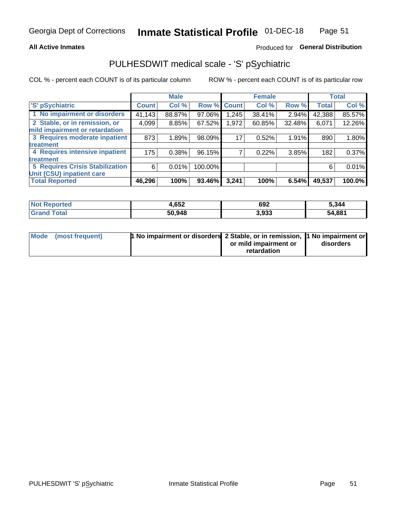### **All Active Inmates**

### Produced for General Distribution

# PULHESDWIT medical scale - 'S' pSychiatric

COL % - percent each COUNT is of its particular column

|                                        |              | <b>Male</b> |         |              | <b>Female</b> |        |              | <b>Total</b> |
|----------------------------------------|--------------|-------------|---------|--------------|---------------|--------|--------------|--------------|
| 'S' pSychiatric                        | <b>Count</b> | Col %       | Row %   | <b>Count</b> | Col %         | Row %  | <b>Total</b> | Col %        |
| 1 No impairment or disorders           | 41,143       | 88.87%      | 97.06%  | 1,245        | 38.41%        | 2.94%  | 42,388       | 85.57%       |
| 2 Stable, or in remission, or          | 4,099        | 8.85%       | 67.52%  | 1,972        | 60.85%        | 32.48% | 6,071        | 12.26%       |
| mild impairment or retardation         |              |             |         |              |               |        |              |              |
| 3 Requires moderate inpatient          | 873          | 1.89%       | 98.09%  | 17           | 0.52%         | 1.91%  | 890          | 1.80%        |
| treatment                              |              |             |         |              |               |        |              |              |
| 4 Requires intensive inpatient         | 175          | 0.38%       | 96.15%  |              | 0.22%         | 3.85%  | 182          | 0.37%        |
| treatment                              |              |             |         |              |               |        |              |              |
| <b>5 Requires Crisis Stabilization</b> | 6            | 0.01%       | 100.00% |              |               |        | 6            | 0.01%        |
| Unit (CSU) inpatient care              |              |             |         |              |               |        |              |              |
| <b>Total Reported</b>                  | 46,296       | 100%        | 93.46%  | 3,241        | 100%          | 6.54%  | 49,537       | 100.0%       |

| <b>Not Reported</b>   | 4,652  | 692   | 5,344  |
|-----------------------|--------|-------|--------|
| Total<br><b>Grand</b> | 50,948 | 3,933 | 54,881 |

| Mode (most frequent) | <b>t No impairment or disorders 2 Stable, or in remission, 1 No impairment or</b> |                       |           |
|----------------------|-----------------------------------------------------------------------------------|-----------------------|-----------|
|                      |                                                                                   | or mild impairment or | disorders |
|                      |                                                                                   | retardation           |           |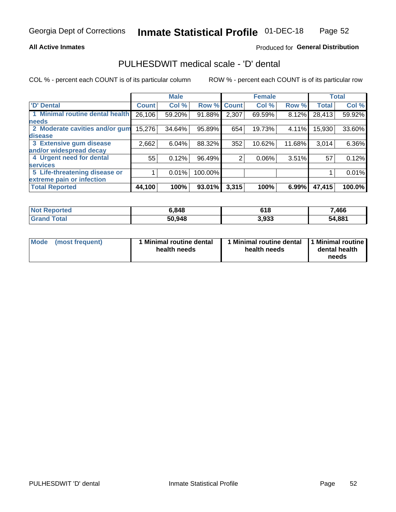### **All Active Inmates**

### Produced for General Distribution

## PULHESDWIT medical scale - 'D' dental

COL % - percent each COUNT is of its particular column

|                                 |              | <b>Male</b> |         |              | <b>Female</b> |        |              | <b>Total</b> |
|---------------------------------|--------------|-------------|---------|--------------|---------------|--------|--------------|--------------|
| 'D' Dental                      | <b>Count</b> | Col %       | Row %   | <b>Count</b> | Col %         | Row %  | <b>Total</b> | Col %        |
| 1 Minimal routine dental health | 26,106       | 59.20%      | 91.88%  | 2,307        | 69.59%        | 8.12%  | 28,413       | 59.92%       |
| <b>needs</b>                    |              |             |         |              |               |        |              |              |
| 2 Moderate cavities and/or gum  | 15,276       | 34.64%      | 95.89%  | 654          | 19.73%        | 4.11%  | 15,930       | 33.60%       |
| disease                         |              |             |         |              |               |        |              |              |
| 3 Extensive gum disease         | 2,662        | 6.04%       | 88.32%  | 352          | 10.62%        | 11.68% | 3,014        | 6.36%        |
| and/or widespread decay         |              |             |         |              |               |        |              |              |
| 4 Urgent need for dental        | 55           | 0.12%       | 96.49%  | 2            | 0.06%         | 3.51%  | 57           | 0.12%        |
| <b>services</b>                 |              |             |         |              |               |        |              |              |
| 5 Life-threatening disease or   |              | 0.01%       | 100.00% |              |               |        |              | 0.01%        |
| extreme pain or infection       |              |             |         |              |               |        |              |              |
| <b>Total Reported</b>           | 44,100       | 100%        | 93.01%  | 3,315        | 100%          | 6.99%  | 47,415       | 100.0%       |

| <b>Not Reported</b>      | 6,848  | 618   | 7,466  |
|--------------------------|--------|-------|--------|
| <b>Total</b><br>'Grand . | 50,948 | 3,933 | 54,881 |

| 1 Minimal routine dental<br>Mode<br>(most frequent)<br>health needs | 1 Minimal routine dental 1 Minimal routine<br>health needs | dental health<br>needs |
|---------------------------------------------------------------------|------------------------------------------------------------|------------------------|
|---------------------------------------------------------------------|------------------------------------------------------------|------------------------|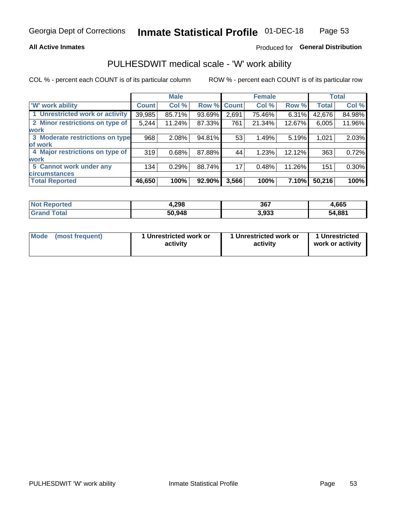### **All Active Inmates**

### Produced for General Distribution

## PULHESDWIT medical scale - 'W' work ability

COL % - percent each COUNT is of its particular column

|                                 |              | <b>Male</b> |        |             | <b>Female</b> |        |              | <b>Total</b> |
|---------------------------------|--------------|-------------|--------|-------------|---------------|--------|--------------|--------------|
| <b>W' work ability</b>          | <b>Count</b> | Col %       |        | Row % Count | Col %         | Row %  | <b>Total</b> | Col %        |
| 1 Unrestricted work or activity | 39,985       | 85.71%      | 93.69% | 2,691       | 75.46%        | 6.31%  | 42,676       | 84.98%       |
| 2 Minor restrictions on type of | 5,244        | 11.24%      | 87.33% | 761         | 21.34%        | 12.67% | 6,005        | 11.96%       |
| <b>work</b>                     |              |             |        |             |               |        |              |              |
| 3 Moderate restrictions on type | 968          | 2.08%       | 94.81% | 53          | 1.49%         | 5.19%  | 1,021        | 2.03%        |
| lof work                        |              |             |        |             |               |        |              |              |
| 4 Major restrictions on type of | 319          | 0.68%       | 87.88% | 44          | 1.23%         | 12.12% | 363          | 0.72%        |
| <b>work</b>                     |              |             |        |             |               |        |              |              |
| 5 Cannot work under any         | 134          | 0.29%       | 88.74% | 17          | 0.48%         | 11.26% | 151          | 0.30%        |
| <b>circumstances</b>            |              |             |        |             |               |        |              |              |
| <b>Total Reported</b>           | 46,650       | 100%        | 92.90% | 3,566       | 100%          | 7.10%  | 50,216       | 100%         |

| <b>Not Reported</b>         | 1,298  | 367   | 4,665  |
|-----------------------------|--------|-------|--------|
| $\tau$ otal<br><b>Grand</b> | 50,948 | 3,933 | 54,881 |

| Mode            | 1 Unrestricted work or | 1 Unrestricted work or | 1 Unrestricted   |
|-----------------|------------------------|------------------------|------------------|
| (most frequent) | activity               | activity               | work or activity |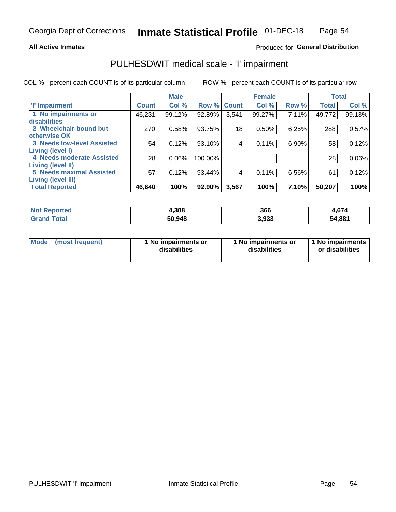### **All Active Inmates**

### Produced for General Distribution

# PULHESDWIT medical scale - 'I' impairment

COL % - percent each COUNT is of its particular column

|                                                       |              | <b>Male</b> |             |                 | <b>Female</b> |       |              | <b>Total</b> |
|-------------------------------------------------------|--------------|-------------|-------------|-----------------|---------------|-------|--------------|--------------|
| <b>T' Impairment</b>                                  | <b>Count</b> | Col %       | Row % Count |                 | Col %         | Row % | <b>Total</b> | Col %        |
| 1 No impairments or<br>disabilities                   | 46,231       | 99.12%      | 92.89%      | 3,541           | 99.27%        | 7.11% | 49,772       | 99.13%       |
| 2 Wheelchair-bound but<br>otherwise OK                | 270          | 0.58%       | 93.75%      | 18 <sub>1</sub> | 0.50%         | 6.25% | 288          | 0.57%        |
| <b>3 Needs low-level Assisted</b><br>Living (level I) | 54           | 0.12%       | 93.10%      | 4               | 0.11%         | 6.90% | 58           | 0.12%        |
| 4 Needs moderate Assisted<br><b>Living (level II)</b> | 28           | 0.06%       | 100.00%     |                 |               |       | 28           | $0.06\%$     |
| <b>5 Needs maximal Assisted</b>                       | 57           | 0.12%       | 93.44%      | 4               | 0.11%         | 6.56% | 61           | 0.12%        |
| <b>Living (level III)</b><br><b>Total Reported</b>    | 46,640       | 100%        | 92.90%      | 3,567           | 100%          | 7.10% | 50,207       | 100%         |

| $^{\dagger}$ Not $\cdot$<br>Reported | 4,308  | 366   | 4,674  |
|--------------------------------------|--------|-------|--------|
| `otal                                | 50.948 | 3.933 | 54,881 |

| Mode | (most frequent) | 1 No impairments or<br>disabilities | 1 No impairments or<br>disabilities | 1 No impairments<br>or disabilities |
|------|-----------------|-------------------------------------|-------------------------------------|-------------------------------------|
|------|-----------------|-------------------------------------|-------------------------------------|-------------------------------------|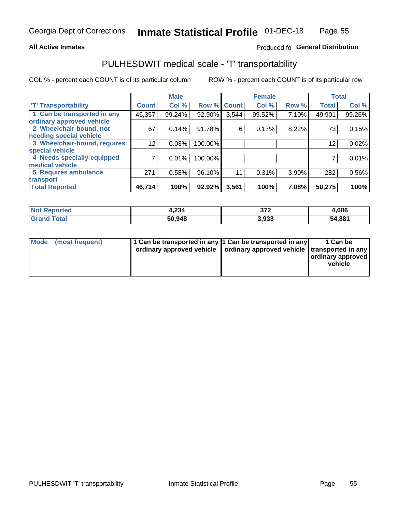### **All Active Inmates**

### Produced fo General Distribution

## PULHESDWIT medical scale - 'T' transportability

COL % - percent each COUNT is of its particular column

|                              |              | <b>Male</b> |         |              | <b>Female</b> |       |              | <b>Total</b> |
|------------------------------|--------------|-------------|---------|--------------|---------------|-------|--------------|--------------|
| <b>T' Transportability</b>   | <b>Count</b> | Col %       | Row %   | <b>Count</b> | Col %         | Row % | <b>Total</b> | Col %        |
| 1 Can be transported in any  | 46,357       | 99.24%      | 92.90%  | 3,544        | 99.52%        | 7.10% | 49,901       | 99.26%       |
| ordinary approved vehicle    |              |             |         |              |               |       |              |              |
| 2 Wheelchair-bound, not      | 67           | 0.14%       | 91.78%  | 6            | 0.17%         | 8.22% | 73           | 0.15%        |
| needing special vehicle      |              |             |         |              |               |       |              |              |
| 3 Wheelchair-bound, requires | 12           | 0.03%       | 100.00% |              |               |       | 12           | 0.02%        |
| special vehicle              |              |             |         |              |               |       |              |              |
| 4 Needs specially-equipped   |              | 0.01%       | 100.00% |              |               |       |              | 0.01%        |
| medical vehicle              |              |             |         |              |               |       |              |              |
| <b>5 Requires ambulance</b>  | 271          | 0.58%       | 96.10%  | 11           | 0.31%         | 3.90% | 282          | 0.56%        |
| transport                    |              |             |         |              |               |       |              |              |
| <b>Total Reported</b>        | 46,714       | 100%        | 92.92%  | 3,561        | 100%          | 7.08% | 50,275       | 100%         |

| $^{\dagger}$ Not $\cdot$<br>Reported | 4,234  | ヘラヘ<br>UI ⊥ | 4,606  |
|--------------------------------------|--------|-------------|--------|
| <b>Total</b><br>' Grand              | 50.948 | 3,933       | 54,881 |

|  | Mode (most frequent) | 1 Can be transported in any 1 Can be transported in any<br>ordinary approved vehicle   ordinary approved vehicle   transported in any |  | 1 Can be<br>  ordinary approved  <br>vehicle |
|--|----------------------|---------------------------------------------------------------------------------------------------------------------------------------|--|----------------------------------------------|
|--|----------------------|---------------------------------------------------------------------------------------------------------------------------------------|--|----------------------------------------------|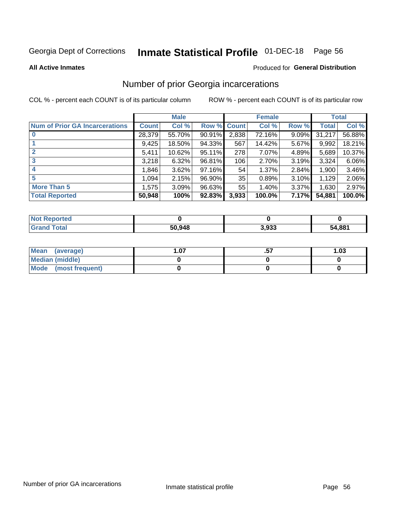# Inmate Statistical Profile 01-DEC-18 Page 56

**All Active Inmates** 

#### Produced for General Distribution

## Number of prior Georgia incarcerations

COL % - percent each COUNT is of its particular column

|                                       |              | <b>Male</b> |                    |       | <b>Female</b> |       |        | <b>Total</b> |
|---------------------------------------|--------------|-------------|--------------------|-------|---------------|-------|--------|--------------|
| <b>Num of Prior GA Incarcerations</b> | <b>Count</b> | Col %       | <b>Row % Count</b> |       | Col %         | Row % | Total  | Col %        |
| $\bf{0}$                              | 28,379       | 55.70%      | 90.91%             | 2,838 | 72.16%        | 9.09% | 31,217 | 56.88%       |
|                                       | 9,425        | 18.50%      | 94.33%             | 567   | 14.42%        | 5.67% | 9,992  | 18.21%       |
| $\mathbf{2}$                          | 5,411        | 10.62%      | 95.11%             | 278   | 7.07%         | 4.89% | 5,689  | 10.37%       |
| 3                                     | 3,218        | 6.32%       | 96.81%             | 106   | 2.70%         | 3.19% | 3,324  | 6.06%        |
| 4                                     | 1,846        | 3.62%       | 97.16%             | 54    | 1.37%         | 2.84% | 1,900  | 3.46%        |
| 5                                     | 1,094        | 2.15%       | 96.90%             | 35    | 0.89%         | 3.10% | 1,129  | 2.06%        |
| <b>More Than 5</b>                    | 1,575        | 3.09%       | 96.63%             | 55    | 1.40%         | 3.37% | 1,630  | 2.97%        |
| <b>Total Reported</b>                 | 50,948       | 100%        | 92.83%             | 3,933 | 100.0%        | 7.17% | 54,881 | 100.0%       |

| <b>Not</b><br>Reported |        |       |        |
|------------------------|--------|-------|--------|
| Total<br>'Grand        | 50,948 | 3,933 | 54,881 |

| Mean (average)         | .07 | 1.03 |
|------------------------|-----|------|
| <b>Median (middle)</b> |     |      |
| Mode (most frequent)   |     |      |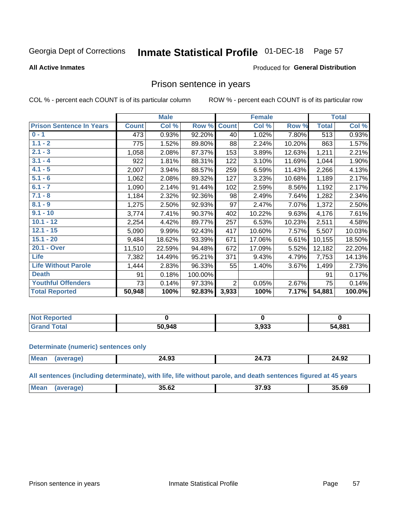#### Inmate Statistical Profile 01-DEC-18 Page 57

#### **All Active Inmates**

#### Produced for General Distribution

## Prison sentence in years

COL % - percent each COUNT is of its particular column

ROW % - percent each COUNT is of its particular row

|                                 |              | <b>Male</b> |         |                | <b>Female</b> |        |              | <b>Total</b> |
|---------------------------------|--------------|-------------|---------|----------------|---------------|--------|--------------|--------------|
| <b>Prison Sentence In Years</b> | <b>Count</b> | Col %       | Row %   | <b>Count</b>   | Col %         | Row %  | <b>Total</b> | Col %        |
| $0 - 1$                         | 473          | 0.93%       | 92.20%  | 40             | 1.02%         | 7.80%  | 513          | 0.93%        |
| $1.1 - 2$                       | 775          | 1.52%       | 89.80%  | 88             | 2.24%         | 10.20% | 863          | 1.57%        |
| $2.1 - 3$                       | 1,058        | 2.08%       | 87.37%  | 153            | 3.89%         | 12.63% | 1,211        | 2.21%        |
| $3.1 - 4$                       | 922          | 1.81%       | 88.31%  | 122            | 3.10%         | 11.69% | 1,044        | 1.90%        |
| $4.1 - 5$                       | 2,007        | 3.94%       | 88.57%  | 259            | 6.59%         | 11.43% | 2,266        | 4.13%        |
| $5.1 - 6$                       | 1,062        | 2.08%       | 89.32%  | 127            | 3.23%         | 10.68% | 1,189        | 2.17%        |
| $6.1 - 7$                       | 1,090        | 2.14%       | 91.44%  | 102            | 2.59%         | 8.56%  | 1,192        | 2.17%        |
| $7.1 - 8$                       | 1,184        | 2.32%       | 92.36%  | 98             | 2.49%         | 7.64%  | 1,282        | 2.34%        |
| $8.1 - 9$                       | 1,275        | 2.50%       | 92.93%  | 97             | 2.47%         | 7.07%  | 1,372        | 2.50%        |
| $9.1 - 10$                      | 3,774        | 7.41%       | 90.37%  | 402            | 10.22%        | 9.63%  | 4,176        | 7.61%        |
| $10.1 - 12$                     | 2,254        | 4.42%       | 89.77%  | 257            | 6.53%         | 10.23% | 2,511        | 4.58%        |
| $12.1 - 15$                     | 5,090        | 9.99%       | 92.43%  | 417            | 10.60%        | 7.57%  | 5,507        | 10.03%       |
| $15.1 - 20$                     | 9,484        | 18.62%      | 93.39%  | 671            | 17.06%        | 6.61%  | 10,155       | 18.50%       |
| 20.1 - Over                     | 11,510       | 22.59%      | 94.48%  | 672            | 17.09%        | 5.52%  | 12,182       | 22.20%       |
| <b>Life</b>                     | 7,382        | 14.49%      | 95.21%  | 371            | 9.43%         | 4.79%  | 7,753        | 14.13%       |
| <b>Life Without Parole</b>      | 1,444        | 2.83%       | 96.33%  | 55             | 1.40%         | 3.67%  | 1,499        | 2.73%        |
| <b>Death</b>                    | 91           | 0.18%       | 100.00% |                |               |        | 91           | 0.17%        |
| <b>Youthful Offenders</b>       | 73           | 0.14%       | 97.33%  | $\overline{2}$ | 0.05%         | 2.67%  | 75           | 0.14%        |
| <b>Total Reported</b>           | 50,948       | 100%        | 92.83%  | 3,933          | 100%          | 7.17%  | 54,881       | 100.0%       |

| <b>Not Reported</b>    |               |      |        |
|------------------------|---------------|------|--------|
| <b>otal</b><br>$C$ ron | 50.948<br>וור | ,933 | 54,881 |

#### **Determinate (numeric) sentences only**

| <b>Mear</b> | 24.93 | $\sim$ $\sim$<br><u>.</u> | 24.92 |
|-------------|-------|---------------------------|-------|
|             |       |                           |       |

All sentences (including determinate), with life, life without parole, and death sentences figured at 45 years

| <b>Mea</b><br><br>$\sim$<br>- -<br>35.69<br>.<br><b>ul</b> |  |  |  |
|------------------------------------------------------------|--|--|--|
|                                                            |  |  |  |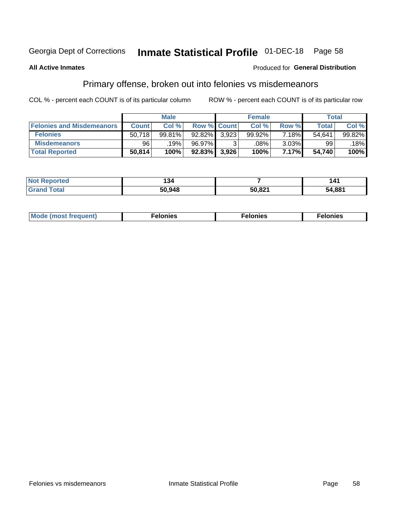# Inmate Statistical Profile 01-DEC-18 Page 58

### **All Active Inmates**

### **Produced for General Distribution**

## Primary offense, broken out into felonies vs misdemeanors

COL % - percent each COUNT is of its particular column

|                                  |              | <b>Male</b> |           |                    | <b>Female</b> |          | Total  |        |
|----------------------------------|--------------|-------------|-----------|--------------------|---------------|----------|--------|--------|
| <b>Felonies and Misdemeanors</b> | <b>Count</b> | Col%        |           | <b>Row % Count</b> | Col%          | Row %    | Total, | Col %  |
| <b>Felonies</b>                  | 50,718       | 99.81%      | $92.82\%$ | 3.923              | 99.92%        | $7.18\%$ | 54.641 | 99.82% |
| <b>Misdemeanors</b>              | 96           | 19%         | 96.97%    |                    | .08%          | 3.03%    | 99     | 18%    |
| <b>Total Reported</b>            | 50,814       | 100%        | $92.83\%$ | 3,926              | 100%          | 7.17%    | 54,740 | 100%   |

| <b>Not</b><br>Reported | 30،    |        |        |
|------------------------|--------|--------|--------|
| ⊺otal<br><b>Grand</b>  | 50,948 | 50,821 | 54,881 |

| Mo | ____ | 11 C.S<br>. | onies<br>. |
|----|------|-------------|------------|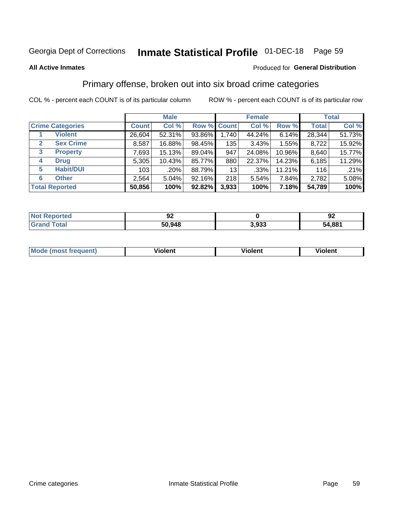#### **Inmate Statistical Profile 01-DEC-18** Page 59

#### **All Active Inmates**

### Produced for General Distribution

## Primary offense, broken out into six broad crime categories

COL % - percent each COUNT is of its particular column

|                                 | <b>Male</b>  |        |           |             | <b>Female</b> |        | <b>Total</b> |        |  |
|---------------------------------|--------------|--------|-----------|-------------|---------------|--------|--------------|--------|--|
| <b>Crime Categories</b>         | <b>Count</b> | Col %  |           | Row % Count | Col %         | Row %  | <b>Total</b> | Col %  |  |
| <b>Violent</b>                  | 26,604       | 52.31% | 93.86%    | 1,740       | 44.24%        | 6.14%  | 28,344       | 51.73% |  |
| <b>Sex Crime</b><br>2           | 8,587        | 16.88% | 98.45%    | 135         | 3.43%         | 1.55%  | 8,722        | 15.92% |  |
| $\mathbf{3}$<br><b>Property</b> | 7,693        | 15.13% | 89.04%    | 947         | 24.08%        | 10.96% | 8,640        | 15.77% |  |
| <b>Drug</b><br>4                | 5,305        | 10.43% | 85.77%    | 880         | 22.37%        | 14.23% | 6,185        | 11.29% |  |
| <b>Habit/DUI</b><br>5           | 103          | .20%   | 88.79%    | 13          | .33%          | 11.21% | 116          | .21%   |  |
| <b>Other</b><br>6               | 2,564        | 5.04%  | 92.16%    | 218         | 5.54%         | 7.84%  | 2,782        | 5.08%  |  |
| <b>Total Reported</b>           | 50,856       | 100%   | $92.82\%$ | 3,933       | 100%          | 7.18%  | 54,789       | 100%   |  |

| Reported     | n-     |       | ΩC     |
|--------------|--------|-------|--------|
| NOT F        | JŁ     |       | JŁ     |
| <b>Total</b> | 50,948 | 3,933 | 54,881 |

| M | - --<br>1010111 | .<br><b>VIOIGIIL</b> | 1.91311 |
|---|-----------------|----------------------|---------|
|   |                 |                      |         |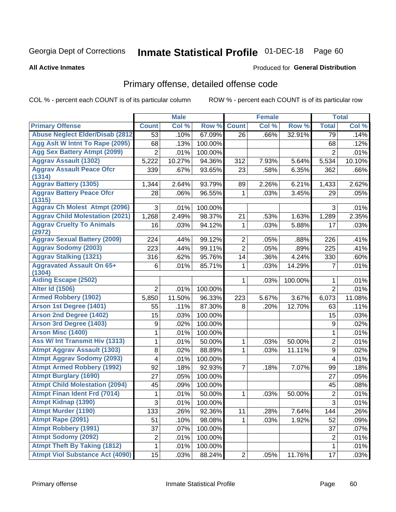# Inmate Statistical Profile 01-DEC-18 Page 60

**Produced for General Distribution** 

#### **All Active Inmates**

## Primary offense, detailed offense code

COL % - percent each COUNT is of its particular column

|                                            |                | <b>Male</b> |         |                | <b>Female</b> |         |                | <b>Total</b> |
|--------------------------------------------|----------------|-------------|---------|----------------|---------------|---------|----------------|--------------|
| <b>Primary Offense</b>                     | <b>Count</b>   | Col %       | Row %   | <b>Count</b>   | Col %         | Row %   | <b>Total</b>   | Col %        |
| <b>Abuse Neglect Elder/Disab (2812)</b>    | 53             | .10%        | 67.09%  | 26             | .66%          | 32.91%  | 79             | .14%         |
| Agg Aslt W Intnt To Rape (2095)            | 68             | .13%        | 100.00% |                |               |         | 68             | .12%         |
| <b>Agg Sex Battery Atmpt (2099)</b>        | $\overline{2}$ | .01%        | 100.00% |                |               |         | $\overline{2}$ | .01%         |
| <b>Aggrav Assault (1302)</b>               | 5,222          | 10.27%      | 94.36%  | 312            | 7.93%         | 5.64%   | 5,534          | 10.10%       |
| <b>Aggrav Assault Peace Ofcr</b>           | 339            | .67%        | 93.65%  | 23             | .58%          | 6.35%   | 362            | .66%         |
| (1314)                                     |                |             |         |                |               |         |                |              |
| <b>Aggrav Battery (1305)</b>               | 1,344          | 2.64%       | 93.79%  | 89             | 2.26%         | 6.21%   | 1,433          | 2.62%        |
| <b>Aggrav Battery Peace Ofcr</b><br>(1315) | 28             | .06%        | 96.55%  | 1.             | .03%          | 3.45%   | 29             | .05%         |
| <b>Aggrav Ch Molest Atmpt (2096)</b>       | 3              | .01%        | 100.00% |                |               |         | 3              | .01%         |
| <b>Aggrav Child Molestation (2021)</b>     | 1,268          | 2.49%       | 98.37%  | 21             | .53%          | 1.63%   | 1,289          | 2.35%        |
| <b>Aggrav Cruelty To Animals</b><br>(2972) | 16             | .03%        | 94.12%  | 1              | .03%          | 5.88%   | 17             | .03%         |
| <b>Aggrav Sexual Battery (2009)</b>        | 224            | .44%        | 99.12%  | $\overline{2}$ | .05%          | .88%    | 226            | .41%         |
| <b>Aggrav Sodomy (2003)</b>                | 223            | .44%        | 99.11%  | $\overline{2}$ | .05%          | .89%    | 225            | .41%         |
| <b>Aggrav Stalking (1321)</b>              | 316            | .62%        | 95.76%  | 14             | .36%          | 4.24%   | 330            | .60%         |
| <b>Aggravated Assault On 65+</b><br>(1304) | 6              | .01%        | 85.71%  | 1              | .03%          | 14.29%  | 7              | .01%         |
| <b>Aiding Escape (2502)</b>                |                |             |         | 1              | .03%          | 100.00% | 1              | .01%         |
| <b>Alter Id (1506)</b>                     | $\overline{2}$ | .01%        | 100.00% |                |               |         | $\overline{2}$ | .01%         |
| <b>Armed Robbery (1902)</b>                | 5,850          | 11.50%      | 96.33%  | 223            | 5.67%         | 3.67%   | 6,073          | 11.08%       |
| Arson 1st Degree (1401)                    | 55             | .11%        | 87.30%  | 8              | .20%          | 12.70%  | 63             | .11%         |
| <b>Arson 2nd Degree (1402)</b>             | 15             | .03%        | 100.00% |                |               |         | 15             | .03%         |
| <b>Arson 3rd Degree (1403)</b>             | 9              | .02%        | 100.00% |                |               |         | 9              | .02%         |
| <b>Arson Misc (1400)</b>                   | 1              | .01%        | 100.00% |                |               |         | 1              | .01%         |
| <b>Ass W/ Int Transmit Hiv (1313)</b>      | 1              | .01%        | 50.00%  | 1              | .03%          | 50.00%  | $\overline{2}$ | .01%         |
| <b>Atmpt Aggrav Assault (1303)</b>         | 8              | .02%        | 88.89%  | 1              | .03%          | 11.11%  | 9              | .02%         |
| <b>Atmpt Aggrav Sodomy (2093)</b>          | 4              | .01%        | 100.00% |                |               |         | 4              | .01%         |
| <b>Atmpt Armed Robbery (1992)</b>          | 92             | .18%        | 92.93%  | 7              | .18%          | 7.07%   | 99             | .18%         |
| <b>Atmpt Burglary (1690)</b>               | 27             | .05%        | 100.00% |                |               |         | 27             | .05%         |
| <b>Atmpt Child Molestation (2094)</b>      | 45             | .09%        | 100.00% |                |               |         | 45             | .08%         |
| <b>Atmpt Finan Ident Frd (7014)</b>        | 1              | .01%        | 50.00%  | 1              | .03%          | 50.00%  | $\mathbf 2$    | .01%         |
| <b>Atmpt Kidnap (1390)</b>                 | 3              | .01%        | 100.00% |                |               |         | $\overline{3}$ | .01%         |
| <b>Atmpt Murder (1190)</b>                 | 133            | .26%        | 92.36%  | 11             | .28%          | 7.64%   | 144            | .26%         |
| Atmpt Rape (2091)                          | 51             | .10%        | 98.08%  | 1.             | .03%          | 1.92%   | 52             | .09%         |
| <b>Atmpt Robbery (1991)</b>                | 37             | .07%        | 100.00% |                |               |         | 37             | .07%         |
| <b>Atmpt Sodomy (2092)</b>                 | $\overline{c}$ | .01%        | 100.00% |                |               |         | $\overline{2}$ | .01%         |
| <b>Atmpt Theft By Taking (1812)</b>        | 1              | .01%        | 100.00% |                |               |         | $\mathbf{1}$   | .01%         |
| <b>Atmpt Viol Substance Act (4090)</b>     | 15             | .03%        | 88.24%  | $\mathbf{2}$   | .05%          | 11.76%  | 17             | .03%         |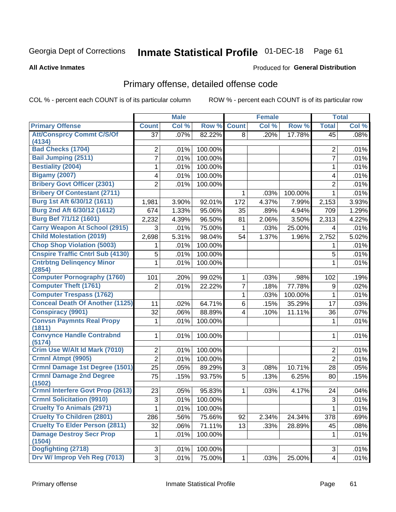#### **Inmate Statistical Profile 01-DEC-18** Page 61

**All Active Inmates** 

#### **Produced for General Distribution**

# Primary offense, detailed offense code

COL % - percent each COUNT is of its particular column

|                                            |                           | <b>Male</b> |         |              | <b>Female</b> |         |                         | <b>Total</b> |
|--------------------------------------------|---------------------------|-------------|---------|--------------|---------------|---------|-------------------------|--------------|
| <b>Primary Offense</b>                     | <b>Count</b>              | Col %       | Row %   | <b>Count</b> | Col %         | Row %   | <b>Total</b>            | Col %        |
| <b>Att/Consprcy Commt C/S/Of</b>           | 37                        | .07%        | 82.22%  | 8            | .20%          | 17.78%  | 45                      | .08%         |
| (4134)<br><b>Bad Checks (1704)</b>         |                           |             |         |              |               |         |                         |              |
|                                            | 2                         | .01%        | 100.00% |              |               |         | $\mathbf 2$             | .01%         |
| <b>Bail Jumping (2511)</b>                 | $\overline{7}$            | .01%        | 100.00% |              |               |         | $\overline{7}$          | .01%         |
| <b>Bestiality (2004)</b>                   | 1                         | .01%        | 100.00% |              |               |         | 1                       | .01%         |
| <b>Bigamy (2007)</b>                       | 4                         | .01%        | 100.00% |              |               |         | $\overline{\mathbf{4}}$ | .01%         |
| <b>Bribery Govt Officer (2301)</b>         | $\overline{2}$            | .01%        | 100.00% |              |               |         | $\mathbf 2$             | .01%         |
| <b>Bribery Of Contestant (2711)</b>        |                           |             |         | 1            | .03%          | 100.00% | $\mathbf{1}$            | .01%         |
| Burg 1st Aft 6/30/12 (1611)                | 1,981                     | 3.90%       | 92.01%  | 172          | 4.37%         | 7.99%   | 2,153                   | 3.93%        |
| Burg 2nd Aft 6/30/12 (1612)                | 674                       | 1.33%       | 95.06%  | 35           | .89%          | 4.94%   | 709                     | 1.29%        |
| Burg Bef 7/1/12 (1601)                     | 2,232                     | 4.39%       | 96.50%  | 81           | 2.06%         | 3.50%   | 2,313                   | 4.22%        |
| <b>Carry Weapon At School (2915)</b>       | 3                         | .01%        | 75.00%  | 1            | .03%          | 25.00%  | $\overline{4}$          | .01%         |
| <b>Child Molestation (2019)</b>            | 2,698                     | 5.31%       | 98.04%  | 54           | 1.37%         | 1.96%   | 2,752                   | 5.02%        |
| <b>Chop Shop Violation (5003)</b>          | 1                         | .01%        | 100.00% |              |               |         | 1                       | .01%         |
| <b>Cnspire Traffic Cntrl Sub (4130)</b>    | 5                         | .01%        | 100.00% |              |               |         | 5                       | .01%         |
| <b>Cntrbtng Delingency Minor</b><br>(2854) | 1                         | .01%        | 100.00% |              |               |         | 1                       | .01%         |
| <b>Computer Pornography (1760)</b>         | 101                       | .20%        | 99.02%  | 1            | .03%          | .98%    | 102                     | .19%         |
| <b>Computer Theft (1761)</b>               | $\overline{2}$            | .01%        | 22.22%  | 7            | .18%          | 77.78%  | 9                       | .02%         |
| <b>Computer Trespass (1762)</b>            |                           |             |         | 1            | .03%          | 100.00% | $\mathbf{1}$            | .01%         |
| <b>Conceal Death Of Another (1125)</b>     | 11                        | .02%        | 64.71%  | 6            | .15%          | 35.29%  | 17                      | .03%         |
| <b>Conspiracy (9901)</b>                   | 32                        | .06%        | 88.89%  | 4            | .10%          | 11.11%  | 36                      | .07%         |
| <b>Convsn Paymnts Real Propy</b><br>(1811) | 1                         | .01%        | 100.00% |              |               |         | $\mathbf{1}$            | .01%         |
| <b>Convynce Handle Contrabnd</b><br>(5174) | 1                         | .01%        | 100.00% |              |               |         | 1                       | .01%         |
| Crim Use W/Alt Id Mark (7010)              | 2                         | .01%        | 100.00% |              |               |         | $\mathbf 2$             | .01%         |
| Crmnl Atmpt (9905)                         | $\overline{2}$            | .01%        | 100.00% |              |               |         | $\overline{2}$          | .01%         |
| Crmnl Damage 1st Degree (1501)             | 25                        | .05%        | 89.29%  | 3            | .08%          | 10.71%  | 28                      | .05%         |
| <b>Crmnl Damage 2nd Degree</b><br>(1502)   | 75                        | .15%        | 93.75%  | 5            | .13%          | 6.25%   | 80                      | .15%         |
| <b>Crmnl Interfere Govt Prop (2613)</b>    | 23                        | .05%        | 95.83%  | 1            | .03%          | 4.17%   | 24                      | .04%         |
| <b>Crmnl Solicitation (9910)</b>           | 3                         | .01%        | 100.00% |              |               |         | 3                       | .01%         |
| <b>Cruelty To Animals (2971)</b>           | 1                         | .01%        | 100.00% |              |               |         | $\mathbf{1}$            | .01%         |
| <b>Cruelty To Children (2801)</b>          | 286                       | .56%        | 75.66%  | 92           | 2.34%         | 24.34%  | 378                     | .69%         |
| <b>Cruelty To Elder Person (2811)</b>      | 32                        | .06%        | 71.11%  | 13           | .33%          | 28.89%  | 45                      | .08%         |
| <b>Damage Destroy Secr Prop</b>            | 1                         | .01%        | 100.00% |              |               |         | 1                       | .01%         |
| (1504)                                     |                           |             |         |              |               |         |                         |              |
| Dogfighting (2718)                         | $\ensuremath{\mathsf{3}}$ | .01%        | 100.00% |              |               |         | 3                       | .01%         |
| Drv W/ Improp Veh Reg (7013)               | $\overline{3}$            | .01%        | 75.00%  | 1            | .03%          | 25.00%  | $\overline{4}$          | .01%         |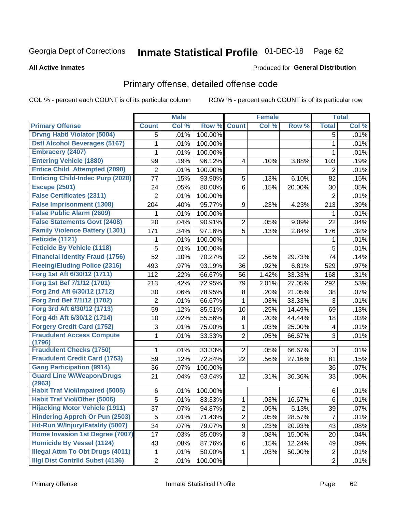# Inmate Statistical Profile 01-DEC-18 Page 62

#### **All Active Inmates**

#### **Produced for General Distribution**

# Primary offense, detailed offense code

COL % - percent each COUNT is of its particular column

|                                           |                | <b>Male</b> |           |                         | <b>Female</b> |        |                | <b>Total</b> |
|-------------------------------------------|----------------|-------------|-----------|-------------------------|---------------|--------|----------------|--------------|
| <b>Primary Offense</b>                    | <b>Count</b>   | Col %       | Row %     | <b>Count</b>            | Col %         | Row %  | <b>Total</b>   | Col %        |
| <b>Drvng Habtl Violator (5004)</b>        | 5              | .01%        | 100.00%   |                         |               |        | 5              | .01%         |
| <b>Dstl Alcohol Beverages (5167)</b>      | 1              | .01%        | 100.00%   |                         |               |        | 1              | .01%         |
| <b>Embracery (2407)</b>                   | 1              | .01%        | 100.00%   |                         |               |        | 1              | .01%         |
| <b>Entering Vehicle (1880)</b>            | 99             | .19%        | 96.12%    | $\overline{\mathbf{4}}$ | .10%          | 3.88%  | 103            | .19%         |
| <b>Entice Child Attempted (2090)</b>      | $\overline{2}$ | .01%        | 100.00%   |                         |               |        | $\overline{2}$ | .01%         |
| <b>Enticing Child-Indec Purp (2020)</b>   | 77             | .15%        | 93.90%    | 5                       | .13%          | 6.10%  | 82             | .15%         |
| <b>Escape (2501)</b>                      | 24             | .05%        | 80.00%    | 6                       | .15%          | 20.00% | 30             | .05%         |
| <b>False Certificates (2311)</b>          | $\overline{2}$ | .01%        | 100.00%   |                         |               |        | $\overline{2}$ | .01%         |
| <b>False Imprisonment (1308)</b>          | 204            | .40%        | 95.77%    | 9                       | .23%          | 4.23%  | 213            | .39%         |
| <b>False Public Alarm (2609)</b>          | 1              | .01%        | 100.00%   |                         |               |        | 1              | .01%         |
| <b>False Statements Govt (2408)</b>       | 20             | .04%        | $90.91\%$ | $\overline{c}$          | .05%          | 9.09%  | 22             | .04%         |
| <b>Family Violence Battery (1301)</b>     | 171            | .34%        | 97.16%    | $\overline{5}$          | .13%          | 2.84%  | 176            | .32%         |
| Feticide (1121)                           | 1              | .01%        | 100.00%   |                         |               |        | 1              | .01%         |
| <b>Feticide By Vehicle (1118)</b>         | 5              | .01%        | 100.00%   |                         |               |        | 5              | .01%         |
| <b>Financial Identity Fraud (1756)</b>    | 52             | .10%        | 70.27%    | 22                      | .56%          | 29.73% | 74             | .14%         |
| <b>Fleeing/Eluding Police (2316)</b>      | 493            | .97%        | 93.19%    | 36                      | .92%          | 6.81%  | 529            | .97%         |
| Forg 1st Aft 6/30/12 (1711)               | 112            | .22%        | 66.67%    | 56                      | 1.42%         | 33.33% | 168            | .31%         |
| Forg 1st Bef 7/1/12 (1701)                | 213            | .42%        | 72.95%    | 79                      | 2.01%         | 27.05% | 292            | .53%         |
| Forg 2nd Aft 6/30/12 (1712)               | 30             | .06%        | 78.95%    | 8                       | .20%          | 21.05% | 38             | .07%         |
| Forg 2nd Bef 7/1/12 (1702)                | $\overline{2}$ | .01%        | 66.67%    | 1                       | .03%          | 33.33% | 3              | .01%         |
| Forg 3rd Aft 6/30/12 (1713)               | 59             | .12%        | 85.51%    | 10                      | .25%          | 14.49% | 69             | .13%         |
| Forg 4th Aft 6/30/12 (1714)               | 10             | .02%        | 55.56%    | 8                       | .20%          | 44.44% | 18             | .03%         |
| <b>Forgery Credit Card (1752)</b>         | 3              | .01%        | 75.00%    | 1                       | .03%          | 25.00% | 4              | .01%         |
| <b>Fraudulent Access Compute</b>          | 1              | .01%        | 33.33%    | $\overline{2}$          | .05%          | 66.67% | 3              | .01%         |
| (1796)<br><b>Fraudulent Checks (1750)</b> |                |             | 33.33%    |                         |               |        | $\mathfrak{S}$ |              |
| <b>Fraudulent Credit Card (1753)</b>      | 1<br>59        | .01%        |           | $\overline{2}$<br>22    | .05%          | 66.67% |                | .01%         |
| <b>Gang Participation (9914)</b>          |                | .12%        | 72.84%    |                         | .56%          | 27.16% | 81             | .15%         |
| <b>Guard Line W/Weapon/Drugs</b>          | 36             | .07%        | 100.00%   |                         |               |        | 36             | .07%         |
| (2963)                                    | 21             | .04%        | 63.64%    | 12                      | .31%          | 36.36% | 33             | .06%         |
| <b>Habit Traf Viol/Impaired (5005)</b>    | 6              | .01%        | 100.00%   |                         |               |        | 6              | .01%         |
| <b>Habit Traf Viol/Other (5006)</b>       | 5              | .01%        | 83.33%    | 1                       | .03%          | 16.67% | 6              | .01%         |
| <b>Hijacking Motor Vehicle (1911)</b>     | 37             | .07%        | 94.87%    | $\overline{2}$          | .05%          | 5.13%  | 39             | .07%         |
| <b>Hindering Appreh Or Pun (2503)</b>     | 5              | .01%        | 71.43%    | $\overline{2}$          | .05%          | 28.57% | $\overline{7}$ | .01%         |
| Hit-Run W/Injury/Fatality (5007)          | 34             | .07%        | 79.07%    | 9                       | .23%          | 20.93% | 43             | .08%         |
| Home Invasion 1st Degree (7007)           | 17             | .03%        | 85.00%    | $\overline{3}$          | .08%          | 15.00% | 20             | .04%         |
| <b>Homicide By Vessel (1124)</b>          | 43             | .08%        | 87.76%    | 6                       | .15%          | 12.24% | 49             | .09%         |
| <b>Illegal Attm To Obt Drugs (4011)</b>   | 1              | .01%        | 50.00%    | 1                       | .03%          | 50.00% | $\sqrt{2}$     | .01%         |
| <b>Illgl Dist Contrild Subst (4136)</b>   | $\overline{2}$ | .01%        | 100.00%   |                         |               |        | $\overline{2}$ | .01%         |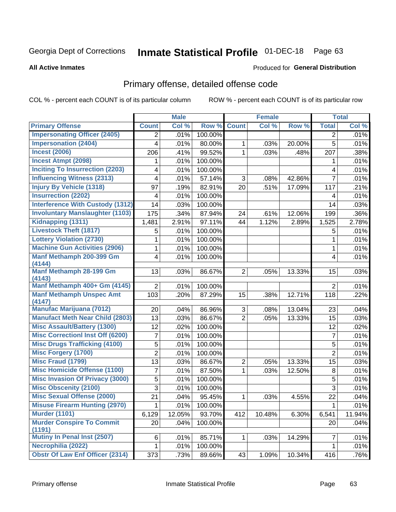# Inmate Statistical Profile 01-DEC-18 Page 63

#### **All Active Inmates**

#### **Produced for General Distribution**

# Primary offense, detailed offense code

COL % - percent each COUNT is of its particular column

|                                         |                 | <b>Male</b> |         |                | <b>Female</b> |        |                | <b>Total</b> |
|-----------------------------------------|-----------------|-------------|---------|----------------|---------------|--------|----------------|--------------|
| <b>Primary Offense</b>                  | <b>Count</b>    | Col %       | Row %   | <b>Count</b>   | Col %         | Row %  | <b>Total</b>   | Col %        |
| <b>Impersonating Officer (2405)</b>     | 2               | .01%        | 100.00% |                |               |        | $\overline{2}$ | .01%         |
| <b>Impersonation (2404)</b>             | 4               | .01%        | 80.00%  | $\mathbf{1}$   | .03%          | 20.00% | 5              | .01%         |
| <b>Incest (2006)</b>                    | 206             | .41%        | 99.52%  | 1              | .03%          | .48%   | 207            | .38%         |
| <b>Incest Atmpt (2098)</b>              | 1               | .01%        | 100.00% |                |               |        | 1              | .01%         |
| <b>Inciting To Insurrection (2203)</b>  | 4               | .01%        | 100.00% |                |               |        | 4              | .01%         |
| <b>Influencing Witness (2313)</b>       | 4               | .01%        | 57.14%  | 3              | .08%          | 42.86% | $\overline{7}$ | .01%         |
| <b>Injury By Vehicle (1318)</b>         | 97              | .19%        | 82.91%  | 20             | .51%          | 17.09% | 117            | .21%         |
| <b>Insurrection (2202)</b>              | 4               | .01%        | 100.00% |                |               |        | 4              | .01%         |
| <b>Interference With Custody (1312)</b> | 14              | .03%        | 100.00% |                |               |        | 14             | .03%         |
| <b>Involuntary Manslaughter (1103)</b>  | 175             | .34%        | 87.94%  | 24             | .61%          | 12.06% | 199            | .36%         |
| Kidnapping (1311)                       | 1,481           | 2.91%       | 97.11%  | 44             | 1.12%         | 2.89%  | 1,525          | 2.78%        |
| <b>Livestock Theft (1817)</b>           | 5               | .01%        | 100.00% |                |               |        | 5              | .01%         |
| <b>Lottery Violation (2730)</b>         | 1               | .01%        | 100.00% |                |               |        | $\mathbf{1}$   | .01%         |
| <b>Machine Gun Activities (2906)</b>    | 1               | .01%        | 100.00% |                |               |        | $\mathbf{1}$   | .01%         |
| Manf Methamph 200-399 Gm                | 4               | .01%        | 100.00% |                |               |        | 4              | .01%         |
| (4144)                                  |                 |             |         |                |               |        |                |              |
| Manf Methamph 28-199 Gm<br>(4143)       | 13              | .03%        | 86.67%  | $\overline{2}$ | .05%          | 13.33% | 15             | .03%         |
| Manf Methamph 400+ Gm (4145)            | $\overline{2}$  | .01%        | 100.00% |                |               |        | $\overline{2}$ | .01%         |
| <b>Manf Methamph Unspec Amt</b>         | 103             | .20%        | 87.29%  | 15             | .38%          | 12.71% | 118            | .22%         |
| (4147)                                  |                 |             |         |                |               |        |                |              |
| <b>Manufac Marijuana (7012)</b>         | 20              | .04%        | 86.96%  | 3              | .08%          | 13.04% | 23             | .04%         |
| <b>Manufact Meth Near Child (2803)</b>  | 13              | .03%        | 86.67%  | $\overline{2}$ | .05%          | 13.33% | 15             | .03%         |
| <b>Misc Assault/Battery (1300)</b>      | 12              | .02%        | 100.00% |                |               |        | 12             | .02%         |
| <b>Misc Correctionl Inst Off (6200)</b> | 7               | .01%        | 100.00% |                |               |        | 7              | .01%         |
| <b>Misc Drugs Trafficking (4100)</b>    | 5               | .01%        | 100.00% |                |               |        | 5              | .01%         |
| <b>Misc Forgery (1700)</b>              | $\overline{2}$  | .01%        | 100.00% |                |               |        | $\overline{2}$ | .01%         |
| <b>Misc Fraud (1799)</b>                | 13              | .03%        | 86.67%  | $\overline{2}$ | .05%          | 13.33% | 15             | .03%         |
| <b>Misc Homicide Offense (1100)</b>     | 7               | .01%        | 87.50%  | $\mathbf{1}$   | .03%          | 12.50% | 8              | .01%         |
| <b>Misc Invasion Of Privacy (3000)</b>  | 5               | .01%        | 100.00% |                |               |        | 5              | .01%         |
| <b>Misc Obscenity (2100)</b>            | 3               | .01%        | 100.00% |                |               |        | 3              | .01%         |
| <b>Misc Sexual Offense (2000)</b>       | $\overline{21}$ | .04%        | 95.45%  | $\mathbf 1$    | .03%          | 4.55%  | 22             | .04%         |
| <b>Misuse Firearm Hunting (2970)</b>    | 1               | .01%        | 100.00% |                |               |        | $\mathbf{1}$   | .01%         |
| <b>Murder (1101)</b>                    | 6,129           | 12.05%      | 93.70%  | 412            | 10.48%        | 6.30%  | 6,541          | 11.94%       |
| <b>Murder Conspire To Commit</b>        | 20              | .04%        | 100.00% |                |               |        | 20             | .04%         |
| (1191)                                  |                 |             |         |                |               |        |                |              |
| Mutiny In Penal Inst (2507)             | 6               | .01%        | 85.71%  | 1              | .03%          | 14.29% | $\overline{7}$ | .01%         |
| Necrophilia (2022)                      | 1               | .01%        | 100.00% |                |               |        | $\mathbf{1}$   | .01%         |
| <b>Obstr Of Law Enf Officer (2314)</b>  | 373             | .73%        | 89.66%  | 43             | 1.09%         | 10.34% | 416            | .76%         |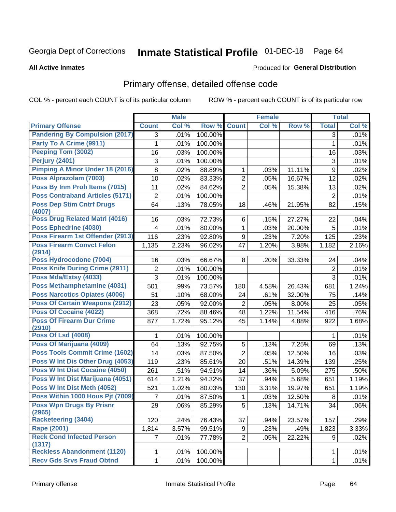# Inmate Statistical Profile 01-DEC-18 Page 64

#### **All Active Inmates**

#### **Produced for General Distribution**

# Primary offense, detailed offense code

COL % - percent each COUNT is of its particular column

|                                              |                | <b>Male</b> |         |                | <b>Female</b> |        |                | <b>Total</b> |
|----------------------------------------------|----------------|-------------|---------|----------------|---------------|--------|----------------|--------------|
| <b>Primary Offense</b>                       | <b>Count</b>   | Col %       | Row %   | <b>Count</b>   | Col %         | Row %  | <b>Total</b>   | Col %        |
| <b>Pandering By Compulsion (2017)</b>        | 3              | .01%        | 100.00% |                |               |        | 3              | .01%         |
| Party To A Crime (9911)                      | 1              | .01%        | 100.00% |                |               |        | $\mathbf{1}$   | .01%         |
| <b>Peeping Tom (3002)</b>                    | 16             | .03%        | 100.00% |                |               |        | 16             | .03%         |
| Perjury (2401)                               | 3              | .01%        | 100.00% |                |               |        | $\mathfrak{S}$ | .01%         |
| <b>Pimping A Minor Under 18 (2016)</b>       | 8              | .02%        | 88.89%  | 1              | .03%          | 11.11% | 9              | .02%         |
| Poss Alprazolam (7003)                       | 10             | .02%        | 83.33%  | $\overline{c}$ | .05%          | 16.67% | 12             | .02%         |
| Poss By Inm Proh Items (7015)                | 11             | .02%        | 84.62%  | $\overline{2}$ | .05%          | 15.38% | 13             | .02%         |
| <b>Poss Contraband Articles (5171)</b>       | $\overline{2}$ | .01%        | 100.00% |                |               |        | $\overline{2}$ | .01%         |
| <b>Poss Dep Stim Cntrf Drugs</b><br>(4007)   | 64             | .13%        | 78.05%  | 18             | .46%          | 21.95% | 82             | .15%         |
| Poss Drug Related Matrl (4016)               | 16             | .03%        | 72.73%  | 6              | .15%          | 27.27% | 22             | .04%         |
| Poss Ephedrine (4030)                        | 4              | .01%        | 80.00%  | $\mathbf{1}$   | .03%          | 20.00% | 5              | .01%         |
| Poss Firearm 1st Offender (2913)             | 116            | .23%        | 92.80%  | 9              | .23%          | 7.20%  | 125            | .23%         |
| <b>Poss Firearm Convct Felon</b>             | 1,135          | 2.23%       | 96.02%  | 47             | 1.20%         | 3.98%  | 1,182          | 2.16%        |
| (2914)<br>Poss Hydrocodone (7004)            | 16             | .03%        | 66.67%  | 8              | .20%          | 33.33% | 24             | .04%         |
| Poss Knife During Crime (2911)               | 2              | .01%        | 100.00% |                |               |        | $\overline{2}$ | .01%         |
| Poss Mda/Extsy (4033)                        | 3              | .01%        | 100.00% |                |               |        | 3              | .01%         |
| Poss Methamphetamine (4031)                  | 501            | .99%        | 73.57%  | 180            | 4.58%         | 26.43% | 681            | 1.24%        |
| <b>Poss Narcotics Opiates (4006)</b>         | 51             | .10%        | 68.00%  | 24             | .61%          | 32.00% | 75             | .14%         |
| <b>Poss Of Certain Weapons (2912)</b>        | 23             | .05%        | 92.00%  | $\overline{2}$ | .05%          | 8.00%  | 25             | .05%         |
| <b>Poss Of Cocaine (4022)</b>                | 368            | .72%        | 88.46%  | 48             | 1.22%         | 11.54% | 416            | .76%         |
| <b>Poss Of Firearm Dur Crime</b><br>(2910)   | 877            | 1.72%       | 95.12%  | 45             | 1.14%         | 4.88%  | 922            | 1.68%        |
| <b>Poss Of Lsd (4008)</b>                    | 1              | .01%        | 100.00% |                |               |        | 1              | .01%         |
| Poss Of Marijuana (4009)                     | 64             | .13%        | 92.75%  | 5              | .13%          | 7.25%  | 69             | .13%         |
| <b>Poss Tools Commit Crime (1602)</b>        | 14             | .03%        | 87.50%  | $\overline{c}$ | .05%          | 12.50% | 16             | .03%         |
| Poss W Int Dis Other Drug (4053)             | 119            | .23%        | 85.61%  | 20             | .51%          | 14.39% | 139            | .25%         |
| <b>Poss W Int Dist Cocaine (4050)</b>        | 261            | .51%        | 94.91%  | 14             | .36%          | 5.09%  | 275            | .50%         |
| Poss W Int Dist Marijuana (4051)             | 614            | 1.21%       | 94.32%  | 37             | .94%          | 5.68%  | 651            | 1.19%        |
| Poss W Int Dist Meth (4052)                  | 521            | 1.02%       | 80.03%  | 130            | 3.31%         | 19.97% | 651            | 1.19%        |
| Poss Within 1000 Hous Pjt (7009)             | 7              | .01%        | 87.50%  | 1              | .03%          | 12.50% | 8              | .01%         |
| <b>Poss Wpn Drugs By Prisnr</b><br>(2965)    | 29             | .06%        | 85.29%  | 5 <sup>1</sup> | .13%          | 14.71% | 34             | .06%         |
| <b>Racketeering (3404)</b>                   | 120            | .24%        | 76.43%  | 37             | .94%          | 23.57% | 157            | .29%         |
| Rape (2001)                                  | 1,814          | 3.57%       | 99.51%  | 9 <sup>1</sup> | .23%          | .49%   | 1,823          | 3.33%        |
| <b>Reck Cond Infected Person</b>             | $\overline{7}$ | .01%        | 77.78%  | $\overline{2}$ | .05%          | 22.22% | 9              | .02%         |
| (1317)<br><b>Reckless Abandonment (1120)</b> |                |             |         |                |               |        |                |              |
| <b>Recv Gds Srvs Fraud Obtnd</b>             | $\mathbf 1$    | .01%        | 100.00% |                |               |        | 1              | .01%         |
|                                              | $\mathbf{1}$   | .01%        | 100.00% |                |               |        | $\mathbf{1}$   | .01%         |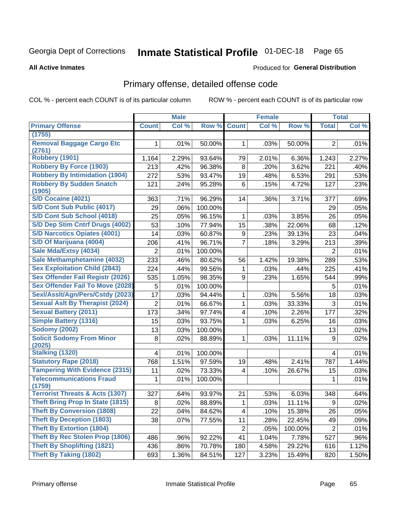#### **Inmate Statistical Profile 01-DEC-18** Page 65

#### **All Active Inmates**

### **Produced for General Distribution**

## Primary offense, detailed offense code

COL % - percent each COUNT is of its particular column

|                                                      |                | <b>Male</b> |         |                         | <b>Female</b> |         |                  | <b>Total</b> |
|------------------------------------------------------|----------------|-------------|---------|-------------------------|---------------|---------|------------------|--------------|
| <b>Primary Offense</b>                               | <b>Count</b>   | Col %       | Row %   | <b>Count</b>            | Col %         | Row %   | <b>Total</b>     | Col%         |
| (1755)                                               |                |             |         |                         |               |         |                  |              |
| <b>Removal Baggage Cargo Etc</b><br>(2761)           | 1.             | .01%        | 50.00%  | 1                       | .03%          | 50.00%  | $\overline{2}$   | .01%         |
| <b>Robbery (1901)</b>                                | 1,164          | 2.29%       | 93.64%  | 79                      | 2.01%         | 6.36%   | 1,243            | 2.27%        |
| <b>Robbery By Force (1903)</b>                       | 213            | .42%        | 96.38%  | 8                       | .20%          | 3.62%   | 221              | .40%         |
| <b>Robbery By Intimidation (1904)</b>                | 272            | .53%        | 93.47%  | 19                      | .48%          | 6.53%   | 291              | .53%         |
| <b>Robbery By Sudden Snatch</b>                      | 121            | .24%        | 95.28%  | 6                       | .15%          | 4.72%   | 127              | .23%         |
| (1905)                                               |                |             |         |                         |               |         |                  |              |
| S/D Cocaine (4021)                                   | 363            | .71%        | 96.29%  | 14                      | .36%          | 3.71%   | 377              | .69%         |
| S/D Cont Sub Public (4017)                           | 29             | .06%        | 100.00% |                         |               |         | 29               | .05%         |
| S/D Cont Sub School (4018)                           | 25             | .05%        | 96.15%  | 1                       | .03%          | 3.85%   | 26               | .05%         |
| S/D Dep Stim Cntrf Drugs (4002)                      | 53             | .10%        | 77.94%  | 15                      | .38%          | 22.06%  | 68               | .12%         |
| <b>S/D Narcotics Opiates (4001)</b>                  | 14             | .03%        | 60.87%  | 9                       | .23%          | 39.13%  | 23               | .04%         |
| S/D Of Marijuana (4004)                              | 206            | .41%        | 96.71%  | $\overline{7}$          | .18%          | 3.29%   | 213              | .39%         |
| Sale Mda/Extsy (4034)                                | $\overline{2}$ | .01%        | 100.00% |                         |               |         | $\overline{2}$   | .01%         |
| Sale Methamphetamine (4032)                          | 233            | .46%        | 80.62%  | 56                      | 1.42%         | 19.38%  | 289              | .53%         |
| <b>Sex Exploitation Child (2843)</b>                 | 224            | .44%        | 99.56%  | 1                       | .03%          | .44%    | 225              | .41%         |
| Sex Offender Fail Registr (2026)                     | 535            | 1.05%       | 98.35%  | 9                       | .23%          | 1.65%   | 544              | .99%         |
| <b>Sex Offender Fail To Move (2028)</b>              | 5              | .01%        | 100.00% |                         |               |         | 5                | .01%         |
| Sexl/Asslt/Agn/Pers/Cstdy (2023)                     | 17             | .03%        | 94.44%  | 1                       | .03%          | 5.56%   | 18               | .03%         |
| <b>Sexual Aslt By Therapist (2024)</b>               | $\overline{2}$ | .01%        | 66.67%  | 1                       | .03%          | 33.33%  | 3                | .01%         |
| <b>Sexual Battery (2011)</b>                         | 173            | .34%        | 97.74%  | 4                       | .10%          | 2.26%   | 177              | .32%         |
| Simple Battery (1316)                                | 15             | .03%        | 93.75%  | 1                       | .03%          | 6.25%   | 16               | .03%         |
| <b>Sodomy (2002)</b>                                 | 13             | .03%        | 100.00% |                         |               |         | 13               | .02%         |
| <b>Solicit Sodomy From Minor</b>                     | 8              | .02%        | 88.89%  | 1                       | .03%          | 11.11%  | 9                | .02%         |
| (2025)                                               |                |             |         |                         |               |         |                  |              |
| <b>Stalking (1320)</b>                               | 4              | .01%        | 100.00% |                         |               |         | 4                | .01%         |
| <b>Statutory Rape (2018)</b>                         | 768            | 1.51%       | 97.59%  | 19                      | .48%          | 2.41%   | 787              | 1.44%        |
| <b>Tampering With Evidence (2315)</b>                | 11             | .02%        | 73.33%  | 4                       | .10%          | 26.67%  | 15               | .03%         |
| <b>Telecommunications Fraud</b>                      | 1              | .01%        | 100.00% |                         |               |         | 1                | .01%         |
| (1759)<br><b>Terrorist Threats &amp; Acts (1307)</b> | 327            | .64%        | 93.97%  | 21                      | .53%          | 6.03%   | 348              | .64%         |
|                                                      |                |             |         |                         | .03%          | 11.11%  | $\boldsymbol{9}$ |              |
| <b>Theft Bring Prop In State (1815)</b>              | 8 <sup>1</sup> | .02%        | 88.89%  | $\mathbf 1$             |               |         |                  | .02%         |
| <b>Theft By Conversion (1808)</b>                    | 22             | .04%        | 84.62%  | $\overline{\mathbf{4}}$ | .10%          | 15.38%  | 26               | .05%         |
| <b>Theft By Deception (1803)</b>                     | 38             | .07%        | 77.55%  | 11                      | .28%          | 22.45%  | 49               | .09%         |
| <b>Theft By Extortion (1804)</b>                     |                |             |         | $\overline{2}$          | .05%          | 100.00% | $\overline{2}$   | .01%         |
| Theft By Rec Stolen Prop (1806)                      | 486            | .96%        | 92.22%  | 41                      | 1.04%         | 7.78%   | 527              | .96%         |
| <b>Theft By Shoplifting (1821)</b>                   | 436            | .86%        | 70.78%  | 180                     | 4.58%         | 29.22%  | 616              | 1.12%        |
| <b>Theft By Taking (1802)</b>                        | 693            | 1.36%       | 84.51%  | 127                     | 3.23%         | 15.49%  | 820              | 1.50%        |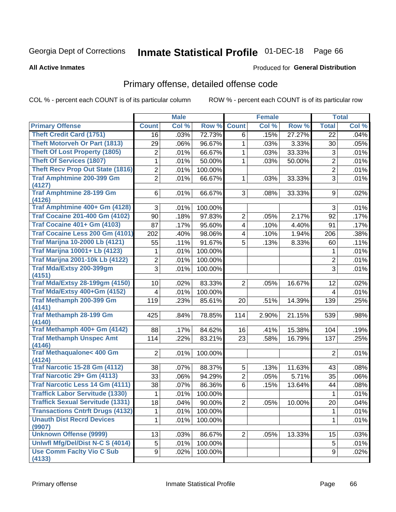#### **Inmate Statistical Profile 01-DEC-18** Page 66

#### **All Active Inmates**

### **Produced for General Distribution**

## Primary offense, detailed offense code

COL % - percent each COUNT is of its particular column

|                                            |                | <b>Male</b> |         |                | <b>Female</b> |        |                 | <b>Total</b> |
|--------------------------------------------|----------------|-------------|---------|----------------|---------------|--------|-----------------|--------------|
| <b>Primary Offense</b>                     | <b>Count</b>   | Col %       | Row %   | <b>Count</b>   | Col %         | Row %  | <b>Total</b>    | Col %        |
| <b>Theft Credit Card (1751)</b>            | 16             | .03%        | 72.73%  | 6              | .15%          | 27.27% | 22              | .04%         |
| <b>Theft Motorveh Or Part (1813)</b>       | 29             | .06%        | 96.67%  | 1              | .03%          | 3.33%  | 30              | .05%         |
| <b>Theft Of Lost Property (1805)</b>       | $\overline{2}$ | .01%        | 66.67%  | 1              | .03%          | 33.33% | 3               | .01%         |
| <b>Theft Of Services (1807)</b>            | 1              | .01%        | 50.00%  | 1              | .03%          | 50.00% | $\mathbf 2$     | .01%         |
| <b>Theft Recv Prop Out State (1816)</b>    | $\overline{2}$ | .01%        | 100.00% |                |               |        | $\overline{2}$  | .01%         |
| <b>Traf Amphtmine 200-399 Gm</b>           | $\overline{2}$ | .01%        | 66.67%  | 1              | .03%          | 33.33% | 3               | .01%         |
| (4127)                                     |                |             |         |                |               |        |                 |              |
| <b>Traf Amphtmine 28-199 Gm</b><br>(4126)  | 6              | .01%        | 66.67%  | 3              | .08%          | 33.33% | 9               | $.02\%$      |
| Traf Amphtmine 400+ Gm (4128)              | 3              | .01%        | 100.00% |                |               |        | 3               | .01%         |
| <b>Traf Cocaine 201-400 Gm (4102)</b>      | 90             | .18%        | 97.83%  | $\overline{c}$ | .05%          | 2.17%  | 92              | .17%         |
| <b>Traf Cocaine 401+ Gm (4103)</b>         | 87             | .17%        | 95.60%  | 4              | .10%          | 4.40%  | 91              | .17%         |
| Traf Cocaine Less 200 Gm (4101)            | 202            | .40%        | 98.06%  | 4              | .10%          | 1.94%  | 206             | .38%         |
| <b>Traf Marijna 10-2000 Lb (4121)</b>      | 55             | .11%        | 91.67%  | 5              | .13%          | 8.33%  | 60              | .11%         |
| <b>Traf Marijna 10001+ Lb (4123)</b>       | 1              | .01%        | 100.00% |                |               |        | 1               |              |
| <b>Traf Marijna 2001-10k Lb (4122)</b>     |                |             |         |                |               |        |                 | .01%         |
| <b>Traf Mda/Extsy 200-399gm</b>            | 2              | .01%        | 100.00% |                |               |        | $\overline{2}$  | .01%         |
| (4151)                                     | 3              | .01%        | 100.00% |                |               |        | 3               | .01%         |
| <b>Traf Mda/Extsy 28-199gm (4150)</b>      | 10             | .02%        | 83.33%  | 2              | .05%          | 16.67% | 12              | .02%         |
| Traf Mda/Extsy 400+Gm (4152)               | 4              | .01%        | 100.00% |                |               |        | 4               | .01%         |
| Traf Methamph 200-399 Gm                   | 119            | .23%        | 85.61%  | 20             | .51%          | 14.39% | 139             | .25%         |
| (4141)                                     |                |             |         |                |               |        |                 |              |
| <b>Traf Methamph 28-199 Gm</b>             | 425            | .84%        | 78.85%  | 114            | 2.90%         | 21.15% | 539             | .98%         |
| (4140)<br>Traf Methamph 400+ Gm (4142)     |                |             |         |                |               |        |                 |              |
|                                            | 88             | .17%        | 84.62%  | 16             | .41%          | 15.38% | 104             | .19%         |
| <b>Traf Methamph Unspec Amt</b><br>(4146)  | 114            | .22%        | 83.21%  | 23             | .58%          | 16.79% | 137             | .25%         |
| <b>Traf Methaqualone&lt; 400 Gm</b>        | $\overline{2}$ | .01%        | 100.00% |                |               |        | $\overline{2}$  | .01%         |
| (4124)                                     |                |             |         |                |               |        |                 |              |
| <b>Traf Narcotic 15-28 Gm (4112)</b>       | 38             | .07%        | 88.37%  | 5              | .13%          | 11.63% | 43              | .08%         |
| Traf Narcotic 29+ Gm (4113)                | 33             | .06%        | 94.29%  | $\overline{2}$ | .05%          | 5.71%  | 35              | .06%         |
| <b>Traf Narcotic Less 14 Gm (4111)</b>     | 38             | .07%        | 86.36%  | 6              | .15%          | 13.64% | 44              | .08%         |
| <b>Traffick Labor Servitude (1330)</b>     | 1              | .01%        | 100.00% |                |               |        | 1               | .01%         |
| <b>Traffick Sexual Servitude (1331)</b>    | 18             | .04%        | 90.00%  | $\overline{c}$ | .05%          | 10.00% | $\overline{20}$ | .04%         |
| <b>Transactions Cntrft Drugs (4132)</b>    | 1              | .01%        | 100.00% |                |               |        | 1               | .01%         |
| <b>Unauth Dist Recrd Devices</b>           | 1              | .01%        | 100.00% |                |               |        | $\mathbf{1}$    | .01%         |
| (9907)                                     |                |             |         |                |               |        |                 |              |
| <b>Unknown Offense (9999)</b>              | 13             | .03%        | 86.67%  | $\overline{2}$ | .05%          | 13.33% | 15              | .03%         |
| Uniwfl Mfg/Del/Dist N-C S (4014)           | $\sqrt{5}$     | .01%        | 100.00% |                |               |        | 5               | .01%         |
| <b>Use Comm Facity Vio C Sub</b><br>(4133) | 9              | .02%        | 100.00% |                |               |        | 9               | .02%         |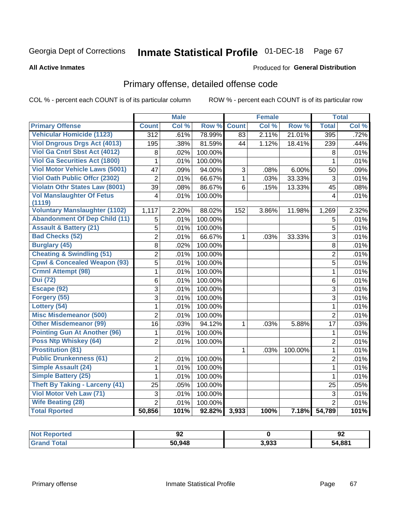# Inmate Statistical Profile 01-DEC-18 Page 67

**All Active Inmates** 

#### **Produced for General Distribution**

# Primary offense, detailed offense code

COL % - percent each COUNT is of its particular column

|                                            |                  | <b>Male</b> |         |                 | <b>Female</b> |         |                | <b>Total</b> |
|--------------------------------------------|------------------|-------------|---------|-----------------|---------------|---------|----------------|--------------|
| <b>Primary Offense</b>                     | <b>Count</b>     | Col %       | Row %   | <b>Count</b>    | Col %         | Row %   | <b>Total</b>   | Col %        |
| <b>Vehicular Homicide (1123)</b>           | $\overline{312}$ | .61%        | 78.99%  | $\overline{83}$ | 2.11%         | 21.01%  | 395            | .72%         |
| <b>Viol Dngrous Drgs Act (4013)</b>        | 195              | .38%        | 81.59%  | 44              | 1.12%         | 18.41%  | 239            | .44%         |
| Viol Ga Cntrl Sbst Act (4012)              | 8                | .02%        | 100.00% |                 |               |         | 8              | .01%         |
| <b>Viol Ga Securities Act (1800)</b>       | 1                | .01%        | 100.00% |                 |               |         | $\mathbf{1}$   | .01%         |
| <b>Viol Motor Vehicle Laws (5001)</b>      | 47               | .09%        | 94.00%  | 3               | .08%          | 6.00%   | 50             | .09%         |
| <b>Viol Oath Public Offcr (2302)</b>       | $\overline{2}$   | .01%        | 66.67%  | 1               | .03%          | 33.33%  | 3              | .01%         |
| <b>Violatn Othr States Law (8001)</b>      | 39               | .08%        | 86.67%  | 6               | .15%          | 13.33%  | 45             | .08%         |
| <b>Vol Manslaughter Of Fetus</b><br>(1119) | 4                | .01%        | 100.00% |                 |               |         | 4              | .01%         |
| <b>Voluntary Manslaughter (1102)</b>       | 1,117            | 2.20%       | 88.02%  | 152             | 3.86%         | 11.98%  | 1,269          | 2.32%        |
| <b>Abandonment Of Dep Child (11)</b>       | 5                | .01%        | 100.00% |                 |               |         | 5              | .01%         |
| <b>Assault &amp; Battery (21)</b>          | 5                | .01%        | 100.00% |                 |               |         | 5              | .01%         |
| <b>Bad Checks (52)</b>                     | 2                | .01%        | 66.67%  | $\mathbf{1}$    | .03%          | 33.33%  | 3              | .01%         |
| <b>Burglary (45)</b>                       | $\overline{8}$   | .02%        | 100.00% |                 |               |         | 8              | .01%         |
| <b>Cheating &amp; Swindling (51)</b>       | $\overline{2}$   | .01%        | 100.00% |                 |               |         | $\overline{2}$ | .01%         |
| <b>Cpwl &amp; Concealed Weapon (93)</b>    | 5                | .01%        | 100.00% |                 |               |         | $\overline{5}$ | .01%         |
| <b>Crmnl Attempt (98)</b>                  | 1                | .01%        | 100.00% |                 |               |         | $\mathbf{1}$   | .01%         |
| <b>Dui (72)</b>                            | 6                | .01%        | 100.00% |                 |               |         | 6              | .01%         |
| Escape (92)                                | 3                | .01%        | 100.00% |                 |               |         | $\overline{3}$ | .01%         |
| Forgery (55)                               | 3                | .01%        | 100.00% |                 |               |         | $\overline{3}$ | .01%         |
| Lottery (54)                               | 1                | .01%        | 100.00% |                 |               |         | $\mathbf{1}$   | .01%         |
| <b>Misc Misdemeanor (500)</b>              | $\overline{2}$   | .01%        | 100.00% |                 |               |         | $\overline{2}$ | .01%         |
| <b>Other Misdemeanor (99)</b>              | 16               | .03%        | 94.12%  | $\mathbf{1}$    | .03%          | 5.88%   | 17             | .03%         |
| <b>Pointing Gun At Another (96)</b>        | 1                | .01%        | 100.00% |                 |               |         | $\mathbf 1$    | .01%         |
| <b>Poss Ntp Whiskey (64)</b>               | $\overline{2}$   | .01%        | 100.00% |                 |               |         | $\overline{2}$ | .01%         |
| <b>Prostitution (81)</b>                   |                  |             |         | $\mathbf 1$     | .03%          | 100.00% | 1              | .01%         |
| <b>Public Drunkenness (61)</b>             | $\overline{2}$   | .01%        | 100.00% |                 |               |         | $\overline{2}$ | .01%         |
| Simple Assault (24)                        | $\mathbf{1}$     | .01%        | 100.00% |                 |               |         | $\mathbf{1}$   | .01%         |
| <b>Simple Battery (25)</b>                 | $\mathbf 1$      | .01%        | 100.00% |                 |               |         | $\mathbf{1}$   | .01%         |
| <b>Theft By Taking - Larceny (41)</b>      | $\overline{25}$  | .05%        | 100.00% |                 |               |         | 25             | .05%         |
| Viol Motor Veh Law (71)                    | 3                | .01%        | 100.00% |                 |               |         | $\mathfrak{S}$ | .01%         |
| <b>Wife Beating (28)</b>                   | $\overline{2}$   | .01%        | 100.00% |                 |               |         | $\overline{2}$ | .01%         |
| <b>Total Rported</b>                       | 50,856           | 101%        | 92.82%  | 3,933           | 100%          | 7.18%   | 54,789         | 101%         |

| Reported     | ω,<br>₩ |       | 92     |
|--------------|---------|-------|--------|
| <b>Total</b> | 50,948  | 3,933 | 54,881 |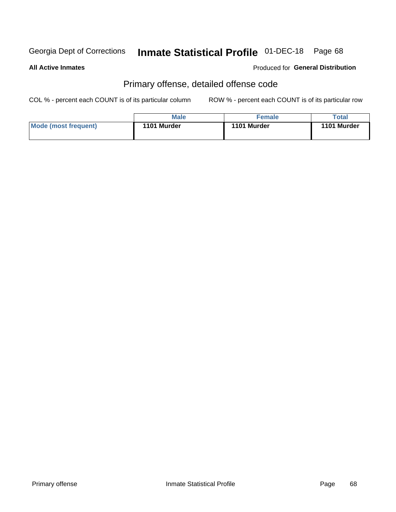# Inmate Statistical Profile 01-DEC-18 Page 68

**All Active Inmates** 

**Produced for General Distribution** 

# Primary offense, detailed offense code

COL % - percent each COUNT is of its particular column

|                      | <b>Male</b> | <b>Female</b> | Total       |
|----------------------|-------------|---------------|-------------|
| Mode (most frequent) | 1101 Murder | 1101 Murder   | 1101 Murder |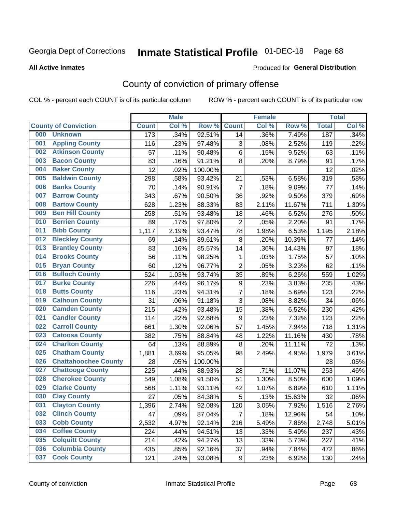# Inmate Statistical Profile 01-DEC-18 Page 68

#### **All Active Inmates**

#### Produced for General Distribution

# County of conviction of primary offense

COL % - percent each COUNT is of its particular column

|     |                             |              | <b>Male</b> |         |                  | <b>Female</b> |        |              | <b>Total</b> |
|-----|-----------------------------|--------------|-------------|---------|------------------|---------------|--------|--------------|--------------|
|     | <b>County of Conviction</b> | <b>Count</b> | Col %       | Row %   | <b>Count</b>     | Col %         | Row %  | <b>Total</b> | Col %        |
| 000 | <b>Unknown</b>              | 173          | .34%        | 92.51%  | 14               | .36%          | 7.49%  | 187          | .34%         |
| 001 | <b>Appling County</b>       | 116          | .23%        | 97.48%  | 3                | .08%          | 2.52%  | 119          | .22%         |
| 002 | <b>Atkinson County</b>      | 57           | .11%        | 90.48%  | 6                | .15%          | 9.52%  | 63           | .11%         |
| 003 | <b>Bacon County</b>         | 83           | .16%        | 91.21%  | 8                | .20%          | 8.79%  | 91           | .17%         |
| 004 | <b>Baker County</b>         | 12           | .02%        | 100.00% |                  |               |        | 12           | .02%         |
| 005 | <b>Baldwin County</b>       | 298          | .58%        | 93.42%  | 21               | .53%          | 6.58%  | 319          | .58%         |
| 006 | <b>Banks County</b>         | 70           | .14%        | 90.91%  | $\overline{7}$   | .18%          | 9.09%  | 77           | .14%         |
| 007 | <b>Barrow County</b>        | 343          | .67%        | 90.50%  | 36               | .92%          | 9.50%  | 379          | .69%         |
| 008 | <b>Bartow County</b>        | 628          | 1.23%       | 88.33%  | 83               | 2.11%         | 11.67% | 711          | 1.30%        |
| 009 | <b>Ben Hill County</b>      | 258          | .51%        | 93.48%  | 18               | .46%          | 6.52%  | 276          | .50%         |
| 010 | <b>Berrien County</b>       | 89           | .17%        | 97.80%  | $\mathbf 2$      | .05%          | 2.20%  | 91           | .17%         |
| 011 | <b>Bibb County</b>          | 1,117        | 2.19%       | 93.47%  | 78               | 1.98%         | 6.53%  | 1,195        | 2.18%        |
| 012 | <b>Bleckley County</b>      | 69           | .14%        | 89.61%  | 8                | .20%          | 10.39% | 77           | .14%         |
| 013 | <b>Brantley County</b>      | 83           | .16%        | 85.57%  | 14               | .36%          | 14.43% | 97           | .18%         |
| 014 | <b>Brooks County</b>        | 56           | .11%        | 98.25%  | 1                | .03%          | 1.75%  | 57           | .10%         |
| 015 | <b>Bryan County</b>         | 60           | .12%        | 96.77%  | $\overline{2}$   | .05%          | 3.23%  | 62           | .11%         |
| 016 | <b>Bulloch County</b>       | 524          | 1.03%       | 93.74%  | 35               | .89%          | 6.26%  | 559          | 1.02%        |
| 017 | <b>Burke County</b>         | 226          | .44%        | 96.17%  | 9                | .23%          | 3.83%  | 235          | .43%         |
| 018 | <b>Butts County</b>         | 116          | .23%        | 94.31%  | $\overline{7}$   | .18%          | 5.69%  | 123          | .22%         |
| 019 | <b>Calhoun County</b>       | 31           | .06%        | 91.18%  | 3                | .08%          | 8.82%  | 34           | .06%         |
| 020 | <b>Camden County</b>        | 215          | .42%        | 93.48%  | 15               | .38%          | 6.52%  | 230          | .42%         |
| 021 | <b>Candler County</b>       | 114          | .22%        | 92.68%  | $\boldsymbol{9}$ | .23%          | 7.32%  | 123          | .22%         |
| 022 | <b>Carroll County</b>       | 661          | 1.30%       | 92.06%  | 57               | 1.45%         | 7.94%  | 718          | 1.31%        |
| 023 | <b>Catoosa County</b>       | 382          | .75%        | 88.84%  | 48               | 1.22%         | 11.16% | 430          | .78%         |
| 024 | <b>Charlton County</b>      | 64           | .13%        | 88.89%  | 8                | .20%          | 11.11% | 72           | .13%         |
| 025 | <b>Chatham County</b>       | 1,881        | 3.69%       | 95.05%  | 98               | 2.49%         | 4.95%  | 1,979        | 3.61%        |
| 026 | <b>Chattahoochee County</b> | 28           | .05%        | 100.00% |                  |               |        | 28           | .05%         |
| 027 | <b>Chattooga County</b>     | 225          | .44%        | 88.93%  | 28               | .71%          | 11.07% | 253          | .46%         |
| 028 | <b>Cherokee County</b>      | 549          | 1.08%       | 91.50%  | 51               | 1.30%         | 8.50%  | 600          | 1.09%        |
| 029 | <b>Clarke County</b>        | 568          | 1.11%       | 93.11%  | 42               | 1.07%         | 6.89%  | 610          | 1.11%        |
| 030 | <b>Clay County</b>          | 27           | .05%        | 84.38%  | 5                | .13%          | 15.63% | 32           | .06%         |
| 031 | <b>Clayton County</b>       | 1,396        | 2.74%       | 92.08%  | 120              | 3.05%         | 7.92%  | 1,516        | 2.76%        |
| 032 | <b>Clinch County</b>        | 47           | .09%        | 87.04%  | $\overline{7}$   | .18%          | 12.96% | 54           | .10%         |
| 033 | <b>Cobb County</b>          | 2,532        | 4.97%       | 92.14%  | 216              | 5.49%         | 7.86%  | 2,748        | 5.01%        |
| 034 | <b>Coffee County</b>        | 224          | .44%        | 94.51%  | 13               | .33%          | 5.49%  | 237          | .43%         |
| 035 | <b>Colquitt County</b>      | 214          | .42%        | 94.27%  | 13               | .33%          | 5.73%  | 227          | .41%         |
| 036 | <b>Columbia County</b>      | 435          | .85%        | 92.16%  | 37               | .94%          | 7.84%  | 472          | .86%         |
| 037 | <b>Cook County</b>          | 121          | .24%        | 93.08%  | 9                | .23%          | 6.92%  | 130          | .24%         |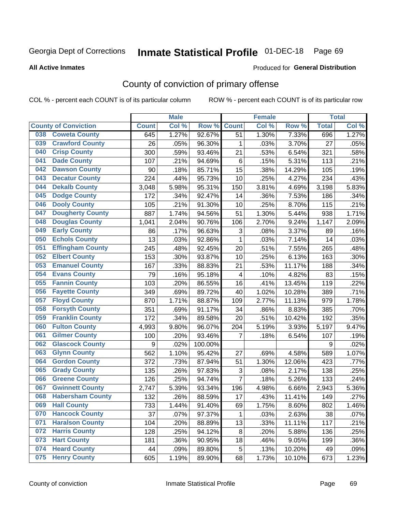# Inmate Statistical Profile 01-DEC-18 Page 69

#### **All Active Inmates**

#### Produced for General Distribution

# County of conviction of primary offense

COL % - percent each COUNT is of its particular column

|     |                             |              | <b>Male</b> |         |                           | <b>Female</b> |        |              | <b>Total</b> |
|-----|-----------------------------|--------------|-------------|---------|---------------------------|---------------|--------|--------------|--------------|
|     | <b>County of Conviction</b> | <b>Count</b> | Col %       | Row %   | <b>Count</b>              | Col %         | Row %  | <b>Total</b> | Col %        |
| 038 | <b>Coweta County</b>        | 645          | 1.27%       | 92.67%  | 51                        | 1.30%         | 7.33%  | 696          | 1.27%        |
| 039 | <b>Crawford County</b>      | 26           | .05%        | 96.30%  | 1                         | .03%          | 3.70%  | 27           | .05%         |
| 040 | <b>Crisp County</b>         | 300          | .59%        | 93.46%  | 21                        | .53%          | 6.54%  | 321          | .58%         |
| 041 | <b>Dade County</b>          | 107          | .21%        | 94.69%  | 6                         | .15%          | 5.31%  | 113          | .21%         |
| 042 | <b>Dawson County</b>        | 90           | .18%        | 85.71%  | 15                        | .38%          | 14.29% | 105          | .19%         |
| 043 | <b>Decatur County</b>       | 224          | .44%        | 95.73%  | 10                        | .25%          | 4.27%  | 234          | .43%         |
| 044 | <b>Dekalb County</b>        | 3,048        | 5.98%       | 95.31%  | 150                       | 3.81%         | 4.69%  | 3,198        | 5.83%        |
| 045 | <b>Dodge County</b>         | 172          | .34%        | 92.47%  | 14                        | .36%          | 7.53%  | 186          | .34%         |
| 046 | <b>Dooly County</b>         | 105          | .21%        | 91.30%  | 10                        | .25%          | 8.70%  | 115          | .21%         |
| 047 | <b>Dougherty County</b>     | 887          | 1.74%       | 94.56%  | 51                        | 1.30%         | 5.44%  | 938          | 1.71%        |
| 048 | <b>Douglas County</b>       | 1,041        | 2.04%       | 90.76%  | 106                       | 2.70%         | 9.24%  | 1,147        | 2.09%        |
| 049 | <b>Early County</b>         | 86           | .17%        | 96.63%  | 3                         | .08%          | 3.37%  | 89           | .16%         |
| 050 | <b>Echols County</b>        | 13           | .03%        | 92.86%  | $\mathbf{1}$              | .03%          | 7.14%  | 14           | .03%         |
| 051 | <b>Effingham County</b>     | 245          | .48%        | 92.45%  | 20                        | .51%          | 7.55%  | 265          | .48%         |
| 052 | <b>Elbert County</b>        | 153          | .30%        | 93.87%  | 10                        | .25%          | 6.13%  | 163          | .30%         |
| 053 | <b>Emanuel County</b>       | 167          | .33%        | 88.83%  | 21                        | .53%          | 11.17% | 188          | .34%         |
| 054 | <b>Evans County</b>         | 79           | .16%        | 95.18%  | $\overline{\mathbf{4}}$   | .10%          | 4.82%  | 83           | .15%         |
| 055 | <b>Fannin County</b>        | 103          | .20%        | 86.55%  | 16                        | .41%          | 13.45% | 119          | .22%         |
| 056 | <b>Fayette County</b>       | 349          | .69%        | 89.72%  | 40                        | 1.02%         | 10.28% | 389          | .71%         |
| 057 | <b>Floyd County</b>         | 870          | 1.71%       | 88.87%  | 109                       | 2.77%         | 11.13% | 979          | 1.78%        |
| 058 | <b>Forsyth County</b>       | 351          | .69%        | 91.17%  | 34                        | .86%          | 8.83%  | 385          | .70%         |
| 059 | <b>Franklin County</b>      | 172          | .34%        | 89.58%  | 20                        | .51%          | 10.42% | 192          | .35%         |
| 060 | <b>Fulton County</b>        | 4,993        | 9.80%       | 96.07%  | 204                       | 5.19%         | 3.93%  | 5,197        | 9.47%        |
| 061 | <b>Gilmer County</b>        | 100          | .20%        | 93.46%  | 7                         | .18%          | 6.54%  | 107          | .19%         |
| 062 | <b>Glascock County</b>      | 9            | .02%        | 100.00% |                           |               |        | 9            | .02%         |
| 063 | <b>Glynn County</b>         | 562          | 1.10%       | 95.42%  | 27                        | .69%          | 4.58%  | 589          | 1.07%        |
| 064 | <b>Gordon County</b>        | 372          | .73%        | 87.94%  | 51                        | 1.30%         | 12.06% | 423          | .77%         |
| 065 | <b>Grady County</b>         | 135          | .26%        | 97.83%  | $\ensuremath{\mathsf{3}}$ | .08%          | 2.17%  | 138          | .25%         |
| 066 | <b>Greene County</b>        | 126          | .25%        | 94.74%  | $\overline{7}$            | .18%          | 5.26%  | 133          | .24%         |
| 067 | <b>Gwinnett County</b>      | 2,747        | 5.39%       | 93.34%  | 196                       | 4.98%         | 6.66%  | 2,943        | 5.36%        |
| 068 | <b>Habersham County</b>     | 132          | .26%        | 88.59%  | 17                        | .43%          | 11.41% | 149          | .27%         |
| 069 | <b>Hall County</b>          | 733          | 1.44%       | 91.40%  | 69                        | 1.75%         | 8.60%  | 802          | 1.46%        |
| 070 | <b>Hancock County</b>       | 37           | .07%        | 97.37%  | 1                         | .03%          | 2.63%  | 38           | .07%         |
| 071 | <b>Haralson County</b>      | 104          | .20%        | 88.89%  | 13                        | .33%          | 11.11% | 117          | .21%         |
| 072 | <b>Harris County</b>        | 128          | .25%        | 94.12%  | 8                         | .20%          | 5.88%  | 136          | .25%         |
| 073 | <b>Hart County</b>          | 181          | .36%        | 90.95%  | 18                        | .46%          | 9.05%  | 199          | .36%         |
| 074 | <b>Heard County</b>         | 44           | .09%        | 89.80%  | 5                         | .13%          | 10.20% | 49           | .09%         |
| 075 | <b>Henry County</b>         | 605          | 1.19%       | 89.90%  | 68                        | 1.73%         | 10.10% | 673          | 1.23%        |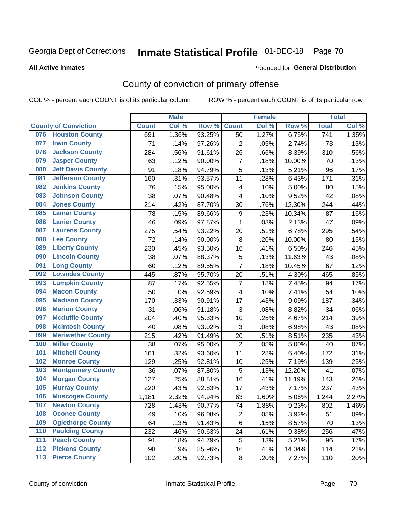# Inmate Statistical Profile 01-DEC-18 Page 70

#### **All Active Inmates**

#### Produced for General Distribution

# County of conviction of primary offense

COL % - percent each COUNT is of its particular column

|                  |                             |              | <b>Male</b> |        |                         | <b>Female</b> |        |              | <b>Total</b> |
|------------------|-----------------------------|--------------|-------------|--------|-------------------------|---------------|--------|--------------|--------------|
|                  | <b>County of Conviction</b> | <b>Count</b> | Col %       | Row %  | <b>Count</b>            | Col %         | Row %  | <b>Total</b> | Col %        |
|                  | 076 Houston County          | 691          | 1.36%       | 93.25% | 50                      | 1.27%         | 6.75%  | 741          | 1.35%        |
| 077              | <b>Irwin County</b>         | 71           | .14%        | 97.26% | $\overline{2}$          | .05%          | 2.74%  | 73           | .13%         |
| 078              | <b>Jackson County</b>       | 284          | .56%        | 91.61% | 26                      | .66%          | 8.39%  | 310          | .56%         |
| 079              | <b>Jasper County</b>        | 63           | .12%        | 90.00% | $\overline{7}$          | .18%          | 10.00% | 70           | .13%         |
| 080              | <b>Jeff Davis County</b>    | 91           | .18%        | 94.79% | 5                       | .13%          | 5.21%  | 96           | .17%         |
| 081              | <b>Jefferson County</b>     | 160          | .31%        | 93.57% | 11                      | .28%          | 6.43%  | 171          | .31%         |
| 082              | <b>Jenkins County</b>       | 76           | .15%        | 95.00% | $\overline{\mathbf{4}}$ | .10%          | 5.00%  | 80           | .15%         |
| 083              | <b>Johnson County</b>       | 38           | .07%        | 90.48% | 4                       | .10%          | 9.52%  | 42           | .08%         |
| 084              | <b>Jones County</b>         | 214          | .42%        | 87.70% | 30                      | .76%          | 12.30% | 244          | .44%         |
| 085              | <b>Lamar County</b>         | 78           | .15%        | 89.66% | $\boldsymbol{9}$        | .23%          | 10.34% | 87           | .16%         |
| 086              | <b>Lanier County</b>        | 46           | .09%        | 97.87% | 1                       | .03%          | 2.13%  | 47           | .09%         |
| 087              | <b>Laurens County</b>       | 275          | .54%        | 93.22% | 20                      | .51%          | 6.78%  | 295          | .54%         |
| 088              | <b>Lee County</b>           | 72           | .14%        | 90.00% | 8                       | .20%          | 10.00% | 80           | .15%         |
| 089              | <b>Liberty County</b>       | 230          | .45%        | 93.50% | 16                      | .41%          | 6.50%  | 246          | .45%         |
| 090              | <b>Lincoln County</b>       | 38           | .07%        | 88.37% | 5                       | .13%          | 11.63% | 43           | .08%         |
| 091              | <b>Long County</b>          | 60           | .12%        | 89.55% | $\overline{7}$          | .18%          | 10.45% | 67           | .12%         |
| 092              | <b>Lowndes County</b>       | 445          | .87%        | 95.70% | 20                      | .51%          | 4.30%  | 465          | .85%         |
| 093              | <b>Lumpkin County</b>       | 87           | .17%        | 92.55% | $\overline{7}$          | .18%          | 7.45%  | 94           | .17%         |
| 094              | <b>Macon County</b>         | 50           | .10%        | 92.59% | 4                       | .10%          | 7.41%  | 54           | .10%         |
| 095              | <b>Madison County</b>       | 170          | .33%        | 90.91% | 17                      | .43%          | 9.09%  | 187          | .34%         |
| 096              | <b>Marion County</b>        | 31           | .06%        | 91.18% | 3                       | .08%          | 8.82%  | 34           | .06%         |
| 097              | <b>Mcduffie County</b>      | 204          | .40%        | 95.33% | 10                      | .25%          | 4.67%  | 214          | .39%         |
| 098              | <b>Mcintosh County</b>      | 40           | .08%        | 93.02% | 3                       | .08%          | 6.98%  | 43           | .08%         |
| 099              | <b>Meriwether County</b>    | 215          | .42%        | 91.49% | 20                      | .51%          | 8.51%  | 235          | .43%         |
| 100              | <b>Miller County</b>        | 38           | .07%        | 95.00% | $\overline{2}$          | .05%          | 5.00%  | 40           | .07%         |
| 101              | <b>Mitchell County</b>      | 161          | .32%        | 93.60% | 11                      | .28%          | 6.40%  | 172          | .31%         |
| 102              | <b>Monroe County</b>        | 129          | .25%        | 92.81% | 10                      | .25%          | 7.19%  | 139          | .25%         |
| 103              | <b>Montgomery County</b>    | 36           | .07%        | 87.80% | 5                       | .13%          | 12.20% | 41           | .07%         |
| 104              | <b>Morgan County</b>        | 127          | .25%        | 88.81% | 16                      | .41%          | 11.19% | 143          | .26%         |
| 105              | <b>Murray County</b>        | 220          | .43%        | 92.83% | 17                      | .43%          | 7.17%  | 237          | .43%         |
| 106              | <b>Muscogee County</b>      | 1,181        | 2.32%       | 94.94% | 63                      | 1.60%         | 5.06%  | 1,244        | 2.27%        |
| 107              | <b>Newton County</b>        | 728          | 1.43%       | 90.77% | 74                      | 1.88%         | 9.23%  | 802          | 1.46%        |
| 108              | <b>Oconee County</b>        | 49           | .10%        | 96.08% | $\overline{c}$          | .05%          | 3.92%  | 51           | .09%         |
| 109              | <b>Oglethorpe County</b>    | 64           | .13%        | 91.43% | 6                       | .15%          | 8.57%  | 70           | .13%         |
| 110              | <b>Paulding County</b>      | 232          | .46%        | 90.63% | 24                      | .61%          | 9.38%  | 256          | .47%         |
| 111              | <b>Peach County</b>         | 91           | .18%        | 94.79% | 5                       | .13%          | 5.21%  | 96           | .17%         |
| $\overline{112}$ | <b>Pickens County</b>       | 98           | .19%        | 85.96% | 16                      | .41%          | 14.04% | 114          | .21%         |
| 113              | <b>Pierce County</b>        | 102          | .20%        | 92.73% | 8                       | .20%          | 7.27%  | 110          | .20%         |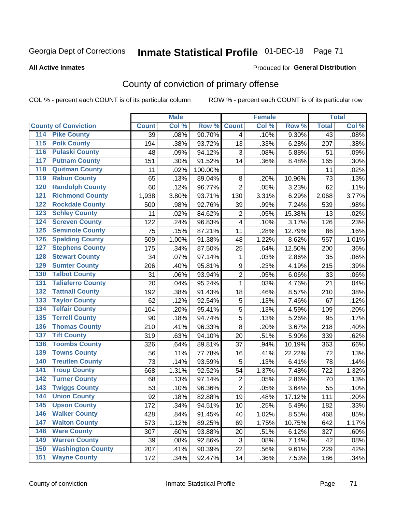# Inmate Statistical Profile 01-DEC-18 Page 71

#### **All Active Inmates**

#### Produced for General Distribution

# County of conviction of primary offense

COL % - percent each COUNT is of its particular column

|                                          |                 | <b>Male</b> |         |                         | <b>Female</b> |        |              | <b>Total</b> |
|------------------------------------------|-----------------|-------------|---------|-------------------------|---------------|--------|--------------|--------------|
| <b>County of Conviction</b>              | <b>Count</b>    | Col %       | Row %   | <b>Count</b>            | Col %         | Row %  | <b>Total</b> | Col %        |
| 114 Pike County                          | $\overline{39}$ | .08%        | 90.70%  | $\overline{4}$          | .10%          | 9.30%  | 43           | .08%         |
| <b>Polk County</b><br>$\overline{115}$   | 194             | .38%        | 93.72%  | 13                      | .33%          | 6.28%  | 207          | .38%         |
| <b>Pulaski County</b><br>116             | 48              | .09%        | 94.12%  | 3                       | .08%          | 5.88%  | 51           | .09%         |
| 117<br><b>Putnam County</b>              | 151             | .30%        | 91.52%  | 14                      | .36%          | 8.48%  | 165          | .30%         |
| <b>Quitman County</b><br>118             | 11              | .02%        | 100.00% |                         |               |        | 11           | .02%         |
| <b>Rabun County</b><br>119               | 65              | .13%        | 89.04%  | 8                       | .20%          | 10.96% | 73           | .13%         |
| <b>Randolph County</b><br>120            | 60              | .12%        | 96.77%  | $\overline{2}$          | .05%          | 3.23%  | 62           | .11%         |
| <b>Richmond County</b><br>121            | 1,938           | 3.80%       | 93.71%  | 130                     | 3.31%         | 6.29%  | 2,068        | 3.77%        |
| <b>Rockdale County</b><br>122            | 500             | .98%        | 92.76%  | 39                      | .99%          | 7.24%  | 539          | .98%         |
| <b>Schley County</b><br>123              | 11              | .02%        | 84.62%  | $\boldsymbol{2}$        | .05%          | 15.38% | 13           | .02%         |
| <b>Screven County</b><br>124             | 122             | .24%        | 96.83%  | $\overline{\mathbf{4}}$ | .10%          | 3.17%  | 126          | .23%         |
| <b>Seminole County</b><br>125            | 75              | .15%        | 87.21%  | 11                      | .28%          | 12.79% | 86           | .16%         |
| 126<br><b>Spalding County</b>            | 509             | 1.00%       | 91.38%  | 48                      | 1.22%         | 8.62%  | 557          | 1.01%        |
| <b>Stephens County</b><br>127            | 175             | .34%        | 87.50%  | 25                      | .64%          | 12.50% | 200          | .36%         |
| <b>Stewart County</b><br>128             | 34              | .07%        | 97.14%  | $\mathbf{1}$            | .03%          | 2.86%  | 35           | .06%         |
| <b>Sumter County</b><br>129              | 206             | .40%        | 95.81%  | 9                       | .23%          | 4.19%  | 215          | .39%         |
| <b>Talbot County</b><br>130              | 31              | .06%        | 93.94%  | $\overline{2}$          | .05%          | 6.06%  | 33           | .06%         |
| <b>Taliaferro County</b><br>131          | 20              | .04%        | 95.24%  | $\mathbf{1}$            | .03%          | 4.76%  | 21           | .04%         |
| <b>Tattnall County</b><br>132            | 192             | .38%        | 91.43%  | 18                      | .46%          | 8.57%  | 210          | .38%         |
| <b>Taylor County</b><br>133              | 62              | .12%        | 92.54%  | 5                       | .13%          | 7.46%  | 67           | .12%         |
| <b>Telfair County</b><br>134             | 104             | .20%        | 95.41%  | 5                       | .13%          | 4.59%  | 109          | .20%         |
| <b>Terrell County</b><br>135             | 90              | .18%        | 94.74%  | 5                       | .13%          | 5.26%  | 95           | .17%         |
| <b>Thomas County</b><br>136              | 210             | .41%        | 96.33%  | 8                       | .20%          | 3.67%  | 218          | .40%         |
| <b>Tift County</b><br>137                | 319             | .63%        | 94.10%  | 20                      | .51%          | 5.90%  | 339          | .62%         |
| <b>Toombs County</b><br>138              | 326             | .64%        | 89.81%  | 37                      | .94%          | 10.19% | 363          | .66%         |
| <b>Towns County</b><br>139               | 56              | .11%        | 77.78%  | 16                      | .41%          | 22.22% | 72           | .13%         |
| <b>Treutlen County</b><br>140            | 73              | .14%        | 93.59%  | 5                       | .13%          | 6.41%  | 78           | .14%         |
| <b>Troup County</b><br>141               | 668             | 1.31%       | 92.52%  | 54                      | 1.37%         | 7.48%  | 722          | 1.32%        |
| <b>Turner County</b><br>142              | 68              | .13%        | 97.14%  | $\overline{2}$          | .05%          | 2.86%  | 70           | .13%         |
| <b>Twiggs County</b><br>$\overline{143}$ | 53              | .10%        | 96.36%  | $\overline{2}$          | .05%          | 3.64%  | 55           | .10%         |
| <b>Union County</b><br>144               | 92              | .18%        | 82.88%  | 19                      | .48%          | 17.12% | 111          | .20%         |
| 145<br><b>Upson County</b>               | 172             | .34%        | 94.51%  | 10                      | .25%          | 5.49%  | 182          | .33%         |
| <b>Walker County</b><br>146              | 428             | .84%        | 91.45%  | 40                      | 1.02%         | 8.55%  | 468          | .85%         |
| <b>Walton County</b><br>147              | 573             | 1.12%       | 89.25%  | 69                      | 1.75%         | 10.75% | 642          | 1.17%        |
| <b>Ware County</b><br>148                | 307             | .60%        | 93.88%  | 20                      | .51%          | 6.12%  | 327          | .60%         |
| <b>Warren County</b><br>149              | 39              | .08%        | 92.86%  | 3                       | .08%          | 7.14%  | 42           | .08%         |
| <b>Washington County</b><br>150          | 207             | .41%        | 90.39%  | 22                      | .56%          | 9.61%  | 229          | .42%         |
| <b>Wayne County</b><br>151               | 172             | .34%        | 92.47%  | 14                      | .36%          | 7.53%  | 186          | .34%         |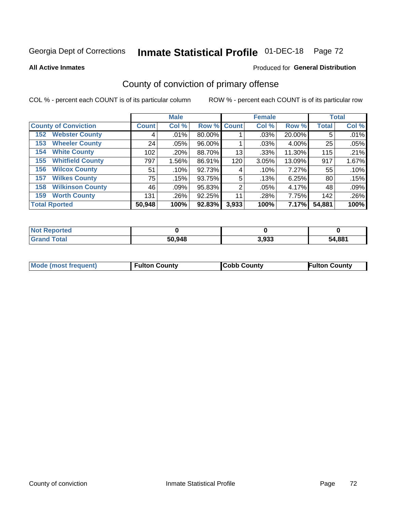# Inmate Statistical Profile 01-DEC-18 Page 72

#### **All Active Inmates**

#### Produced for General Distribution

# County of conviction of primary offense

COL % - percent each COUNT is of its particular column

|                                |              | <b>Male</b> |             |       | <b>Female</b> |              |              | <b>Total</b> |
|--------------------------------|--------------|-------------|-------------|-------|---------------|--------------|--------------|--------------|
| <b>County of Conviction</b>    | <b>Count</b> | Col %       | Row % Count |       | Col %         | Row %        | <b>Total</b> | Col %        |
| <b>Webster County</b><br>152   | 4            | .01%        | 80.00%      |       | .03%          | 20.00%       | 5            | .01%         |
| <b>Wheeler County</b><br>153   | 24           | $.05\%$     | 96.00%      |       | .03%          | 4.00%        | 25           | .05%         |
| <b>White County</b><br>154     | 102          | .20%        | 88.70%      | 13    | .33%          | 11.30%       | 115          | .21%         |
| <b>Whitfield County</b><br>155 | 797          | 1.56%       | 86.91%      | 120   | 3.05%         | 13.09%       | 917          | 1.67%        |
| <b>Wilcox County</b><br>156    | 51           | .10%        | 92.73%      | 4     | .10%          | 7.27%        | 55           | .10%         |
| <b>Wilkes County</b><br>157    | 75           | .15%        | 93.75%      | 5     | .13%          | 6.25%        | 80           | .15%         |
| <b>Wilkinson County</b><br>158 | 46           | .09%        | 95.83%      | 2     | .05%          | 4.17%        | 48           | .09%         |
| <b>Worth County</b><br>159     | 131          | .26%        | 92.25%      | 11    | .28%          | 7.75%        | 142          | .26%         |
| <b>Total Rported</b>           | 50,948       | 100%        | 92.83%      | 3,933 | 100%          | <b>7.17%</b> | 54,881       | 100%         |

| <b>Not Reported</b> |        |       |        |
|---------------------|--------|-------|--------|
| <b>Grand Total</b>  | 50,948 | 3,933 | 54,881 |

| <b>Mode (most frequent)</b> | <b>Fulton County</b> | <b>ICobb County</b> | <b>Fulton County</b> |
|-----------------------------|----------------------|---------------------|----------------------|
|                             |                      |                     |                      |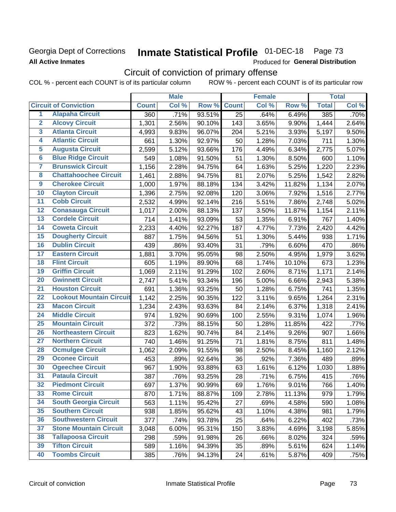## **Georgia Dept of Corrections All Active Inmates**

# Inmate Statistical Profile 01-DEC-18 Page 73

Produced for General Distribution

# Circuit of conviction of primary offense

COL % - percent each COUNT is of its particular column ROW % - percent each COUNT is of its particular row

|                         |                                 |              | <b>Male</b> |        |              | <b>Female</b> |        |              | <b>Total</b> |
|-------------------------|---------------------------------|--------------|-------------|--------|--------------|---------------|--------|--------------|--------------|
|                         | <b>Circuit of Conviction</b>    | <b>Count</b> | Col %       | Row %  | <b>Count</b> | Col %         | Row %  | <b>Total</b> | Col %        |
| 1                       | <b>Alapaha Circuit</b>          | 360          | .71%        | 93.51% | 25           | .64%          | 6.49%  | 385          | .70%         |
| $\overline{2}$          | <b>Alcovy Circuit</b>           | 1,301        | 2.56%       | 90.10% | 143          | 3.65%         | 9.90%  | 1,444        | 2.64%        |
| $\overline{\mathbf{3}}$ | <b>Atlanta Circuit</b>          | 4,993        | 9.83%       | 96.07% | 204          | 5.21%         | 3.93%  | 5,197        | 9.50%        |
| 4                       | <b>Atlantic Circuit</b>         | 661          | 1.30%       | 92.97% | 50           | 1.28%         | 7.03%  | 711          | 1.30%        |
| $\overline{5}$          | <b>Augusta Circuit</b>          | 2,599        | 5.12%       | 93.66% | 176          | 4.49%         | 6.34%  | 2,775        | 5.07%        |
| $\overline{6}$          | <b>Blue Ridge Circuit</b>       | 549          | 1.08%       | 91.50% | 51           | 1.30%         | 8.50%  | 600          | 1.10%        |
| $\overline{\mathbf{7}}$ | <b>Brunswick Circuit</b>        | 1,156        | 2.28%       | 94.75% | 64           | 1.63%         | 5.25%  | 1,220        | 2.23%        |
| $\overline{\mathbf{8}}$ | <b>Chattahoochee Circuit</b>    | 1,461        | 2.88%       | 94.75% | 81           | 2.07%         | 5.25%  | 1,542        | 2.82%        |
| $\overline{9}$          | <b>Cherokee Circuit</b>         | 1,000        | 1.97%       | 88.18% | 134          | 3.42%         | 11.82% | 1,134        | 2.07%        |
| 10                      | <b>Clayton Circuit</b>          | 1,396        | 2.75%       | 92.08% | 120          | 3.06%         | 7.92%  | 1,516        | 2.77%        |
| $\overline{11}$         | <b>Cobb Circuit</b>             | 2,532        | 4.99%       | 92.14% | 216          | 5.51%         | 7.86%  | 2,748        | 5.02%        |
| $\overline{12}$         | <b>Conasauga Circuit</b>        | 1,017        | 2.00%       | 88.13% | 137          | 3.50%         | 11.87% | 1,154        | 2.11%        |
| 13                      | <b>Cordele Circuit</b>          | 714          | 1.41%       | 93.09% | 53           | 1.35%         | 6.91%  | 767          | 1.40%        |
| 14                      | <b>Coweta Circuit</b>           | 2,233        | 4.40%       | 92.27% | 187          | 4.77%         | 7.73%  | 2,420        | 4.42%        |
| 15                      | <b>Dougherty Circuit</b>        | 887          | 1.75%       | 94.56% | 51           | 1.30%         | 5.44%  | 938          | 1.71%        |
| 16                      | <b>Dublin Circuit</b>           | 439          | .86%        | 93.40% | 31           | .79%          | 6.60%  | 470          | .86%         |
| 17                      | <b>Eastern Circuit</b>          | 1,881        | 3.70%       | 95.05% | 98           | 2.50%         | 4.95%  | 1,979        | 3.62%        |
| 18                      | <b>Flint Circuit</b>            | 605          | 1.19%       | 89.90% | 68           | 1.74%         | 10.10% | 673          | 1.23%        |
| 19                      | <b>Griffin Circuit</b>          | 1,069        | 2.11%       | 91.29% | 102          | 2.60%         | 8.71%  | 1,171        | 2.14%        |
| 20                      | <b>Gwinnett Circuit</b>         | 2,747        | 5.41%       | 93.34% | 196          | 5.00%         | 6.66%  | 2,943        | 5.38%        |
| $\overline{21}$         | <b>Houston Circuit</b>          | 691          | 1.36%       | 93.25% | 50           | 1.28%         | 6.75%  | 741          | 1.35%        |
| $\overline{22}$         | <b>Lookout Mountain Circuit</b> | 1,142        | 2.25%       | 90.35% | 122          | 3.11%         | 9.65%  | 1,264        | 2.31%        |
| 23                      | <b>Macon Circuit</b>            | 1,234        | 2.43%       | 93.63% | 84           | 2.14%         | 6.37%  | 1,318        | 2.41%        |
| $\overline{24}$         | <b>Middle Circuit</b>           | 974          | 1.92%       | 90.69% | 100          | 2.55%         | 9.31%  | 1,074        | 1.96%        |
| 25                      | <b>Mountain Circuit</b>         | 372          | .73%        | 88.15% | 50           | 1.28%         | 11.85% | 422          | .77%         |
| 26                      | <b>Northeastern Circuit</b>     | 823          | 1.62%       | 90.74% | 84           | 2.14%         | 9.26%  | 907          | 1.66%        |
| $\overline{27}$         | <b>Northern Circuit</b>         | 740          | 1.46%       | 91.25% | 71           | 1.81%         | 8.75%  | 811          | 1.48%        |
| 28                      | <b>Ocmulgee Circuit</b>         | 1,062        | 2.09%       | 91.55% | 98           | 2.50%         | 8.45%  | 1,160        | 2.12%        |
| 29                      | <b>Oconee Circuit</b>           | 453          | .89%        | 92.64% | 36           | .92%          | 7.36%  | 489          | .89%         |
| 30                      | <b>Ogeechee Circuit</b>         | 967          | 1.90%       | 93.88% | 63           | 1.61%         | 6.12%  | 1,030        | 1.88%        |
| $\overline{31}$         | <b>Pataula Circuit</b>          | 387          | .76%        | 93.25% | 28           | .71%          | 6.75%  | 415          | .76%         |
| 32                      | <b>Piedmont Circuit</b>         | 697          | 1.37%       | 90.99% | 69           | 1.76%         | 9.01%  | 766          | 1.40%        |
| 33                      | <b>Rome Circuit</b>             | 870          | 1.71%       | 88.87% | 109          | 2.78%         | 11.13% | 979          | 1.79%        |
| 34                      | <b>South Georgia Circuit</b>    | 563          | 1.11%       | 95.42% | 27           | .69%          | 4.58%  | 590          | 1.08%        |
| 35                      | <b>Southern Circuit</b>         | 938          | 1.85%       | 95.62% | 43           | 1.10%         | 4.38%  | 981          | 1.79%        |
| 36                      | <b>Southwestern Circuit</b>     | 377          | .74%        | 93.78% | 25           | .64%          | 6.22%  | 402          | .73%         |
| 37                      | <b>Stone Mountain Circuit</b>   | 3,048        | 6.00%       | 95.31% | 150          | 3.83%         | 4.69%  | 3,198        | 5.85%        |
| 38                      | <b>Tallapoosa Circuit</b>       | 298          | .59%        | 91.98% | 26           | .66%          | 8.02%  | 324          | .59%         |
| 39                      | <b>Tifton Circuit</b>           | 589          | 1.16%       | 94.39% | 35           | .89%          | 5.61%  | 624          | 1.14%        |
| 40                      | <b>Toombs Circuit</b>           | 385          | .76%        | 94.13% | 24           | .61%          | 5.87%  | 409          | .75%         |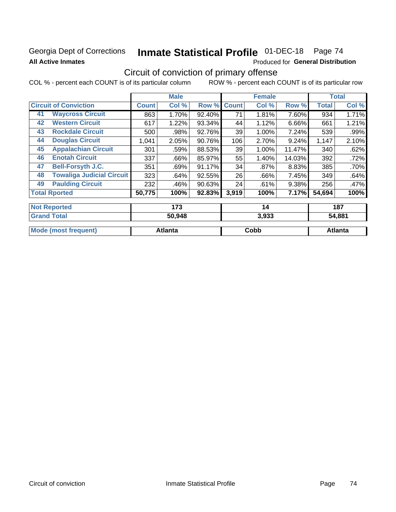### **Georgia Dept of Corrections All Active Inmates**

# Inmate Statistical Profile 01-DEC-18 Page 74

Produced for General Distribution

# Circuit of conviction of primary offense

|                      |                                  |              | <b>Male</b> |        |              | <b>Female</b> |        |              | <b>Total</b> |  |
|----------------------|----------------------------------|--------------|-------------|--------|--------------|---------------|--------|--------------|--------------|--|
|                      | <b>Circuit of Conviction</b>     | <b>Count</b> | Col %       | Row %  | <b>Count</b> | Col %         | Row %  | <b>Total</b> | Col %        |  |
| 41                   | <b>Waycross Circuit</b>          | 863          | 1.70%       | 92.40% | 71           | 1.81%         | 7.60%  | 934          | 1.71%        |  |
| 42                   | <b>Western Circuit</b>           | 617          | 1.22%       | 93.34% | 44           | 1.12%         | 6.66%  | 661          | 1.21%        |  |
| 43                   | <b>Rockdale Circuit</b>          | 500          | .98%        | 92.76% | 39           | 1.00%         | 7.24%  | 539          | .99%         |  |
| 44                   | <b>Douglas Circuit</b>           | 1,041        | 2.05%       | 90.76% | 106          | 2.70%         | 9.24%  | 1,147        | 2.10%        |  |
| 45                   | <b>Appalachian Circuit</b>       | 301          | .59%        | 88.53% | 39           | 1.00%         | 11.47% | 340          | .62%         |  |
| 46                   | <b>Enotah Circuit</b>            | 337          | .66%        | 85.97% | 55           | 1.40%         | 14.03% | 392          | .72%         |  |
| 47                   | <b>Bell-Forsyth J.C.</b>         | 351          | .69%        | 91.17% | 34           | $.87\%$       | 8.83%  | 385          | .70%         |  |
| 48                   | <b>Towaliga Judicial Circuit</b> | 323          | .64%        | 92.55% | 26           | .66%          | 7.45%  | 349          | .64%         |  |
| 49                   | <b>Paulding Circuit</b>          | 232          | .46%        | 90.63% | 24           | .61%          | 9.38%  | 256          | .47%         |  |
| <b>Total Rported</b> |                                  | 50,775       | 100%        | 92.83% | 3,919        | 100%          | 7.17%  | 54,694       | 100%         |  |
| <b>Not Reported</b>  |                                  |              | 173         |        |              | 14            |        |              | 187          |  |
| <b>Grand Total</b>   |                                  |              | 50,948      |        |              | 3,933         |        |              | 54,881       |  |

|                             | ------  | -,--- | - - , - - - |
|-----------------------------|---------|-------|-------------|
|                             |         |       |             |
| <b>Mode (most frequent)</b> | Atlanta | Copp  | ∖tlanta     |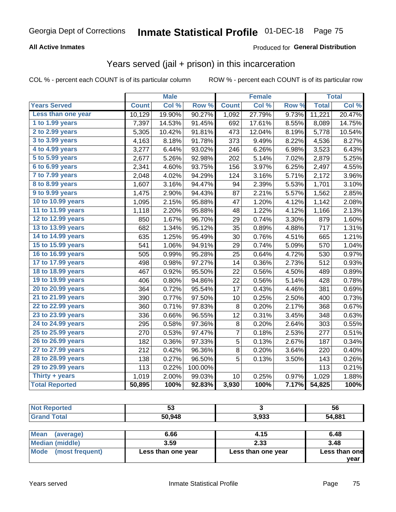#### **All Active Inmates**

### Produced for **General Distribution**

### Years served (jail + prison) in this incarceration

|                        |              | <b>Male</b> |         |                | <b>Female</b> |       |              | <b>Total</b> |
|------------------------|--------------|-------------|---------|----------------|---------------|-------|--------------|--------------|
| <b>Years Served</b>    | <b>Count</b> | Col %       | Row %   | <b>Count</b>   | Col %         | Row % | <b>Total</b> | Col%         |
| Less than one year     | 10,129       | 19.90%      | 90.27%  | 1,092          | 27.79%        | 9.73% | 11,221       | 20.47%       |
| 1 to 1.99 years        | 7,397        | 14.53%      | 91.45%  | 692            | 17.61%        | 8.55% | 8,089        | 14.75%       |
| 2 to 2.99 years        | 5,305        | 10.42%      | 91.81%  | 473            | 12.04%        | 8.19% | 5,778        | 10.54%       |
| 3 to 3.99 years        | 4,163        | 8.18%       | 91.78%  | 373            | 9.49%         | 8.22% | 4,536        | 8.27%        |
| 4 to 4.99 years        | 3,277        | 6.44%       | 93.02%  | 246            | 6.26%         | 6.98% | 3,523        | 6.43%        |
| 5 to 5.99 years        | 2,677        | 5.26%       | 92.98%  | 202            | 5.14%         | 7.02% | 2,879        | 5.25%        |
| 6 to 6.99 years        | 2,341        | 4.60%       | 93.75%  | 156            | 3.97%         | 6.25% | 2,497        | 4.55%        |
| 7 to 7.99 years        | 2,048        | 4.02%       | 94.29%  | 124            | 3.16%         | 5.71% | 2,172        | 3.96%        |
| <b>8 to 8.99 years</b> | 1,607        | 3.16%       | 94.47%  | 94             | 2.39%         | 5.53% | 1,701        | 3.10%        |
| 9 to 9.99 years        | 1,475        | 2.90%       | 94.43%  | 87             | 2.21%         | 5.57% | 1,562        | 2.85%        |
| 10 to 10.99 years      | 1,095        | 2.15%       | 95.88%  | 47             | 1.20%         | 4.12% | 1,142        | 2.08%        |
| 11 to 11.99 years      | 1,118        | 2.20%       | 95.88%  | 48             | 1.22%         | 4.12% | 1,166        | 2.13%        |
| 12 to 12.99 years      | 850          | 1.67%       | 96.70%  | 29             | 0.74%         | 3.30% | 879          | 1.60%        |
| 13 to 13.99 years      | 682          | 1.34%       | 95.12%  | 35             | 0.89%         | 4.88% | 717          | 1.31%        |
| 14 to 14.99 years      | 635          | 1.25%       | 95.49%  | 30             | 0.76%         | 4.51% | 665          | 1.21%        |
| 15 to 15.99 years      | 541          | 1.06%       | 94.91%  | 29             | 0.74%         | 5.09% | 570          | 1.04%        |
| 16 to 16.99 years      | 505          | 0.99%       | 95.28%  | 25             | 0.64%         | 4.72% | 530          | 0.97%        |
| 17 to 17.99 years      | 498          | 0.98%       | 97.27%  | 14             | 0.36%         | 2.73% | 512          | 0.93%        |
| 18 to 18.99 years      | 467          | 0.92%       | 95.50%  | 22             | 0.56%         | 4.50% | 489          | 0.89%        |
| 19 to 19.99 years      | 406          | 0.80%       | 94.86%  | 22             | 0.56%         | 5.14% | 428          | 0.78%        |
| 20 to 20.99 years      | 364          | 0.72%       | 95.54%  | 17             | 0.43%         | 4.46% | 381          | 0.69%        |
| 21 to 21.99 years      | 390          | 0.77%       | 97.50%  | 10             | 0.25%         | 2.50% | 400          | 0.73%        |
| 22 to 22.99 years      | 360          | 0.71%       | 97.83%  | 8              | 0.20%         | 2.17% | 368          | 0.67%        |
| 23 to 23.99 years      | 336          | 0.66%       | 96.55%  | 12             | 0.31%         | 3.45% | 348          | 0.63%        |
| 24 to 24.99 years      | 295          | 0.58%       | 97.36%  | $\bf 8$        | 0.20%         | 2.64% | 303          | 0.55%        |
| 25 to 25.99 years      | 270          | 0.53%       | 97.47%  | $\overline{7}$ | 0.18%         | 2.53% | 277          | 0.51%        |
| 26 to 26.99 years      | 182          | 0.36%       | 97.33%  | $\overline{5}$ | 0.13%         | 2.67% | 187          | 0.34%        |
| 27 to 27.99 years      | 212          | 0.42%       | 96.36%  | $\,8\,$        | 0.20%         | 3.64% | 220          | 0.40%        |
| 28 to 28.99 years      | 138          | 0.27%       | 96.50%  | 5              | 0.13%         | 3.50% | 143          | $0.26\%$     |
| 29 to 29.99 years      | 113          | 0.22%       | 100.00% |                |               |       | 113          | 0.21%        |
| Thirty + years         | 1,019        | 2.00%       | 99.03%  | 10             | 0.25%         | 0.97% | 1,029        | 1.88%        |
| <b>Total Reported</b>  | 50,895       | 100%        | 92.83%  | 3,930          | 100%          | 7.17% | 54,825       | 100%         |

| <b>Not</b><br><b>Enorted</b> | <b>ra</b><br>ວວ |       | 56     |
|------------------------------|-----------------|-------|--------|
| <b>Total</b><br>Gra          | 50,948          | 3,933 | 54,881 |
|                              |                 |       |        |

| Mean<br>(average)      | 6.66               | 4.15               | 6.48          |
|------------------------|--------------------|--------------------|---------------|
| <b>Median (middle)</b> | 3.59               | 2.33               | 3.48          |
| Mode (most frequent)   | Less than one year | Less than one year | Less than one |
|                        |                    |                    | vear          |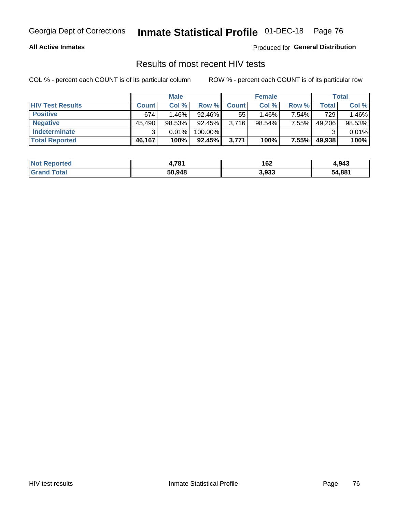#### **All Active Inmates**

Produced for **General Distribution**

### Results of most recent HIV tests

|                         | <b>Male</b>  |        | <b>Female</b> |              |           | Total    |        |        |
|-------------------------|--------------|--------|---------------|--------------|-----------|----------|--------|--------|
| <b>HIV Test Results</b> | <b>Count</b> | Col %  | Row %I        | <b>Count</b> | Col %     | Row %    | Total  | Col %  |
| <b>Positive</b>         | 674          | 1.46%  | $92.46\%$     | 55           | 1.46%     | 7.54%    | 729    | 1.46%  |
| <b>Negative</b>         | 45,490       | 98.53% | $92.45\%$     | 3,716        | $98.54\%$ | 7.55%    | 49,206 | 98.53% |
| <b>Indeterminate</b>    |              | 0.01%  | 100.00%       |              |           |          |        | 0.01%  |
| <b>Total Reported</b>   | 46,167       | 100%   | $92.45\%$     | 3,771        | 100%      | $7.55\%$ | 49,938 | 100%   |

| <b>Not Reported</b> | 704<br>4.70 L | 162   | 1.943  |
|---------------------|---------------|-------|--------|
| Total<br>Grane      | 50,948        | 3,933 | 54,881 |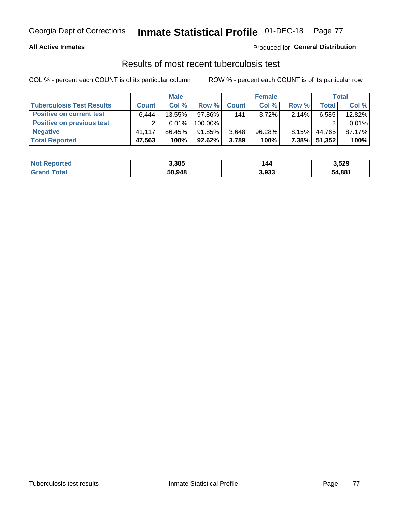#### **All Active Inmates**

#### Produced for **General Distribution**

### Results of most recent tuberculosis test

|                                  | <b>Male</b>  |        | <b>Female</b> |              |           | Total    |              |        |
|----------------------------------|--------------|--------|---------------|--------------|-----------|----------|--------------|--------|
| <b>Tuberculosis Test Results</b> | <b>Count</b> | Col%   | Row %I        | <b>Count</b> | Col%      | Row %    | <b>Total</b> | Col %  |
| <b>Positive on current test</b>  | 6,444        | 13.55% | 97.86%        | 141.         | $3.72\%$  | 2.14%    | 6,585        | 12.82% |
| <b>Positive on previous test</b> | ◠            | 0.01%  | 100.00%       |              |           |          |              | 0.01%  |
| <b>Negative</b>                  | 41.117       | 86.45% | 91.85%        | 3,648        | $96.28\%$ | $8.15\%$ | 44,765       | 87.17% |
| <b>Total Reported</b>            | 47,563       | 100%   | $92.62\%$     | 3,789        | 100%      | 7.38%    | 51.352       | 100%   |

| <b>Not Reported</b> | 3,385  | 144   | 3,529  |
|---------------------|--------|-------|--------|
| <b>Grand Total</b>  | 50,948 | 3,933 | 54,881 |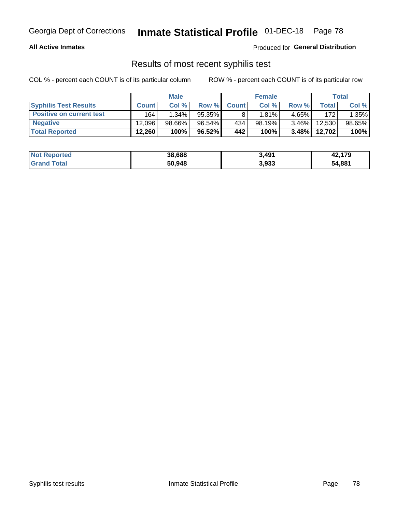#### **All Active Inmates**

Produced for **General Distribution**

### Results of most recent syphilis test

|                                 | <b>Male</b>  |          | <b>Female</b> |              |          | Total    |        |        |
|---------------------------------|--------------|----------|---------------|--------------|----------|----------|--------|--------|
| <b>Syphilis Test Results</b>    | <b>Count</b> | Col%     | Row %         | <b>Count</b> | Col %    | Row %    | Total  | Col %  |
| <b>Positive on current test</b> | 164          | $1.34\%$ | $95.35\%$     |              | $1.81\%$ | $4.65\%$ | 172    | 1.35%  |
| <b>Negative</b>                 | 12.096       | 98.66%   | 96.54%        | 434          | 98.19%   | $3.46\%$ | 12,530 | 98.65% |
| <b>Total Reported</b>           | 12,260       | 100%     | $96.52\%$     | 442          | 100%     | $3.48\%$ | 12,702 | 100%   |

| <b>Not Reported</b> | 38,688 | 3,491 | 42,179 |
|---------------------|--------|-------|--------|
| <b>Grand Total</b>  | 50,948 | 3,933 | 54,881 |